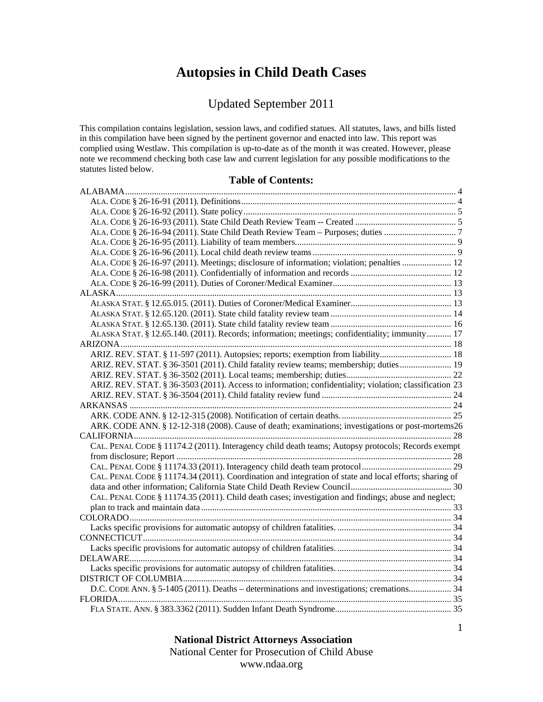### **Autopsies in Child Death Cases**

### Updated September 2011

<span id="page-0-0"></span>This compilation contains legislation, session laws, and codified statues. All statutes, laws, and bills listed in this compilation have been signed by the pertinent governor and enacted into law. This report was complied using Westlaw. This compilation is up-to-date as of the month it was created. However, please note we recommend checking both case law and current legislation for any possible modifications to the statutes listed below*.*

#### **Table of Contents:**

| ALA. CODE § 26-16-94 (2011). State Child Death Review Team - Purposes; duties 7                         |  |
|---------------------------------------------------------------------------------------------------------|--|
|                                                                                                         |  |
|                                                                                                         |  |
| ALA. CODE § 26-16-97 (2011). Meetings; disclosure of information; violation; penalties  12              |  |
|                                                                                                         |  |
|                                                                                                         |  |
|                                                                                                         |  |
|                                                                                                         |  |
|                                                                                                         |  |
|                                                                                                         |  |
| ALASKA STAT. § 12.65.140. (2011). Records; information; meetings; confidentiality; immunity 17          |  |
|                                                                                                         |  |
|                                                                                                         |  |
| ARIZ. REV. STAT. § 36-3501 (2011). Child fatality review teams; membership; duties 19                   |  |
|                                                                                                         |  |
| ARIZ. REV. STAT. § 36-3503 (2011). Access to information; confidentiality; violation; classification 23 |  |
|                                                                                                         |  |
|                                                                                                         |  |
|                                                                                                         |  |
| ARK. CODE ANN. § 12-12-318 (2008). Cause of death; examinations; investigations or post-mortems26       |  |
|                                                                                                         |  |
| CAL. PENAL CODE § 11174.2 (2011). Interagency child death teams; Autopsy protocols; Records exempt      |  |
|                                                                                                         |  |
|                                                                                                         |  |
| CAL. PENAL CODE § 11174.34 (2011). Coordination and integration of state and local efforts; sharing of  |  |
|                                                                                                         |  |
| CAL. PENAL CODE § 11174.35 (2011). Child death cases; investigation and findings; abuse and neglect;    |  |
|                                                                                                         |  |
|                                                                                                         |  |
|                                                                                                         |  |
|                                                                                                         |  |
|                                                                                                         |  |
|                                                                                                         |  |
|                                                                                                         |  |
|                                                                                                         |  |
|                                                                                                         |  |
|                                                                                                         |  |
|                                                                                                         |  |

1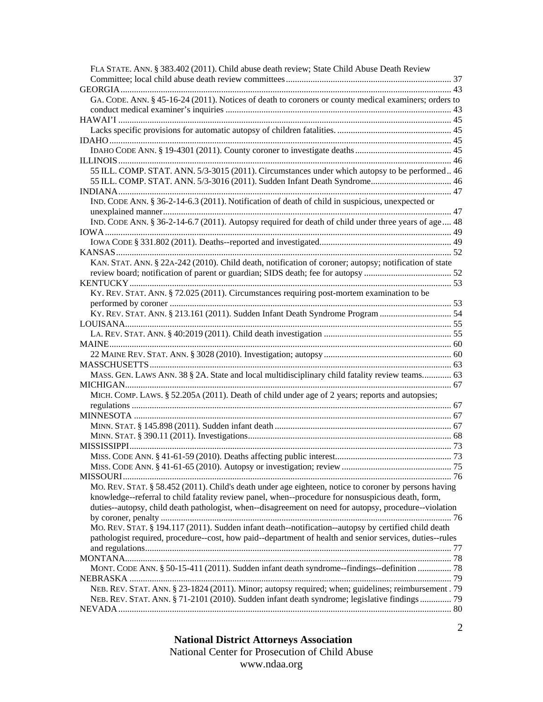| FLA STATE. ANN. § 383.402 (2011). Child abuse death review; State Child Abuse Death Review               |  |
|----------------------------------------------------------------------------------------------------------|--|
|                                                                                                          |  |
|                                                                                                          |  |
| GA. CODE. ANN. § 45-16-24 (2011). Notices of death to coroners or county medical examiners; orders to    |  |
|                                                                                                          |  |
|                                                                                                          |  |
|                                                                                                          |  |
|                                                                                                          |  |
|                                                                                                          |  |
|                                                                                                          |  |
| 55 ILL. COMP. STAT. ANN. 5/3-3015 (2011). Circumstances under which autopsy to be performed 46           |  |
|                                                                                                          |  |
|                                                                                                          |  |
| IND. CODE ANN. § 36-2-14-6.3 (2011). Notification of death of child in suspicious, unexpected or         |  |
|                                                                                                          |  |
| IND. CODE ANN. § 36-2-14-6.7 (2011). Autopsy required for death of child under three years of age 48     |  |
|                                                                                                          |  |
|                                                                                                          |  |
|                                                                                                          |  |
| KAN. STAT. ANN. § 22A-242 (2010). Child death, notification of coroner; autopsy; notification of state   |  |
|                                                                                                          |  |
|                                                                                                          |  |
| KY. REV. STAT. ANN. § 72.025 (2011). Circumstances requiring post-mortem examination to be               |  |
|                                                                                                          |  |
| KY. REV. STAT. ANN. § 213.161 (2011). Sudden Infant Death Syndrome Program  54                           |  |
|                                                                                                          |  |
|                                                                                                          |  |
|                                                                                                          |  |
|                                                                                                          |  |
|                                                                                                          |  |
| MASS. GEN. LAWS ANN. 38 § 2A. State and local multidisciplinary child fatality review teams 63           |  |
|                                                                                                          |  |
| MICH. COMP. LAWS. § 52.205A (2011). Death of child under age of 2 years; reports and autopsies;          |  |
|                                                                                                          |  |
|                                                                                                          |  |
|                                                                                                          |  |
|                                                                                                          |  |
|                                                                                                          |  |
|                                                                                                          |  |
|                                                                                                          |  |
|                                                                                                          |  |
| Mo. REV. STAT. § 58.452 (2011). Child's death under age eighteen, notice to coroner by persons having    |  |
| knowledge--referral to child fatality review panel, when--procedure for nonsuspicious death, form,       |  |
| duties--autopsy, child death pathologist, when--disagreement on need for autopsy, procedure--violation   |  |
|                                                                                                          |  |
| Mo. REV. STAT. § 194.117 (2011). Sudden infant death--notification--autopsy by certified child death     |  |
| pathologist required, procedure--cost, how paid--department of health and senior services, duties--rules |  |
|                                                                                                          |  |
|                                                                                                          |  |
| MONT. CODE ANN. § 50-15-411 (2011). Sudden infant death syndrome--findings--definition  78               |  |
|                                                                                                          |  |
| NEB. REV. STAT. ANN. § 23-1824 (2011). Minor; autopsy required; when; guidelines; reimbursement. 79      |  |
| NEB. REV. STAT. ANN. § 71-2101 (2010). Sudden infant death syndrome; legislative findings 79             |  |
|                                                                                                          |  |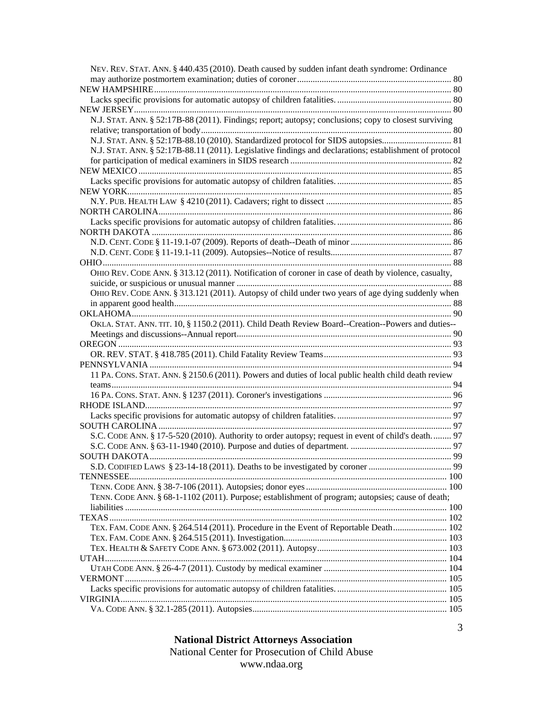| NEV. REV. STAT. ANN. § 440.435 (2010). Death caused by sudden infant death syndrome: Ordinance          |  |
|---------------------------------------------------------------------------------------------------------|--|
|                                                                                                         |  |
|                                                                                                         |  |
|                                                                                                         |  |
| N.J. STAT. ANN. § 52:17B-88 (2011). Findings; report; autopsy; conclusions; copy to closest surviving   |  |
|                                                                                                         |  |
|                                                                                                         |  |
| N.J. STAT. ANN. § 52:17B-88.11 (2011). Legislative findings and declarations; establishment of protocol |  |
|                                                                                                         |  |
|                                                                                                         |  |
|                                                                                                         |  |
|                                                                                                         |  |
|                                                                                                         |  |
|                                                                                                         |  |
|                                                                                                         |  |
|                                                                                                         |  |
|                                                                                                         |  |
|                                                                                                         |  |
|                                                                                                         |  |
| OHIO REV. CODE ANN. § 313.12 (2011). Notification of coroner in case of death by violence, casualty,    |  |
|                                                                                                         |  |
| OHIO REV. CODE ANN. § 313.121 (2011). Autopsy of child under two years of age dying suddenly when       |  |
|                                                                                                         |  |
|                                                                                                         |  |
| OKLA. STAT. ANN. TIT. 10, § 1150.2 (2011). Child Death Review Board--Creation--Powers and duties--      |  |
|                                                                                                         |  |
|                                                                                                         |  |
|                                                                                                         |  |
| 11 PA. CONS. STAT. ANN. § 2150.6 (2011). Powers and duties of local public health child death review    |  |
|                                                                                                         |  |
|                                                                                                         |  |
|                                                                                                         |  |
|                                                                                                         |  |
|                                                                                                         |  |
| S.C. CODE ANN. § 17-5-520 (2010). Authority to order autopsy; request in event of child's death 97      |  |
|                                                                                                         |  |
|                                                                                                         |  |
|                                                                                                         |  |
|                                                                                                         |  |
|                                                                                                         |  |
| TENN. CODE ANN. § 68-1-1102 (2011). Purpose; establishment of program; autopsies; cause of death;       |  |
|                                                                                                         |  |
|                                                                                                         |  |
| TEX. FAM. CODE ANN. § 264.514 (2011). Procedure in the Event of Reportable Death 102                    |  |
|                                                                                                         |  |
|                                                                                                         |  |
|                                                                                                         |  |
|                                                                                                         |  |
|                                                                                                         |  |
|                                                                                                         |  |
|                                                                                                         |  |
|                                                                                                         |  |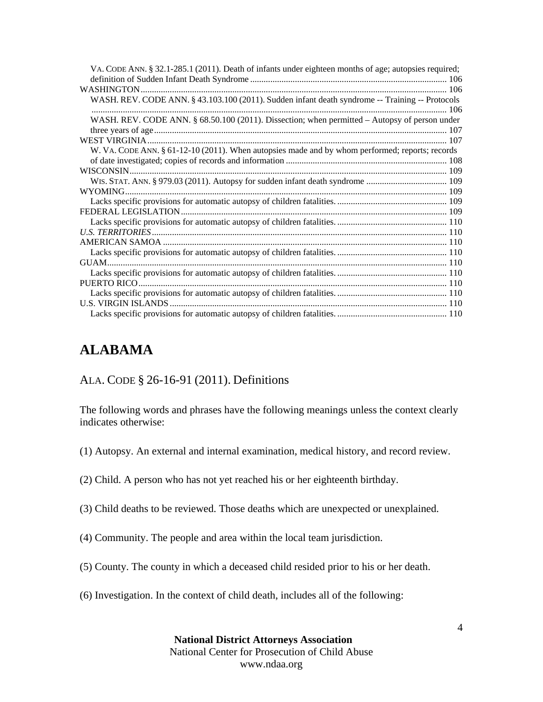<span id="page-3-0"></span>

| VA. CODE ANN. § 32.1-285.1 (2011). Death of infants under eighteen months of age; autopsies required; |  |
|-------------------------------------------------------------------------------------------------------|--|
|                                                                                                       |  |
|                                                                                                       |  |
| WASH. REV. CODE ANN. § 43.103.100 (2011). Sudden infant death syndrome -- Training -- Protocols       |  |
|                                                                                                       |  |
| WASH. REV. CODE ANN. § 68.50.100 (2011). Dissection; when permitted – Autopsy of person under         |  |
|                                                                                                       |  |
|                                                                                                       |  |
| W. VA. CODE ANN. § 61-12-10 (2011). When autopsies made and by whom performed; reports; records       |  |
|                                                                                                       |  |
|                                                                                                       |  |
|                                                                                                       |  |
|                                                                                                       |  |
|                                                                                                       |  |
|                                                                                                       |  |
|                                                                                                       |  |
|                                                                                                       |  |
|                                                                                                       |  |
|                                                                                                       |  |
|                                                                                                       |  |
|                                                                                                       |  |
|                                                                                                       |  |
|                                                                                                       |  |
|                                                                                                       |  |
|                                                                                                       |  |

### **ALABAMA**

#### ALA. CODE § 26-16-91 (2011). Definitions

The following words and phrases have the following meanings unless the context clearly indicates otherwise:

- (1) Autopsy. An external and internal examination, medical history, and record review.
- (2) Child. A person who has not yet reached his or her eighteenth birthday.
- (3) Child deaths to be reviewed. Those deaths which are unexpected or unexplained.
- (4) Community. The people and area within the local team jurisdiction.
- (5) County. The county in which a deceased child resided prior to his or her death.
- (6) Investigation. In the context of child death, includes all of the following: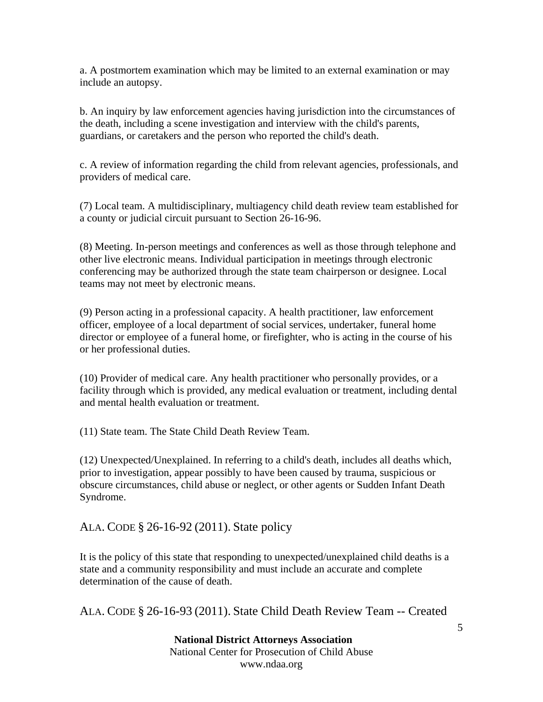<span id="page-4-0"></span>a. A postmortem examination which may be limited to an external examination or may include an autopsy.

b. An inquiry by law enforcement agencies having jurisdiction into the circumstances of the death, including a scene investigation and interview with the child's parents, guardians, or caretakers and the person who reported the child's death.

c. A review of information regarding the child from relevant agencies, professionals, and providers of medical care.

(7) Local team. A multidisciplinary, multiagency child death review team established for a county or judicial circuit pursuant to Section 26-16-96.

(8) Meeting. In-person meetings and conferences as well as those through telephone and other live electronic means. Individual participation in meetings through electronic conferencing may be authorized through the state team chairperson or designee. Local teams may not meet by electronic means.

(9) Person acting in a professional capacity. A health practitioner, law enforcement officer, employee of a local department of social services, undertaker, funeral home director or employee of a funeral home, or firefighter, who is acting in the course of his or her professional duties.

(10) Provider of medical care. Any health practitioner who personally provides, or a facility through which is provided, any medical evaluation or treatment, including dental and mental health evaluation or treatment.

(11) State team. The State Child Death Review Team.

(12) Unexpected/Unexplained. In referring to a child's death, includes all deaths which, prior to investigation, appear possibly to have been caused by trauma, suspicious or obscure circumstances, child abuse or neglect, or other agents or Sudden Infant Death Syndrome.

#### ALA. CODE § 26-16-92 (2011). State policy

It is the policy of this state that responding to unexpected/unexplained child deaths is a state and a community responsibility and must include an accurate and complete determination of the cause of death.

ALA. CODE § 26-16-93 (2011). State Child Death Review Team -- Created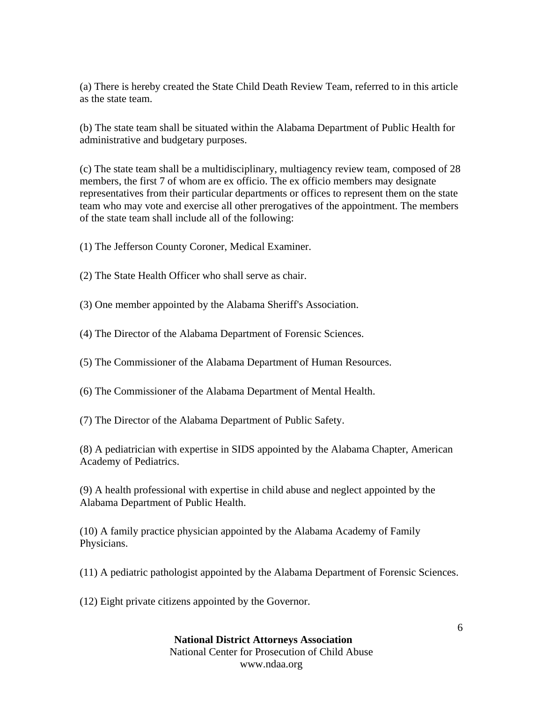(a) There is hereby created the State Child Death Review Team, referred to in this article as the state team.

(b) The state team shall be situated within the Alabama Department of Public Health for administrative and budgetary purposes.

(c) The state team shall be a multidisciplinary, multiagency review team, composed of 28 members, the first 7 of whom are ex officio. The ex officio members may designate representatives from their particular departments or offices to represent them on the state team who may vote and exercise all other prerogatives of the appointment. The members of the state team shall include all of the following:

(1) The Jefferson County Coroner, Medical Examiner.

(2) The State Health Officer who shall serve as chair.

(3) One member appointed by the Alabama Sheriff's Association.

(4) The Director of the Alabama Department of Forensic Sciences.

(5) The Commissioner of the Alabama Department of Human Resources.

(6) The Commissioner of the Alabama Department of Mental Health.

(7) The Director of the Alabama Department of Public Safety.

(8) A pediatrician with expertise in SIDS appointed by the Alabama Chapter, American Academy of Pediatrics.

(9) A health professional with expertise in child abuse and neglect appointed by the Alabama Department of Public Health.

(10) A family practice physician appointed by the Alabama Academy of Family Physicians.

(11) A pediatric pathologist appointed by the Alabama Department of Forensic Sciences.

(12) Eight private citizens appointed by the Governor.

#### **National District Attorneys Association**  National Center for Prosecution of Child Abuse www.ndaa.org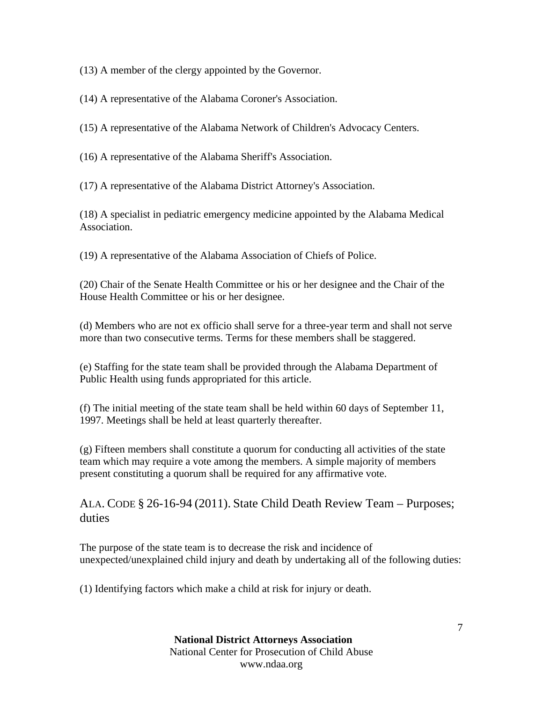<span id="page-6-0"></span>(13) A member of the clergy appointed by the Governor.

(14) A representative of the Alabama Coroner's Association.

(15) A representative of the Alabama Network of Children's Advocacy Centers.

(16) A representative of the Alabama Sheriff's Association.

(17) A representative of the Alabama District Attorney's Association.

(18) A specialist in pediatric emergency medicine appointed by the Alabama Medical Association.

(19) A representative of the Alabama Association of Chiefs of Police.

(20) Chair of the Senate Health Committee or his or her designee and the Chair of the House Health Committee or his or her designee.

(d) Members who are not ex officio shall serve for a three-year term and shall not serve more than two consecutive terms. Terms for these members shall be staggered.

(e) Staffing for the state team shall be provided through the Alabama Department of Public Health using funds appropriated for this article.

(f) The initial meeting of the state team shall be held within 60 days of September 11, 1997. Meetings shall be held at least quarterly thereafter.

(g) Fifteen members shall constitute a quorum for conducting all activities of the state team which may require a vote among the members. A simple majority of members present constituting a quorum shall be required for any affirmative vote.

ALA. CODE § 26-16-94 (2011). State Child Death Review Team – Purposes; duties

The purpose of the state team is to decrease the risk and incidence of unexpected/unexplained child injury and death by undertaking all of the following duties:

(1) Identifying factors which make a child at risk for injury or death.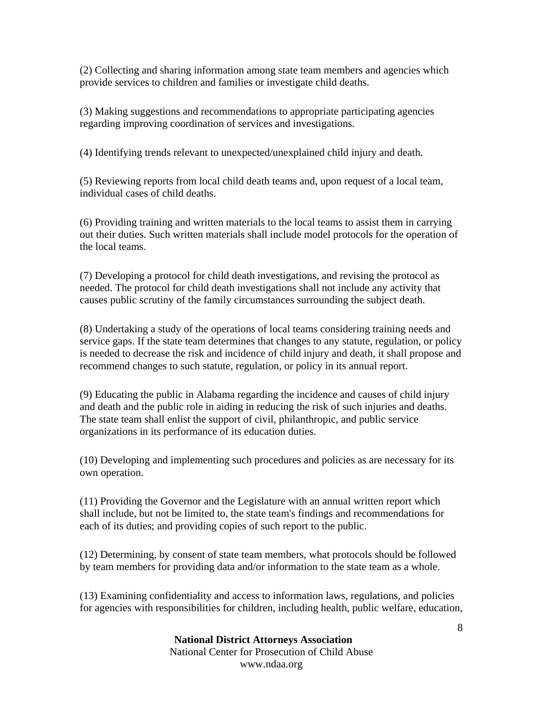(2) Collecting and sharing information among state team members and agencies which provide services to children and families or investigate child deaths.

(3) Making suggestions and recommendations to appropriate participating agencies regarding improving coordination of services and investigations.

(4) Identifying trends relevant to unexpected/unexplained child injury and death.

(5) Reviewing reports from local child death teams and, upon request of a local team, individual cases of child deaths.

(6) Providing training and written materials to the local teams to assist them in carrying out their duties. Such written materials shall include model protocols for the operation of the local teams.

(7) Developing a protocol for child death investigations, and revising the protocol as needed. The protocol for child death investigations shall not include any activity that causes public scrutiny of the family circumstances surrounding the subject death.

(8) Undertaking a study of the operations of local teams considering training needs and service gaps. If the state team determines that changes to any statute, regulation, or policy is needed to decrease the risk and incidence of child injury and death, it shall propose and recommend changes to such statute, regulation, or policy in its annual report.

(9) Educating the public in Alabama regarding the incidence and causes of child injury and death and the public role in aiding in reducing the risk of such injuries and deaths. The state team shall enlist the support of civil, philanthropic, and public service organizations in its performance of its education duties.

(10) Developing and implementing such procedures and policies as are necessary for its own operation.

(11) Providing the Governor and the Legislature with an annual written report which shall include, but not be limited to, the state team's findings and recommendations for each of its duties; and providing copies of such report to the public.

(12) Determining, by consent of state team members, what protocols should be followed by team members for providing data and/or information to the state team as a whole.

(13) Examining confidentiality and access to information laws, regulations, and policies for agencies with responsibilities for children, including health, public welfare, education,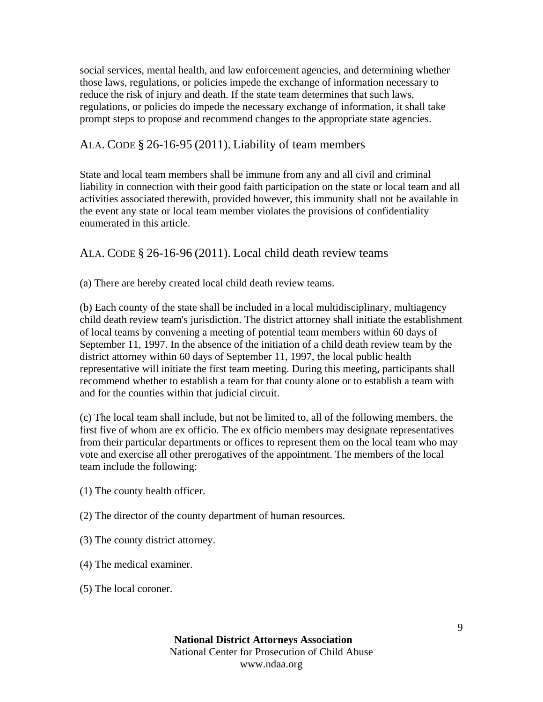<span id="page-8-0"></span>social services, mental health, and law enforcement agencies, and determining whether those laws, regulations, or policies impede the exchange of information necessary to reduce the risk of injury and death. If the state team determines that such laws, regulations, or policies do impede the necessary exchange of information, it shall take prompt steps to propose and recommend changes to the appropriate state agencies.

#### ALA. CODE § 26-16-95 (2011). Liability of team members

State and local team members shall be immune from any and all civil and criminal liability in connection with their good faith participation on the state or local team and all activities associated therewith, provided however, this immunity shall not be available in the event any state or local team member violates the provisions of confidentiality enumerated in this article.

#### ALA. CODE § 26-16-96 (2011). Local child death review teams

(a) There are hereby created local child death review teams.

(b) Each county of the state shall be included in a local multidisciplinary, multiagency child death review team's jurisdiction. The district attorney shall initiate the establishment of local teams by convening a meeting of potential team members within 60 days of September 11, 1997. In the absence of the initiation of a child death review team by the district attorney within 60 days of September 11, 1997, the local public health representative will initiate the first team meeting. During this meeting, participants shall recommend whether to establish a team for that county alone or to establish a team with and for the counties within that judicial circuit.

(c) The local team shall include, but not be limited to, all of the following members, the first five of whom are ex officio. The ex officio members may designate representatives from their particular departments or offices to represent them on the local team who may vote and exercise all other prerogatives of the appointment. The members of the local team include the following:

- (1) The county health officer.
- (2) The director of the county department of human resources.
- (3) The county district attorney.
- (4) The medical examiner.
- (5) The local coroner.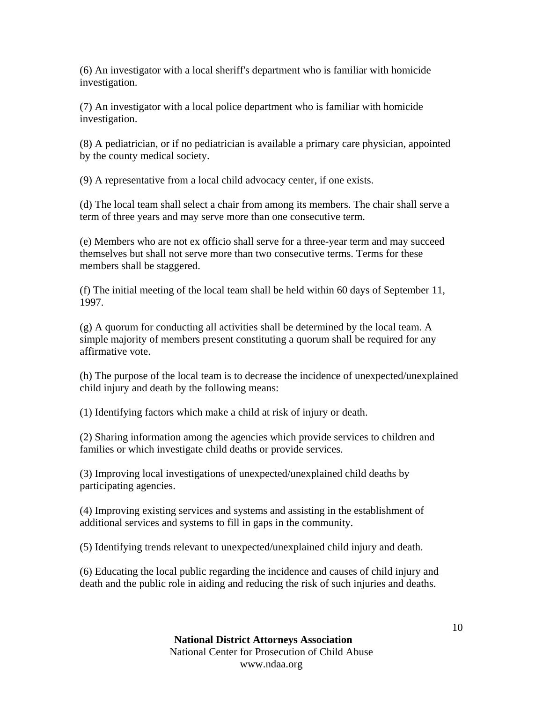(6) An investigator with a local sheriff's department who is familiar with homicide investigation.

(7) An investigator with a local police department who is familiar with homicide investigation.

(8) A pediatrician, or if no pediatrician is available a primary care physician, appointed by the county medical society.

(9) A representative from a local child advocacy center, if one exists.

(d) The local team shall select a chair from among its members. The chair shall serve a term of three years and may serve more than one consecutive term.

(e) Members who are not ex officio shall serve for a three-year term and may succeed themselves but shall not serve more than two consecutive terms. Terms for these members shall be staggered.

(f) The initial meeting of the local team shall be held within 60 days of September 11, 1997.

 $(g)$  A quorum for conducting all activities shall be determined by the local team. A simple majority of members present constituting a quorum shall be required for any affirmative vote.

(h) The purpose of the local team is to decrease the incidence of unexpected/unexplained child injury and death by the following means:

(1) Identifying factors which make a child at risk of injury or death.

(2) Sharing information among the agencies which provide services to children and families or which investigate child deaths or provide services.

(3) Improving local investigations of unexpected/unexplained child deaths by participating agencies.

(4) Improving existing services and systems and assisting in the establishment of additional services and systems to fill in gaps in the community.

(5) Identifying trends relevant to unexpected/unexplained child injury and death.

(6) Educating the local public regarding the incidence and causes of child injury and death and the public role in aiding and reducing the risk of such injuries and deaths.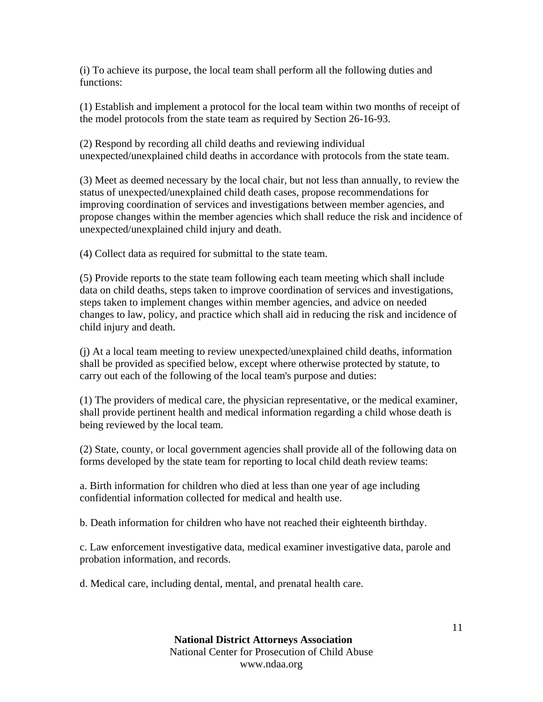(i) To achieve its purpose, the local team shall perform all the following duties and functions:

(1) Establish and implement a protocol for the local team within two months of receipt of the model protocols from the state team as required by [Section 26-16-93.](http://web2.westlaw.com/find/default.wl?tc=-1&docname=ALSTS26-16-93&rp=%2ffind%2fdefault.wl&sv=Split&utid=1&rs=WLW11.07&db=1000002&tf=-1&findtype=L&fn=_top&mt=LawSchoolPractitioner&vr=2.0&pbc=1EC28F9A&ordoc=9455503)

(2) Respond by recording all child deaths and reviewing individual unexpected/unexplained child deaths in accordance with protocols from the state team.

(3) Meet as deemed necessary by the local chair, but not less than annually, to review the status of unexpected/unexplained child death cases, propose recommendations for improving coordination of services and investigations between member agencies, and propose changes within the member agencies which shall reduce the risk and incidence of unexpected/unexplained child injury and death.

(4) Collect data as required for submittal to the state team.

(5) Provide reports to the state team following each team meeting which shall include data on child deaths, steps taken to improve coordination of services and investigations, steps taken to implement changes within member agencies, and advice on needed changes to law, policy, and practice which shall aid in reducing the risk and incidence of child injury and death.

(j) At a local team meeting to review unexpected/unexplained child deaths, information shall be provided as specified below, except where otherwise protected by statute, to carry out each of the following of the local team's purpose and duties:

(1) The providers of medical care, the physician representative, or the medical examiner, shall provide pertinent health and medical information regarding a child whose death is being reviewed by the local team.

(2) State, county, or local government agencies shall provide all of the following data on forms developed by the state team for reporting to local child death review teams:

a. Birth information for children who died at less than one year of age including confidential information collected for medical and health use.

b. Death information for children who have not reached their eighteenth birthday.

c. Law enforcement investigative data, medical examiner investigative data, parole and probation information, and records.

d. Medical care, including dental, mental, and prenatal health care.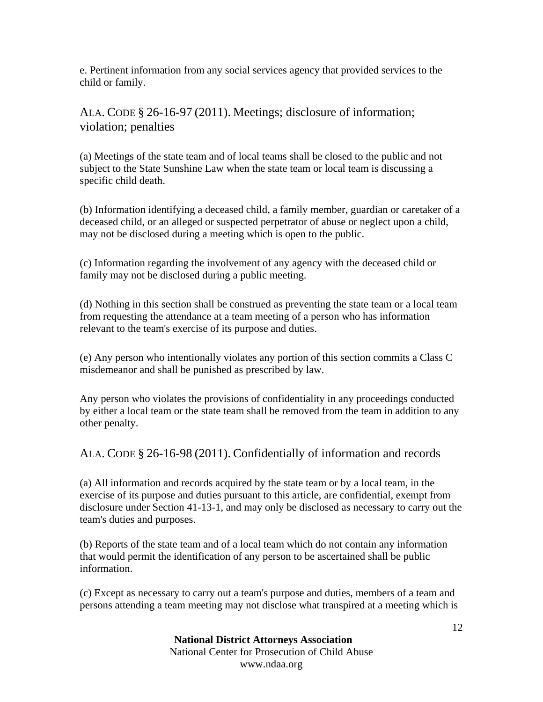<span id="page-11-0"></span>e. Pertinent information from any social services agency that provided services to the child or family.

ALA. CODE § 26-16-97 (2011). Meetings; disclosure of information; violation; penalties

(a) Meetings of the state team and of local teams shall be closed to the public and not subject to the State Sunshine Law when the state team or local team is discussing a specific child death.

(b) Information identifying a deceased child, a family member, guardian or caretaker of a deceased child, or an alleged or suspected perpetrator of abuse or neglect upon a child, may not be disclosed during a meeting which is open to the public.

(c) Information regarding the involvement of any agency with the deceased child or family may not be disclosed during a public meeting.

(d) Nothing in this section shall be construed as preventing the state team or a local team from requesting the attendance at a team meeting of a person who has information relevant to the team's exercise of its purpose and duties.

(e) Any person who intentionally violates any portion of this section commits a Class C misdemeanor and shall be punished as prescribed by law.

Any person who violates the provisions of confidentiality in any proceedings conducted by either a local team or the state team shall be removed from the team in addition to any other penalty.

ALA. CODE § 26-16-98 (2011). Confidentially of information and records

(a) All information and records acquired by the state team or by a local team, in the exercise of its purpose and duties pursuant to this article, are confidential, exempt from disclosure under [Section 41-13-1,](http://web2.westlaw.com/find/default.wl?tc=-1&docname=ALSTS41-13-1&rp=%2ffind%2fdefault.wl&sv=Split&utid=1&rs=WLW11.07&db=1000002&tf=-1&findtype=L&fn=_top&mt=LawSchoolPractitioner&vr=2.0&pbc=1EC28F9A&ordoc=9455505) and may only be disclosed as necessary to carry out the team's duties and purposes.

(b) Reports of the state team and of a local team which do not contain any information that would permit the identification of any person to be ascertained shall be public information.

(c) Except as necessary to carry out a team's purpose and duties, members of a team and persons attending a team meeting may not disclose what transpired at a meeting which is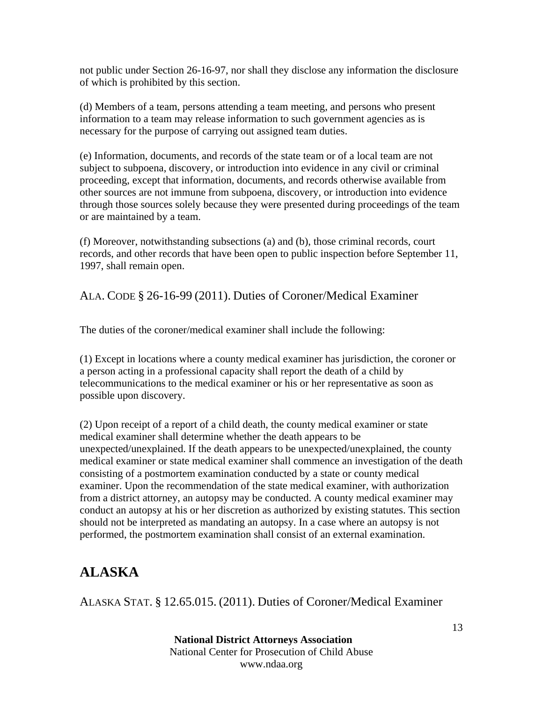<span id="page-12-0"></span>not public under [Section 26-16-97,](http://web2.westlaw.com/find/default.wl?tc=-1&docname=ALSTS26-16-97&rp=%2ffind%2fdefault.wl&sv=Split&utid=1&rs=WLW11.07&db=1000002&tf=-1&findtype=L&fn=_top&mt=LawSchoolPractitioner&vr=2.0&pbc=1EC28F9A&ordoc=9455505) nor shall they disclose any information the disclosure of which is prohibited by this section.

(d) Members of a team, persons attending a team meeting, and persons who present information to a team may release information to such government agencies as is necessary for the purpose of carrying out assigned team duties.

(e) Information, documents, and records of the state team or of a local team are not subject to subpoena, discovery, or introduction into evidence in any civil or criminal proceeding, except that information, documents, and records otherwise available from other sources are not immune from subpoena, discovery, or introduction into evidence through those sources solely because they were presented during proceedings of the team or are maintained by a team.

(f) Moreover, notwithstanding subsections (a) and (b), those criminal records, court records, and other records that have been open to public inspection before September 11, 1997, shall remain open.

ALA. CODE § 26-16-99 (2011). Duties of Coroner/Medical Examiner

The duties of the coroner/medical examiner shall include the following:

(1) Except in locations where a county medical examiner has jurisdiction, the coroner or a person acting in a professional capacity shall report the death of a child by telecommunications to the medical examiner or his or her representative as soon as possible upon discovery.

(2) Upon receipt of a report of a child death, the county medical examiner or state medical examiner shall determine whether the death appears to be unexpected/unexplained. If the death appears to be unexpected/unexplained, the county medical examiner or state medical examiner shall commence an investigation of the death consisting of a postmortem examination conducted by a state or county medical examiner. Upon the recommendation of the state medical examiner, with authorization from a district attorney, an autopsy may be conducted. A county medical examiner may conduct an autopsy at his or her discretion as authorized by existing statutes. This section should not be interpreted as mandating an autopsy. In a case where an autopsy is not performed, the postmortem examination shall consist of an external examination.

# **ALASKA**

ALASKA STAT. § 12.65.015. (2011). Duties of Coroner/Medical Examiner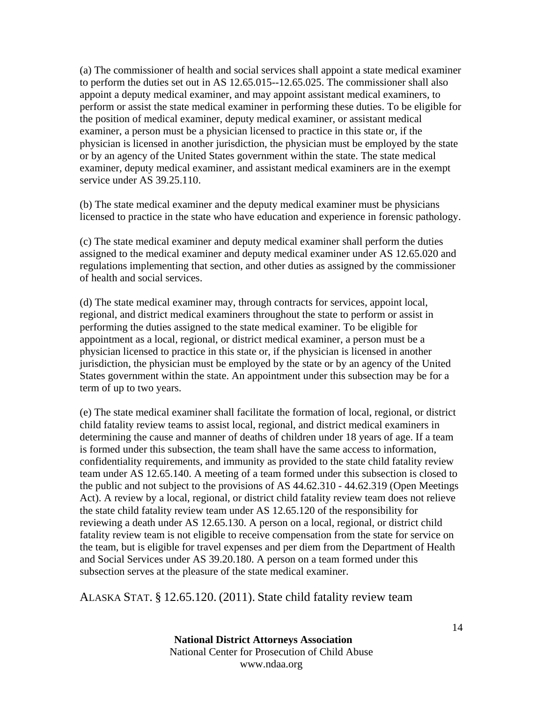<span id="page-13-0"></span>(a) The commissioner of health and social services shall appoint a state medical examiner to perform the duties set out in AS 12.65.015--[12.65.025.](http://web2.westlaw.com/find/default.wl?tc=-1&docname=AKSTS12.65.025&rp=%2ffind%2fdefault.wl&sv=Split&utid=1&rs=WLW11.07&db=1000003&tf=-1&findtype=L&fn=_top&mt=LawSchoolPractitioner&vr=2.0&pbc=A4F1CCCA&ordoc=8532990) The commissioner shall also appoint a deputy medical examiner, and may appoint assistant medical examiners, to perform or assist the state medical examiner in performing these duties. To be eligible for the position of medical examiner, deputy medical examiner, or assistant medical examiner, a person must be a physician licensed to practice in this state or, if the physician is licensed in another jurisdiction, the physician must be employed by the state or by an agency of the United States government within the state. The state medical examiner, deputy medical examiner, and assistant medical examiners are in the exempt service under [AS 39.25.110.](http://web2.westlaw.com/find/default.wl?tc=-1&docname=AKSTS39.25.110&rp=%2ffind%2fdefault.wl&sv=Split&utid=1&rs=WLW11.07&db=1000003&tf=-1&findtype=L&fn=_top&mt=LawSchoolPractitioner&vr=2.0&pbc=A4F1CCCA&ordoc=8532990)

(b) The state medical examiner and the deputy medical examiner must be physicians licensed to practice in the state who have education and experience in forensic pathology.

(c) The state medical examiner and deputy medical examiner shall perform the duties assigned to the medical examiner and deputy medical examiner under [AS 12.65.020](http://web2.westlaw.com/find/default.wl?tc=-1&docname=AKSTS12.65.020&rp=%2ffind%2fdefault.wl&sv=Split&utid=1&rs=WLW11.07&db=1000003&tf=-1&findtype=L&fn=_top&mt=LawSchoolPractitioner&vr=2.0&pbc=A4F1CCCA&ordoc=8532990) and regulations implementing that section, and other duties as assigned by the commissioner of health and social services.

(d) The state medical examiner may, through contracts for services, appoint local, regional, and district medical examiners throughout the state to perform or assist in performing the duties assigned to the state medical examiner. To be eligible for appointment as a local, regional, or district medical examiner, a person must be a physician licensed to practice in this state or, if the physician is licensed in another jurisdiction, the physician must be employed by the state or by an agency of the United States government within the state. An appointment under this subsection may be for a term of up to two years.

(e) The state medical examiner shall facilitate the formation of local, regional, or district child fatality review teams to assist local, regional, and district medical examiners in determining the cause and manner of deaths of children under 18 years of age. If a team is formed under this subsection, the team shall have the same access to information, confidentiality requirements, and immunity as provided to the state child fatality review team under [AS 12.65.140](http://web2.westlaw.com/find/default.wl?tc=-1&docname=AKSTS12.65.140&rp=%2ffind%2fdefault.wl&sv=Split&utid=1&rs=WLW11.07&db=1000003&tf=-1&findtype=L&fn=_top&mt=LawSchoolPractitioner&vr=2.0&pbc=A4F1CCCA&ordoc=8532990). A meeting of a team formed under this subsection is closed to the public and not subject to the provisions of [AS 44.62.310](http://web2.westlaw.com/find/default.wl?tc=-1&docname=AKSTS44.62.310&rp=%2ffind%2fdefault.wl&sv=Split&utid=1&rs=WLW11.07&db=1000003&tf=-1&findtype=L&fn=_top&mt=LawSchoolPractitioner&vr=2.0&pbc=A4F1CCCA&ordoc=8532990) - [44.62.319](http://web2.westlaw.com/find/default.wl?tc=-1&docname=AKSTS44.62.319&rp=%2ffind%2fdefault.wl&sv=Split&utid=1&rs=WLW11.07&db=1000003&tf=-1&findtype=L&fn=_top&mt=LawSchoolPractitioner&vr=2.0&pbc=A4F1CCCA&ordoc=8532990) (Open Meetings Act). A review by a local, regional, or district child fatality review team does not relieve the state child fatality review team under [AS 12.65.120](http://web2.westlaw.com/find/default.wl?tc=-1&docname=AKSTS12.65.120&rp=%2ffind%2fdefault.wl&sv=Split&utid=1&rs=WLW11.07&db=1000003&tf=-1&findtype=L&fn=_top&mt=LawSchoolPractitioner&vr=2.0&pbc=A4F1CCCA&ordoc=8532990) of the responsibility for reviewing a death under [AS 12.65.130.](http://web2.westlaw.com/find/default.wl?tc=-1&docname=AKSTS12.65.130&rp=%2ffind%2fdefault.wl&sv=Split&utid=1&rs=WLW11.07&db=1000003&tf=-1&findtype=L&fn=_top&mt=LawSchoolPractitioner&vr=2.0&pbc=A4F1CCCA&ordoc=8532990) A person on a local, regional, or district child fatality review team is not eligible to receive compensation from the state for service on the team, but is eligible for travel expenses and per diem from the Department of Health and Social Services under [AS 39.20.180.](http://web2.westlaw.com/find/default.wl?tc=-1&docname=AKSTS39.20.180&rp=%2ffind%2fdefault.wl&sv=Split&utid=1&rs=WLW11.07&db=1000003&tf=-1&findtype=L&fn=_top&mt=LawSchoolPractitioner&vr=2.0&pbc=A4F1CCCA&ordoc=8532990) A person on a team formed under this subsection serves at the pleasure of the state medical examiner.

ALASKA STAT. § 12.65.120. (2011). State child fatality review team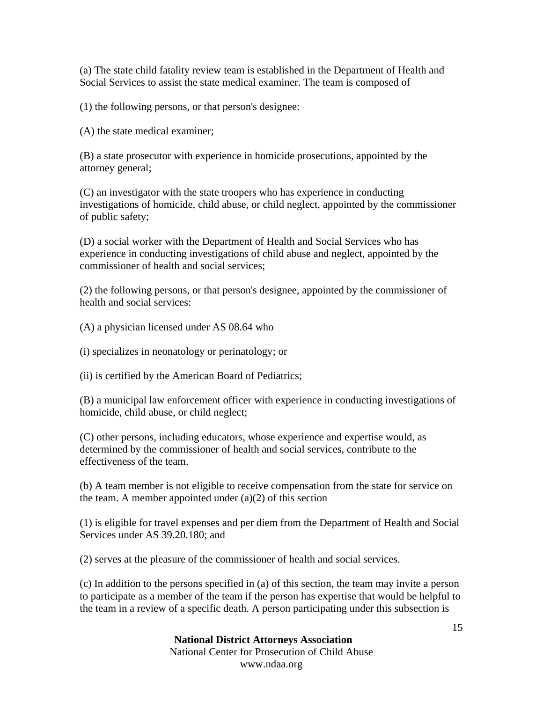(a) The state child fatality review team is established in the Department of Health and Social Services to assist the state medical examiner. The team is composed of

(1) the following persons, or that person's designee:

(A) the state medical examiner;

(B) a state prosecutor with experience in homicide prosecutions, appointed by the attorney general;

(C) an investigator with the state troopers who has experience in conducting investigations of homicide, child abuse, or child neglect, appointed by the commissioner of public safety;

(D) a social worker with the Department of Health and Social Services who has experience in conducting investigations of child abuse and neglect, appointed by the commissioner of health and social services;

(2) the following persons, or that person's designee, appointed by the commissioner of health and social services:

(A) a physician licensed under AS 08.64 who

(i) specializes in neonatology or perinatology; or

(ii) is certified by the American Board of Pediatrics;

(B) a municipal law enforcement officer with experience in conducting investigations of homicide, child abuse, or child neglect;

(C) other persons, including educators, whose experience and expertise would, as determined by the commissioner of health and social services, contribute to the effectiveness of the team.

(b) A team member is not eligible to receive compensation from the state for service on the team. A member appointed under  $(a)(2)$  of this section

(1) is eligible for travel expenses and per diem from the Department of Health and Social Services under [AS 39.20.180](http://web2.westlaw.com/find/default.wl?tc=-1&docname=AKSTS39.20.180&rp=%2ffind%2fdefault.wl&sv=Split&utid=1&rs=WLW11.07&db=1000003&tf=-1&findtype=L&fn=_top&mt=LawSchoolPractitioner&vr=2.0&pbc=80BA7CEE&ordoc=9452603); and

(2) serves at the pleasure of the commissioner of health and social services.

(c) In addition to the persons specified in (a) of this section, the team may invite a person to participate as a member of the team if the person has expertise that would be helpful to the team in a review of a specific death. A person participating under this subsection is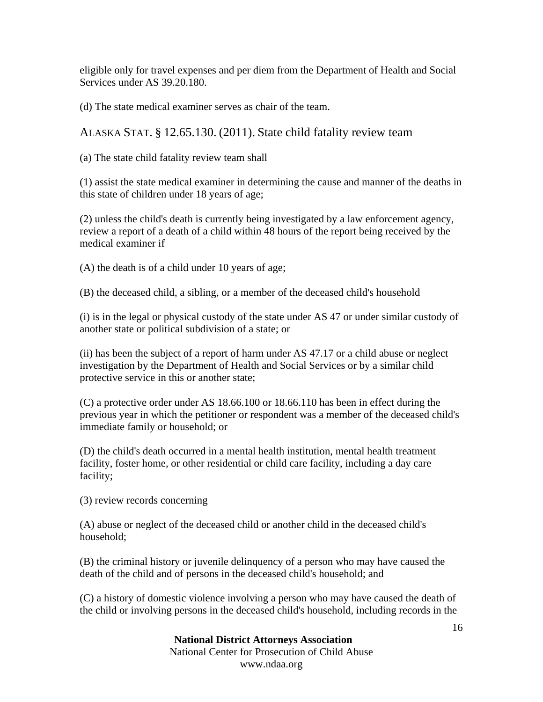<span id="page-15-0"></span>eligible only for travel expenses and per diem from the Department of Health and Social Services under [AS 39.20.180](http://web2.westlaw.com/find/default.wl?tc=-1&docname=AKSTS39.20.180&rp=%2ffind%2fdefault.wl&sv=Split&utid=1&rs=WLW11.07&db=1000003&tf=-1&findtype=L&fn=_top&mt=LawSchoolPractitioner&vr=2.0&pbc=80BA7CEE&ordoc=9452603).

(d) The state medical examiner serves as chair of the team.

ALASKA STAT. § 12.65.130. (2011). State child fatality review team

(a) The state child fatality review team shall

(1) assist the state medical examiner in determining the cause and manner of the deaths in this state of children under 18 years of age;

(2) unless the child's death is currently being investigated by a law enforcement agency, review a report of a death of a child within 48 hours of the report being received by the medical examiner if

(A) the death is of a child under 10 years of age;

(B) the deceased child, a sibling, or a member of the deceased child's household

(i) is in the legal or physical custody of the state under AS 47 or under similar custody of another state or political subdivision of a state; or

(ii) has been the subject of a report of harm under AS 47.17 or a child abuse or neglect investigation by the Department of Health and Social Services or by a similar child protective service in this or another state;

(C) a protective order under [AS 18.66.100](http://web2.westlaw.com/find/default.wl?tc=-1&docname=AKSTS18.66.100&rp=%2ffind%2fdefault.wl&sv=Split&utid=1&rs=WLW11.07&db=1000003&tf=-1&findtype=L&fn=_top&mt=LawSchoolPractitioner&vr=2.0&pbc=80BA7CEE&ordoc=9452604) or [18.66.110](http://web2.westlaw.com/find/default.wl?tc=-1&docname=AKSTS18.66.110&rp=%2ffind%2fdefault.wl&sv=Split&utid=1&rs=WLW11.07&db=1000003&tf=-1&findtype=L&fn=_top&mt=LawSchoolPractitioner&vr=2.0&pbc=80BA7CEE&ordoc=9452604) has been in effect during the previous year in which the petitioner or respondent was a member of the deceased child's immediate family or household; or

(D) the child's death occurred in a mental health institution, mental health treatment facility, foster home, or other residential or child care facility, including a day care facility;

(3) review records concerning

(A) abuse or neglect of the deceased child or another child in the deceased child's household;

(B) the criminal history or juvenile delinquency of a person who may have caused the death of the child and of persons in the deceased child's household; and

(C) a history of domestic violence involving a person who may have caused the death of the child or involving persons in the deceased child's household, including records in the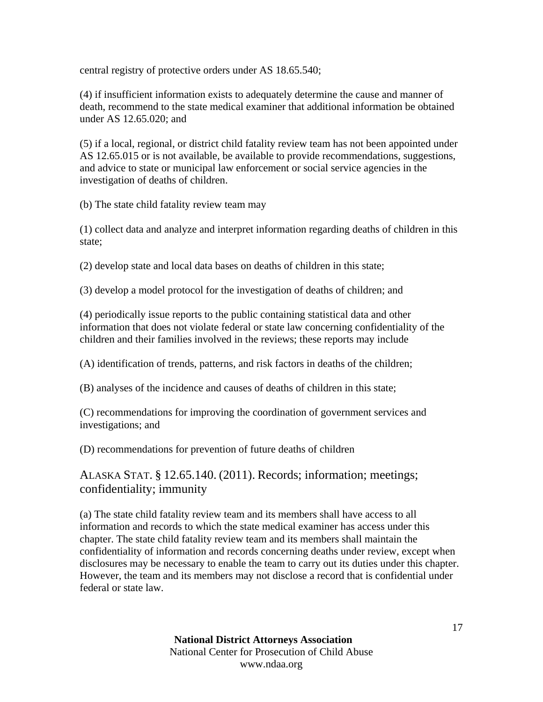<span id="page-16-0"></span>central registry of protective orders under [AS 18.65.540;](http://web2.westlaw.com/find/default.wl?tc=-1&docname=AKSTS18.65.540&rp=%2ffind%2fdefault.wl&sv=Split&utid=1&rs=WLW11.07&db=1000003&tf=-1&findtype=L&fn=_top&mt=LawSchoolPractitioner&vr=2.0&pbc=80BA7CEE&ordoc=9452604)

(4) if insufficient information exists to adequately determine the cause and manner of death, recommend to the state medical examiner that additional information be obtained under [AS 12.65.020;](http://web2.westlaw.com/find/default.wl?tc=-1&docname=AKSTS12.65.020&rp=%2ffind%2fdefault.wl&sv=Split&utid=1&rs=WLW11.07&db=1000003&tf=-1&findtype=L&fn=_top&mt=LawSchoolPractitioner&vr=2.0&pbc=80BA7CEE&ordoc=9452604) and

(5) if a local, regional, or district child fatality review team has not been appointed under [AS 12.65.015](http://web2.westlaw.com/find/default.wl?tc=-1&docname=AKSTS12.65.015&rp=%2ffind%2fdefault.wl&sv=Split&utid=1&rs=WLW11.07&db=1000003&tf=-1&findtype=L&fn=_top&mt=LawSchoolPractitioner&vr=2.0&pbc=80BA7CEE&ordoc=9452604) or is not available, be available to provide recommendations, suggestions, and advice to state or municipal law enforcement or social service agencies in the investigation of deaths of children.

(b) The state child fatality review team may

(1) collect data and analyze and interpret information regarding deaths of children in this state;

(2) develop state and local data bases on deaths of children in this state;

(3) develop a model protocol for the investigation of deaths of children; and

(4) periodically issue reports to the public containing statistical data and other information that does not violate federal or state law concerning confidentiality of the children and their families involved in the reviews; these reports may include

(A) identification of trends, patterns, and risk factors in deaths of the children;

(B) analyses of the incidence and causes of deaths of children in this state;

(C) recommendations for improving the coordination of government services and investigations; and

(D) recommendations for prevention of future deaths of children

ALASKA STAT. § 12.65.140. (2011). Records; information; meetings; confidentiality; immunity

(a) The state child fatality review team and its members shall have access to all information and records to which the state medical examiner has access under this chapter. The state child fatality review team and its members shall maintain the confidentiality of information and records concerning deaths under review, except when disclosures may be necessary to enable the team to carry out its duties under this chapter. However, the team and its members may not disclose a record that is confidential under federal or state law.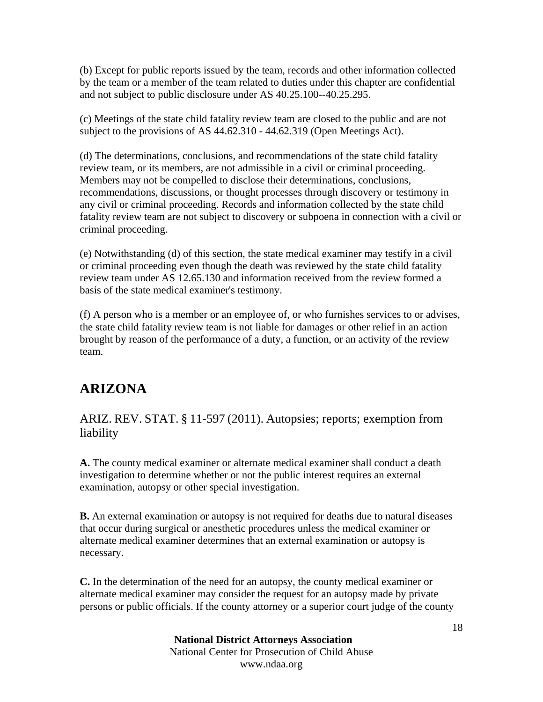<span id="page-17-0"></span>(b) Except for public reports issued by the team, records and other information collected by the team or a member of the team related to duties under this chapter are confidential and not subject to public disclosure under [AS 40.25.100](http://web2.westlaw.com/find/default.wl?tc=-1&docname=AKSTS40.25.100&rp=%2ffind%2fdefault.wl&sv=Split&utid=1&rs=WLW11.07&db=1000003&tf=-1&findtype=L&fn=_top&mt=LawSchoolPractitioner&vr=2.0&pbc=80BA7CEE&ordoc=9452605)-[-40.25.295](http://web2.westlaw.com/find/default.wl?tc=-1&docname=AKSTS40.25.295&rp=%2ffind%2fdefault.wl&sv=Split&utid=1&rs=WLW11.07&db=1000003&tf=-1&findtype=L&fn=_top&mt=LawSchoolPractitioner&vr=2.0&pbc=80BA7CEE&ordoc=9452605).

(c) Meetings of the state child fatality review team are closed to the public and are not subject to the provisions of [AS 44.62.310](http://web2.westlaw.com/find/default.wl?tc=-1&docname=AKSTS44.62.310&rp=%2ffind%2fdefault.wl&sv=Split&utid=1&rs=WLW11.07&db=1000003&tf=-1&findtype=L&fn=_top&mt=LawSchoolPractitioner&vr=2.0&pbc=80BA7CEE&ordoc=9452605) - [44.62.319](http://web2.westlaw.com/find/default.wl?tc=-1&docname=AKSTS44.62.319&rp=%2ffind%2fdefault.wl&sv=Split&utid=1&rs=WLW11.07&db=1000003&tf=-1&findtype=L&fn=_top&mt=LawSchoolPractitioner&vr=2.0&pbc=80BA7CEE&ordoc=9452605) (Open Meetings Act).

(d) The determinations, conclusions, and recommendations of the state child fatality review team, or its members, are not admissible in a civil or criminal proceeding. Members may not be compelled to disclose their determinations, conclusions, recommendations, discussions, or thought processes through discovery or testimony in any civil or criminal proceeding. Records and information collected by the state child fatality review team are not subject to discovery or subpoena in connection with a civil or criminal proceeding.

(e) Notwithstanding (d) of this section, the state medical examiner may testify in a civil or criminal proceeding even though the death was reviewed by the state child fatality review team under [AS 12.65.130](http://web2.westlaw.com/find/default.wl?tc=-1&docname=AKSTS12.65.130&rp=%2ffind%2fdefault.wl&sv=Split&utid=1&rs=WLW11.07&db=1000003&tf=-1&findtype=L&fn=_top&mt=LawSchoolPractitioner&vr=2.0&pbc=80BA7CEE&ordoc=9452605) and information received from the review formed a basis of the state medical examiner's testimony.

(f) A person who is a member or an employee of, or who furnishes services to or advises, the state child fatality review team is not liable for damages or other relief in an action brought by reason of the performance of a duty, a function, or an activity of the review team.

# **ARIZONA**

ARIZ. REV. STAT. § 11-597 (2011). Autopsies; reports; exemption from liability

**A.** The county medical examiner or alternate medical examiner shall conduct a death investigation to determine whether or not the public interest requires an external examination, autopsy or other special investigation.

**B.** An external examination or autopsy is not required for deaths due to natural diseases that occur during surgical or anesthetic procedures unless the medical examiner or alternate medical examiner determines that an external examination or autopsy is necessary.

**C.** In the determination of the need for an autopsy, the county medical examiner or alternate medical examiner may consider the request for an autopsy made by private persons or public officials. If the county attorney or a superior court judge of the county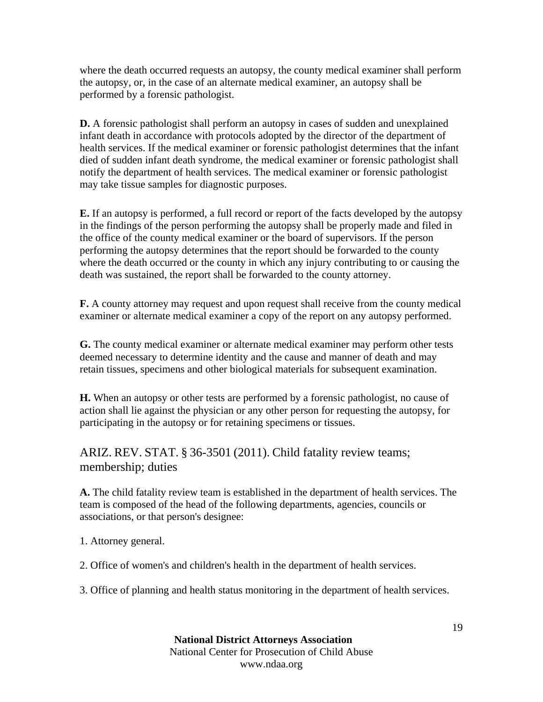<span id="page-18-0"></span>where the death occurred requests an autopsy, the county medical examiner shall perform the autopsy, or, in the case of an alternate medical examiner, an autopsy shall be performed by a forensic pathologist.

**D.** A forensic pathologist shall perform an autopsy in cases of sudden and unexplained infant death in accordance with protocols adopted by the director of the department of health services. If the medical examiner or forensic pathologist determines that the infant died of sudden infant death syndrome, the medical examiner or forensic pathologist shall notify the department of health services. The medical examiner or forensic pathologist may take tissue samples for diagnostic purposes.

**E.** If an autopsy is performed, a full record or report of the facts developed by the autopsy in the findings of the person performing the autopsy shall be properly made and filed in the office of the county medical examiner or the board of supervisors. If the person performing the autopsy determines that the report should be forwarded to the county where the death occurred or the county in which any injury contributing to or causing the death was sustained, the report shall be forwarded to the county attorney.

**F.** A county attorney may request and upon request shall receive from the county medical examiner or alternate medical examiner a copy of the report on any autopsy performed.

**G.** The county medical examiner or alternate medical examiner may perform other tests deemed necessary to determine identity and the cause and manner of death and may retain tissues, specimens and other biological materials for subsequent examination.

**H.** When an autopsy or other tests are performed by a forensic pathologist, no cause of action shall lie against the physician or any other person for requesting the autopsy, for participating in the autopsy or for retaining specimens or tissues.

ARIZ. REV. STAT. § 36-3501 (2011). Child fatality review teams; membership; duties

**A.** The child fatality review team is established in the department of health services. The team is composed of the head of the following departments, agencies, councils or associations, or that person's designee:

1. Attorney general.

2. Office of women's and children's health in the department of health services.

3. Office of planning and health status monitoring in the department of health services.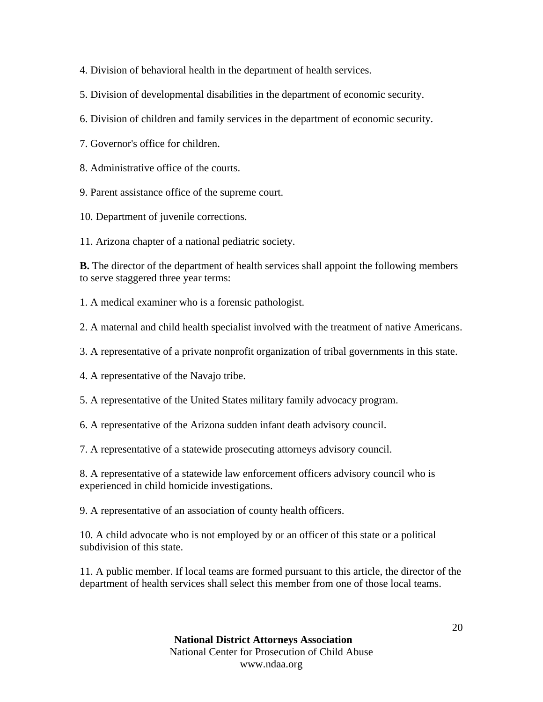4. Division of behavioral health in the department of health services.

5. Division of developmental disabilities in the department of economic security.

6. Division of children and family services in the department of economic security.

7. Governor's office for children.

8. Administrative office of the courts.

9. Parent assistance office of the supreme court.

10. Department of juvenile corrections.

11. Arizona chapter of a national pediatric society.

**B.** The director of the department of health services shall appoint the following members to serve staggered three year terms:

1. A medical examiner who is a forensic pathologist.

2. A maternal and child health specialist involved with the treatment of native Americans.

3. A representative of a private nonprofit organization of tribal governments in this state.

4. A representative of the Navajo tribe.

5. A representative of the United States military family advocacy program.

6. A representative of the Arizona sudden infant death advisory council.

7. A representative of a statewide prosecuting attorneys advisory council.

8. A representative of a statewide law enforcement officers advisory council who is experienced in child homicide investigations.

9. A representative of an association of county health officers.

10. A child advocate who is not employed by or an officer of this state or a political subdivision of this state.

11. A public member. If local teams are formed pursuant to this article, the director of the department of health services shall select this member from one of those local teams.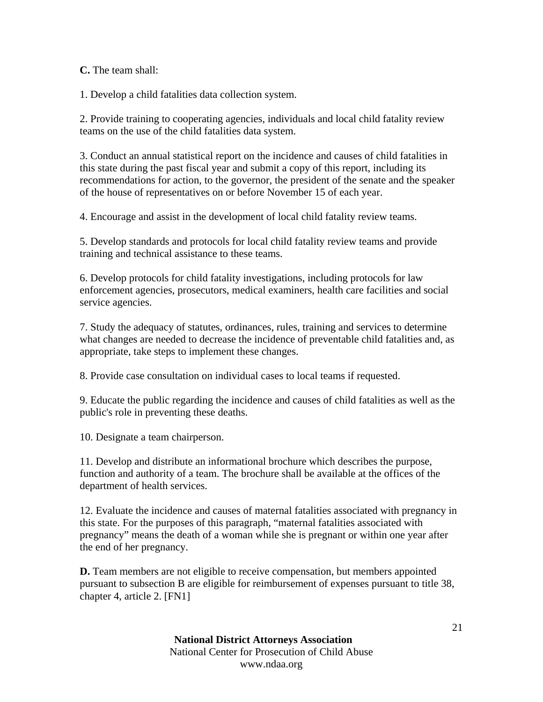**C.** The team shall:

1. Develop a child fatalities data collection system.

2. Provide training to cooperating agencies, individuals and local child fatality review teams on the use of the child fatalities data system.

3. Conduct an annual statistical report on the incidence and causes of child fatalities in this state during the past fiscal year and submit a copy of this report, including its recommendations for action, to the governor, the president of the senate and the speaker of the house of representatives on or before November 15 of each year.

4. Encourage and assist in the development of local child fatality review teams.

5. Develop standards and protocols for local child fatality review teams and provide training and technical assistance to these teams.

6. Develop protocols for child fatality investigations, including protocols for law enforcement agencies, prosecutors, medical examiners, health care facilities and social service agencies.

7. Study the adequacy of statutes, ordinances, rules, training and services to determine what changes are needed to decrease the incidence of preventable child fatalities and, as appropriate, take steps to implement these changes.

8. Provide case consultation on individual cases to local teams if requested.

9. Educate the public regarding the incidence and causes of child fatalities as well as the public's role in preventing these deaths.

10. Designate a team chairperson.

11. Develop and distribute an informational brochure which describes the purpose, function and authority of a team. The brochure shall be available at the offices of the department of health services.

12. Evaluate the incidence and causes of maternal fatalities associated with pregnancy in this state. For the purposes of this paragraph, "maternal fatalities associated with pregnancy" means the death of a woman while she is pregnant or within one year after the end of her pregnancy.

**D.** Team members are not eligible to receive compensation, but members appointed pursuant to subsection B are eligible for reimbursement of expenses pursuant to title 38, chapter 4, article 2. [\[FN1\]](#page-0-0)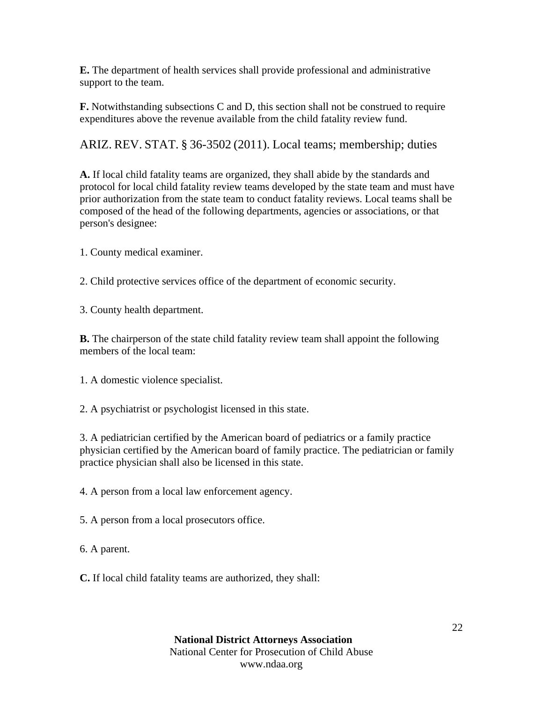<span id="page-21-0"></span>**E.** The department of health services shall provide professional and administrative support to the team.

**F.** Notwithstanding subsections C and D, this section shall not be construed to require expenditures above the revenue available from the child fatality review fund.

#### ARIZ. REV. STAT. § 36-3502 (2011). Local teams; membership; duties

**A.** If local child fatality teams are organized, they shall abide by the standards and protocol for local child fatality review teams developed by the state team and must have prior authorization from the state team to conduct fatality reviews. Local teams shall be composed of the head of the following departments, agencies or associations, or that person's designee:

1. County medical examiner.

2. Child protective services office of the department of economic security.

3. County health department.

**B.** The chairperson of the state child fatality review team shall appoint the following members of the local team:

1. A domestic violence specialist.

2. A psychiatrist or psychologist licensed in this state.

3. A pediatrician certified by the American board of pediatrics or a family practice physician certified by the American board of family practice. The pediatrician or family practice physician shall also be licensed in this state.

4. A person from a local law enforcement agency.

5. A person from a local prosecutors office.

6. A parent.

**C.** If local child fatality teams are authorized, they shall: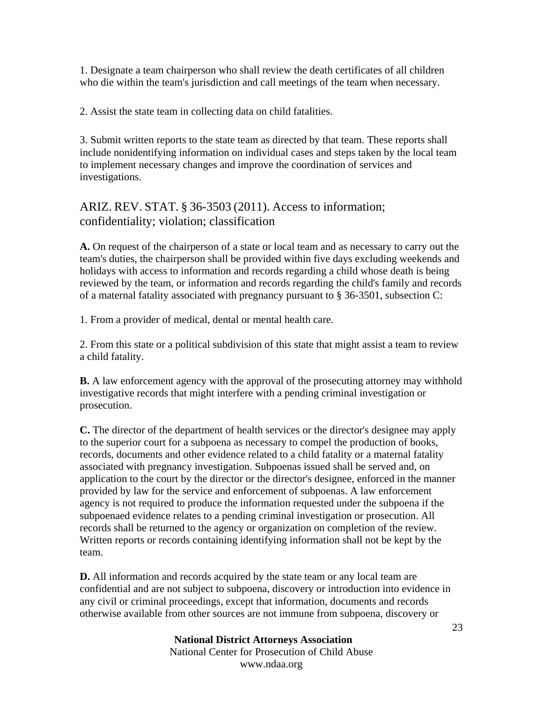<span id="page-22-0"></span>1. Designate a team chairperson who shall review the death certificates of all children who die within the team's jurisdiction and call meetings of the team when necessary.

2. Assist the state team in collecting data on child fatalities.

3. Submit written reports to the state team as directed by that team. These reports shall include nonidentifying information on individual cases and steps taken by the local team to implement necessary changes and improve the coordination of services and investigations.

### ARIZ. REV. STAT. § 36-3503 (2011). Access to information; confidentiality; violation; classification

**A.** On request of the chairperson of a state or local team and as necessary to carry out the team's duties, the chairperson shall be provided within five days excluding weekends and holidays with access to information and records regarding a child whose death is being reviewed by the team, or information and records regarding the child's family and records of a maternal fatality associated with pregnancy pursuant to [§ 36-3501,](http://web2.westlaw.com/find/default.wl?tc=-1&docname=AZSTS36-3501&rp=%2ffind%2fdefault.wl&sv=Split&utid=1&rs=WLW11.07&db=1000251&tf=-1&findtype=L&fn=_top&mt=LawSchoolPractitioner&vr=2.0&pbc=A518453B&ordoc=513395) subsection C:

1. From a provider of medical, dental or mental health care.

2. From this state or a political subdivision of this state that might assist a team to review a child fatality.

**B.** A law enforcement agency with the approval of the prosecuting attorney may withhold investigative records that might interfere with a pending criminal investigation or prosecution.

**C.** The director of the department of health services or the director's designee may apply to the superior court for a subpoena as necessary to compel the production of books, records, documents and other evidence related to a child fatality or a maternal fatality associated with pregnancy investigation. Subpoenas issued shall be served and, on application to the court by the director or the director's designee, enforced in the manner provided by law for the service and enforcement of subpoenas. A law enforcement agency is not required to produce the information requested under the subpoena if the subpoenaed evidence relates to a pending criminal investigation or prosecution. All records shall be returned to the agency or organization on completion of the review. Written reports or records containing identifying information shall not be kept by the team.

**D.** All information and records acquired by the state team or any local team are confidential and are not subject to subpoena, discovery or introduction into evidence in any civil or criminal proceedings, except that information, documents and records otherwise available from other sources are not immune from subpoena, discovery or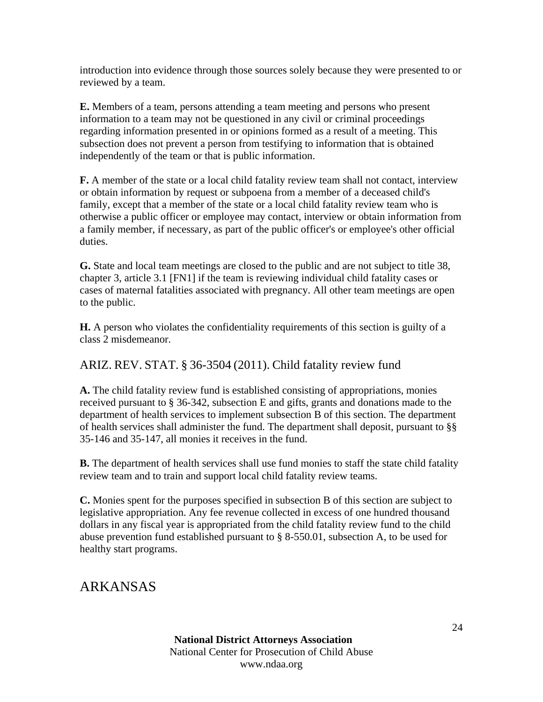<span id="page-23-0"></span>introduction into evidence through those sources solely because they were presented to or reviewed by a team.

**E.** Members of a team, persons attending a team meeting and persons who present information to a team may not be questioned in any civil or criminal proceedings regarding information presented in or opinions formed as a result of a meeting. This subsection does not prevent a person from testifying to information that is obtained independently of the team or that is public information.

**F.** A member of the state or a local child fatality review team shall not contact, interview or obtain information by request or subpoena from a member of a deceased child's family, except that a member of the state or a local child fatality review team who is otherwise a public officer or employee may contact, interview or obtain information from a family member, if necessary, as part of the public officer's or employee's other official duties.

**G.** State and local team meetings are closed to the public and are not subject to title 38, chapter 3, article 3.1 [\[FN1\]](#page-0-0) if the team is reviewing individual child fatality cases or cases of maternal fatalities associated with pregnancy. All other team meetings are open to the public.

**H.** A person who violates the confidentiality requirements of this section is guilty of a class 2 misdemeanor.

#### ARIZ. REV. STAT. § 36-3504 (2011). Child fatality review fund

**A.** The child fatality review fund is established consisting of appropriations, monies received pursuant to [§ 36-342](http://web2.westlaw.com/find/default.wl?tc=-1&docname=AZSTS36-342&rp=%2ffind%2fdefault.wl&sv=Split&utid=1&rs=WLW11.07&db=1000251&tf=-1&findtype=L&fn=_top&mt=LawSchoolPractitioner&vr=2.0&pbc=A518453B&ordoc=513396), subsection E and gifts, grants and donations made to the department of health services to implement subsection B of this section. The department of health services shall administer the fund. The department shall deposit, pursuant to [§§](http://web2.westlaw.com/find/default.wl?tc=-1&docname=AZSTS35-146&rp=%2ffind%2fdefault.wl&sv=Split&utid=1&rs=WLW11.07&db=1000251&tf=-1&findtype=L&fn=_top&mt=LawSchoolPractitioner&vr=2.0&pbc=A518453B&ordoc=513396)  [35-146](http://web2.westlaw.com/find/default.wl?tc=-1&docname=AZSTS35-146&rp=%2ffind%2fdefault.wl&sv=Split&utid=1&rs=WLW11.07&db=1000251&tf=-1&findtype=L&fn=_top&mt=LawSchoolPractitioner&vr=2.0&pbc=A518453B&ordoc=513396) and [35-147](http://web2.westlaw.com/find/default.wl?tc=-1&docname=AZSTS35-147&rp=%2ffind%2fdefault.wl&sv=Split&utid=1&rs=WLW11.07&db=1000251&tf=-1&findtype=L&fn=_top&mt=LawSchoolPractitioner&vr=2.0&pbc=A518453B&ordoc=513396), all monies it receives in the fund.

**B.** The department of health services shall use fund monies to staff the state child fatality review team and to train and support local child fatality review teams.

**C.** Monies spent for the purposes specified in subsection B of this section are subject to legislative appropriation. Any fee revenue collected in excess of one hundred thousand dollars in any fiscal year is appropriated from the child fatality review fund to the child abuse prevention fund established pursuant to [§ 8-550.01, subsection A,](http://web2.westlaw.com/find/default.wl?referencepositiontype=T&docname=AZSTS8-550.01&rp=%2ffind%2fdefault.wl&sv=Split&utid=1&rs=WLW11.07&db=1000251&tf=-1&findtype=L&fn=_top&mt=LawSchoolPractitioner&vr=2.0&referenceposition=SP%3b12f40000b0d36&pbc=A518453B&tc=-1&ordoc=513396) to be used for healthy start programs.

### ARKANSAS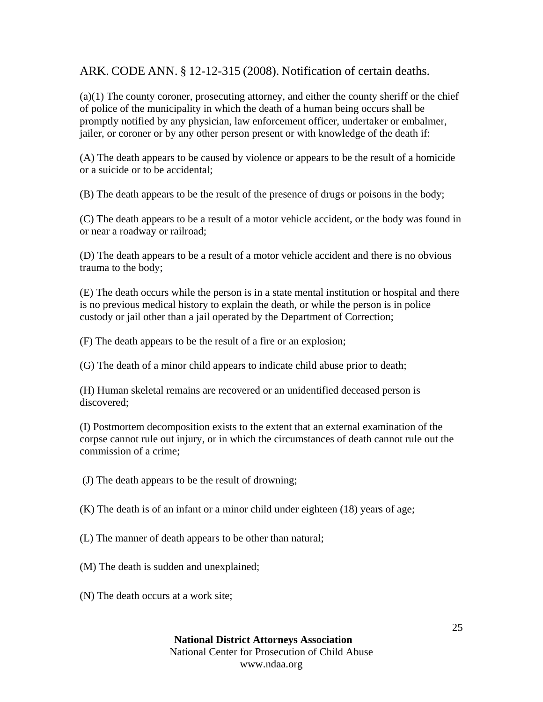<span id="page-24-0"></span>ARK. CODE ANN. § 12-12-315 (2008). Notification of certain deaths.

(a)(1) The county coroner, prosecuting attorney, and either the county sheriff or the chief of police of the municipality in which the death of a human being occurs shall be promptly notified by any physician, law enforcement officer, undertaker or embalmer, jailer, or coroner or by any other person present or with knowledge of the death if:

(A) The death appears to be caused by violence or appears to be the result of a homicide or a suicide or to be accidental;

(B) The death appears to be the result of the presence of drugs or poisons in the body;

(C) The death appears to be a result of a motor vehicle accident, or the body was found in or near a roadway or railroad;

(D) The death appears to be a result of a motor vehicle accident and there is no obvious trauma to the body;

(E) The death occurs while the person is in a state mental institution or hospital and there is no previous medical history to explain the death, or while the person is in police custody or jail other than a jail operated by the Department of Correction;

(F) The death appears to be the result of a fire or an explosion;

(G) The death of a minor child appears to indicate child abuse prior to death;

(H) Human skeletal remains are recovered or an unidentified deceased person is discovered;

(I) Postmortem decomposition exists to the extent that an external examination of the corpse cannot rule out injury, or in which the circumstances of death cannot rule out the commission of a crime;

(J) The death appears to be the result of drowning;

(K) The death is of an infant or a minor child under eighteen (18) years of age;

(L) The manner of death appears to be other than natural;

(M) The death is sudden and unexplained;

(N) The death occurs at a work site;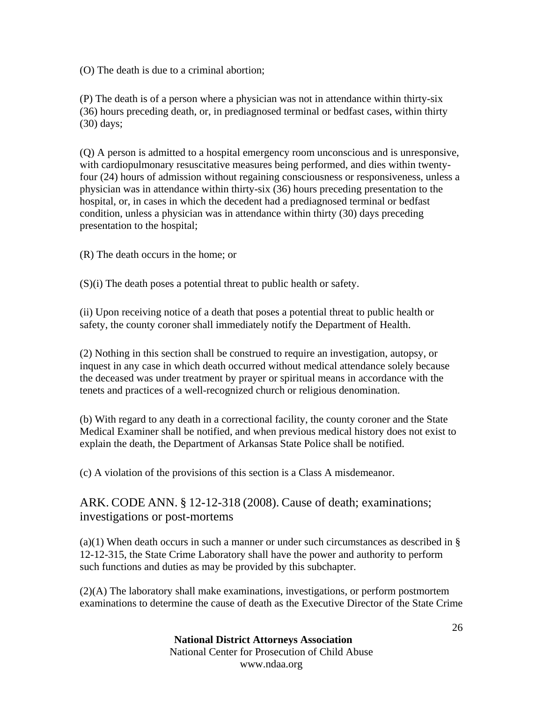<span id="page-25-0"></span>(O) The death is due to a criminal abortion;

(P) The death is of a person where a physician was not in attendance within thirty-six (36) hours preceding death, or, in prediagnosed terminal or bedfast cases, within thirty (30) days;

(Q) A person is admitted to a hospital emergency room unconscious and is unresponsive, with cardiopulmonary resuscitative measures being performed, and dies within twentyfour (24) hours of admission without regaining consciousness or responsiveness, unless a physician was in attendance within thirty-six (36) hours preceding presentation to the hospital, or, in cases in which the decedent had a prediagnosed terminal or bedfast condition, unless a physician was in attendance within thirty (30) days preceding presentation to the hospital;

(R) The death occurs in the home; or

(S)(i) The death poses a potential threat to public health or safety.

(ii) Upon receiving notice of a death that poses a potential threat to public health or safety, the county coroner shall immediately notify the Department of Health.

(2) Nothing in this section shall be construed to require an investigation, autopsy, or inquest in any case in which death occurred without medical attendance solely because the deceased was under treatment by prayer or spiritual means in accordance with the tenets and practices of a well-recognized church or religious denomination.

(b) With regard to any death in a correctional facility, the county coroner and the State Medical Examiner shall be notified, and when previous medical history does not exist to explain the death, the Department of Arkansas State Police shall be notified.

(c) A violation of the provisions of this section is a Class A misdemeanor.

ARK. CODE ANN. § 12-12-318 (2008). Cause of death; examinations; investigations or post-mortems

(a)(1) When death occurs in such a manner or under such circumstances as described in [§](http://web2.westlaw.com/find/default.wl?tc=-1&docname=ARSTS12-12-315&rp=%2ffind%2fdefault.wl&sv=Split&utid=1&rs=WLW11.07&db=1000004&tf=-1&findtype=L&fn=_top&mt=LawSchoolPractitioner&vr=2.0&pbc=995FFD08&ordoc=8247023)  [12-12-315,](http://web2.westlaw.com/find/default.wl?tc=-1&docname=ARSTS12-12-315&rp=%2ffind%2fdefault.wl&sv=Split&utid=1&rs=WLW11.07&db=1000004&tf=-1&findtype=L&fn=_top&mt=LawSchoolPractitioner&vr=2.0&pbc=995FFD08&ordoc=8247023) the State Crime Laboratory shall have the power and authority to perform such functions and duties as may be provided by this subchapter.

(2)(A) The laboratory shall make examinations, investigations, or perform postmortem examinations to determine the cause of death as the Executive Director of the State Crime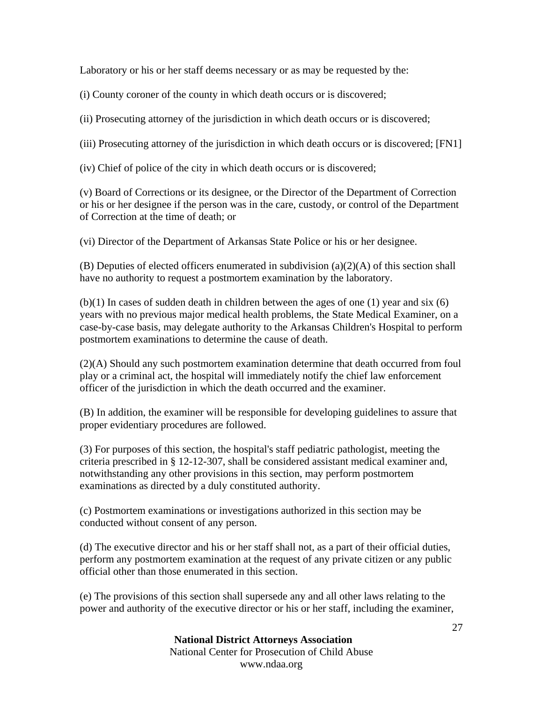Laboratory or his or her staff deems necessary or as may be requested by the:

(i) County coroner of the county in which death occurs or is discovered;

(ii) Prosecuting attorney of the jurisdiction in which death occurs or is discovered;

(iii) Prosecuting attorney of the jurisdiction in which death occurs or is discovered; [\[FN1\]](#page-0-0) 

(iv) Chief of police of the city in which death occurs or is discovered;

(v) Board of Corrections or its designee, or the Director of the Department of Correction or his or her designee if the person was in the care, custody, or control of the Department of Correction at the time of death; or

(vi) Director of the Department of Arkansas State Police or his or her designee.

(B) Deputies of elected officers enumerated in subdivision (a)(2)(A) of this section shall have no authority to request a postmortem examination by the laboratory.

(b)(1) In cases of sudden death in children between the ages of one (1) year and six (6) years with no previous major medical health problems, the State Medical Examiner, on a case-by-case basis, may delegate authority to the Arkansas Children's Hospital to perform postmortem examinations to determine the cause of death.

(2)(A) Should any such postmortem examination determine that death occurred from foul play or a criminal act, the hospital will immediately notify the chief law enforcement officer of the jurisdiction in which the death occurred and the examiner.

(B) In addition, the examiner will be responsible for developing guidelines to assure that proper evidentiary procedures are followed.

(3) For purposes of this section, the hospital's staff pediatric pathologist, meeting the criteria prescribed in [§ 12-12-307](http://web2.westlaw.com/find/default.wl?tc=-1&docname=ARSTS12-12-307&rp=%2ffind%2fdefault.wl&sv=Split&utid=1&rs=WLW11.07&db=1000004&tf=-1&findtype=L&fn=_top&mt=LawSchoolPractitioner&vr=2.0&pbc=995FFD08&ordoc=8247023), shall be considered assistant medical examiner and, notwithstanding any other provisions in this section, may perform postmortem examinations as directed by a duly constituted authority.

(c) Postmortem examinations or investigations authorized in this section may be conducted without consent of any person.

(d) The executive director and his or her staff shall not, as a part of their official duties, perform any postmortem examination at the request of any private citizen or any public official other than those enumerated in this section.

(e) The provisions of this section shall supersede any and all other laws relating to the power and authority of the executive director or his or her staff, including the examiner,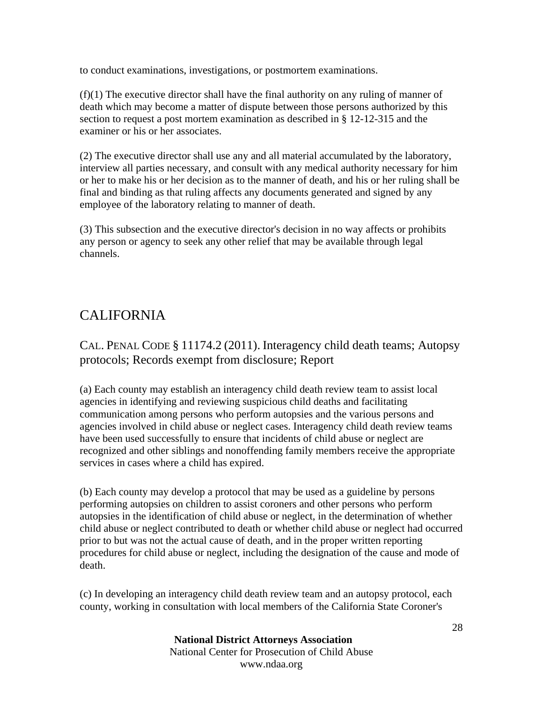<span id="page-27-0"></span>to conduct examinations, investigations, or postmortem examinations.

 $(f)(1)$  The executive director shall have the final authority on any ruling of manner of death which may become a matter of dispute between those persons authorized by this section to request a post mortem examination as described in [§ 12-12-315](http://web2.westlaw.com/find/default.wl?tc=-1&docname=ARSTS12-12-315&rp=%2ffind%2fdefault.wl&sv=Split&utid=1&rs=WLW11.07&db=1000004&tf=-1&findtype=L&fn=_top&mt=LawSchoolPractitioner&vr=2.0&pbc=995FFD08&ordoc=8247023) and the examiner or his or her associates.

(2) The executive director shall use any and all material accumulated by the laboratory, interview all parties necessary, and consult with any medical authority necessary for him or her to make his or her decision as to the manner of death, and his or her ruling shall be final and binding as that ruling affects any documents generated and signed by any employee of the laboratory relating to manner of death.

(3) This subsection and the executive director's decision in no way affects or prohibits any person or agency to seek any other relief that may be available through legal channels.

### CALIFORNIA

CAL. PENAL CODE § 11174.2 (2011). Interagency child death teams; Autopsy protocols; Records exempt from disclosure; Report

(a) Each county may establish an interagency child death review team to assist local agencies in identifying and reviewing suspicious child deaths and facilitating communication among persons who perform autopsies and the various persons and agencies involved in child abuse or neglect cases. Interagency child death review teams have been used successfully to ensure that incidents of child abuse or neglect are recognized and other siblings and nonoffending family members receive the appropriate services in cases where a child has expired.

(b) Each county may develop a protocol that may be used as a guideline by persons performing autopsies on children to assist coroners and other persons who perform autopsies in the identification of child abuse or neglect, in the determination of whether child abuse or neglect contributed to death or whether child abuse or neglect had occurred prior to but was not the actual cause of death, and in the proper written reporting procedures for child abuse or neglect, including the designation of the cause and mode of death.

(c) In developing an interagency child death review team and an autopsy protocol, each county, working in consultation with local members of the California State Coroner's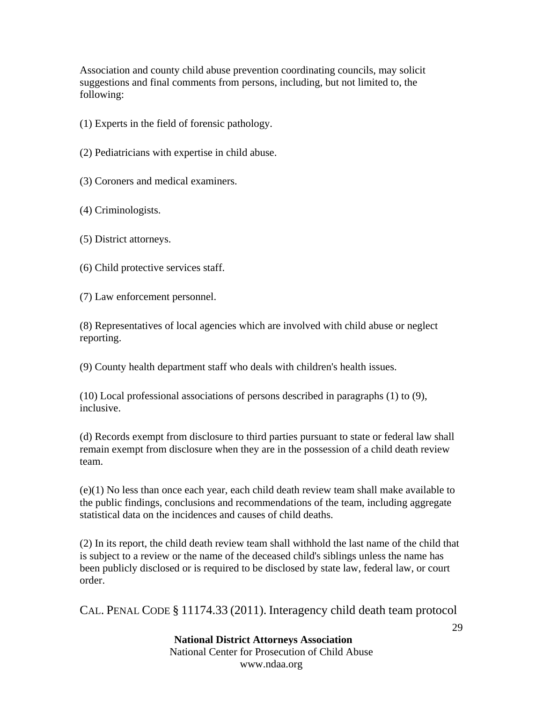<span id="page-28-0"></span>Association and county child abuse prevention coordinating councils, may solicit suggestions and final comments from persons, including, but not limited to, the following:

(1) Experts in the field of forensic pathology.

(2) Pediatricians with expertise in child abuse.

(3) Coroners and medical examiners.

(4) Criminologists.

(5) District attorneys.

(6) Child protective services staff.

(7) Law enforcement personnel.

(8) Representatives of local agencies which are involved with child abuse or neglect reporting.

(9) County health department staff who deals with children's health issues.

(10) Local professional associations of persons described in paragraphs (1) to (9), inclusive.

(d) Records exempt from disclosure to third parties pursuant to state or federal law shall remain exempt from disclosure when they are in the possession of a child death review team.

(e)(1) No less than once each year, each child death review team shall make available to the public findings, conclusions and recommendations of the team, including aggregate statistical data on the incidences and causes of child deaths.

(2) In its report, the child death review team shall withhold the last name of the child that is subject to a review or the name of the deceased child's siblings unless the name has been publicly disclosed or is required to be disclosed by state law, federal law, or court order.

CAL. PENAL CODE § 11174.33 (2011). Interagency child death team protocol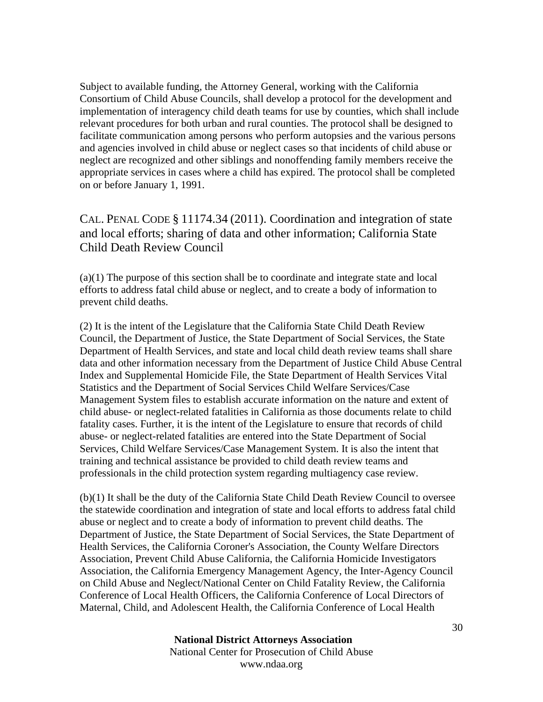<span id="page-29-0"></span>Subject to available funding, the Attorney General, working with the California Consortium of Child Abuse Councils, shall develop a protocol for the development and implementation of interagency child death teams for use by counties, which shall include relevant procedures for both urban and rural counties. The protocol shall be designed to facilitate communication among persons who perform autopsies and the various persons and agencies involved in child abuse or neglect cases so that incidents of child abuse or neglect are recognized and other siblings and nonoffending family members receive the appropriate services in cases where a child has expired. The protocol shall be completed on or before January 1, 1991.

#### CAL. PENAL CODE § 11174.34 (2011). Coordination and integration of state and local efforts; sharing of data and other information; California State Child Death Review Council

(a)(1) The purpose of this section shall be to coordinate and integrate state and local efforts to address fatal child abuse or neglect, and to create a body of information to prevent child deaths.

(2) It is the intent of the Legislature that the California State Child Death Review Council, the Department of Justice, the State Department of Social Services, the State Department of Health Services, and state and local child death review teams shall share data and other information necessary from the Department of Justice Child Abuse Central Index and Supplemental Homicide File, the State Department of Health Services Vital Statistics and the Department of Social Services Child Welfare Services/Case Management System files to establish accurate information on the nature and extent of child abuse- or neglect-related fatalities in California as those documents relate to child fatality cases. Further, it is the intent of the Legislature to ensure that records of child abuse- or neglect-related fatalities are entered into the State Department of Social Services, Child Welfare Services/Case Management System. It is also the intent that training and technical assistance be provided to child death review teams and professionals in the child protection system regarding multiagency case review.

(b)(1) It shall be the duty of the California State Child Death Review Council to oversee the statewide coordination and integration of state and local efforts to address fatal child abuse or neglect and to create a body of information to prevent child deaths. The Department of Justice, the State Department of Social Services, the State Department of Health Services, the California Coroner's Association, the County Welfare Directors Association, Prevent Child Abuse California, the California Homicide Investigators Association, the California Emergency Management Agency, the Inter-Agency Council on Child Abuse and Neglect/National Center on Child Fatality Review, the California Conference of Local Health Officers, the California Conference of Local Directors of Maternal, Child, and Adolescent Health, the California Conference of Local Health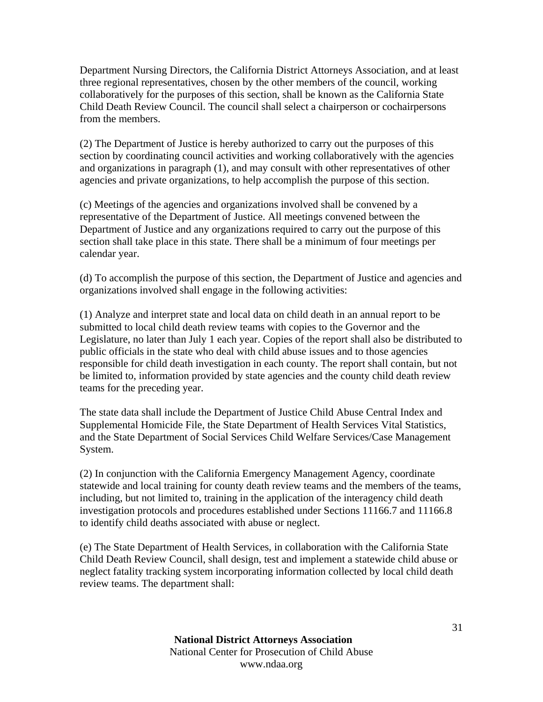Department Nursing Directors, the California District Attorneys Association, and at least three regional representatives, chosen by the other members of the council, working collaboratively for the purposes of this section, shall be known as the California State Child Death Review Council. The council shall select a chairperson or cochairpersons from the members.

(2) The Department of Justice is hereby authorized to carry out the purposes of this section by coordinating council activities and working collaboratively with the agencies and organizations in paragraph (1), and may consult with other representatives of other agencies and private organizations, to help accomplish the purpose of this section.

(c) Meetings of the agencies and organizations involved shall be convened by a representative of the Department of Justice. All meetings convened between the Department of Justice and any organizations required to carry out the purpose of this section shall take place in this state. There shall be a minimum of four meetings per calendar year.

(d) To accomplish the purpose of this section, the Department of Justice and agencies and organizations involved shall engage in the following activities:

(1) Analyze and interpret state and local data on child death in an annual report to be submitted to local child death review teams with copies to the Governor and the Legislature, no later than July 1 each year. Copies of the report shall also be distributed to public officials in the state who deal with child abuse issues and to those agencies responsible for child death investigation in each county. The report shall contain, but not be limited to, information provided by state agencies and the county child death review teams for the preceding year.

The state data shall include the Department of Justice Child Abuse Central Index and Supplemental Homicide File, the State Department of Health Services Vital Statistics, and the State Department of Social Services Child Welfare Services/Case Management System.

(2) In conjunction with the California Emergency Management Agency, coordinate statewide and local training for county death review teams and the members of the teams, including, but not limited to, training in the application of the interagency child death investigation protocols and procedures established under [Sections 11166.7](http://web2.westlaw.com/find/default.wl?tc=-1&docname=CAPES11166.7&rp=%2ffind%2fdefault.wl&sv=Split&utid=1&rs=WLW11.07&db=1000217&tf=-1&findtype=L&fn=_top&mt=LawSchoolPractitioner&vr=2.0&pbc=3AAF0DFC&ordoc=15998016) and [11166.8](http://web2.westlaw.com/find/default.wl?tc=-1&docname=CAPES11166.8&rp=%2ffind%2fdefault.wl&sv=Split&utid=1&rs=WLW11.07&db=1000217&tf=-1&findtype=L&fn=_top&mt=LawSchoolPractitioner&vr=2.0&pbc=3AAF0DFC&ordoc=15998016) to identify child deaths associated with abuse or neglect.

(e) The State Department of Health Services, in collaboration with the California State Child Death Review Council, shall design, test and implement a statewide child abuse or neglect fatality tracking system incorporating information collected by local child death review teams. The department shall: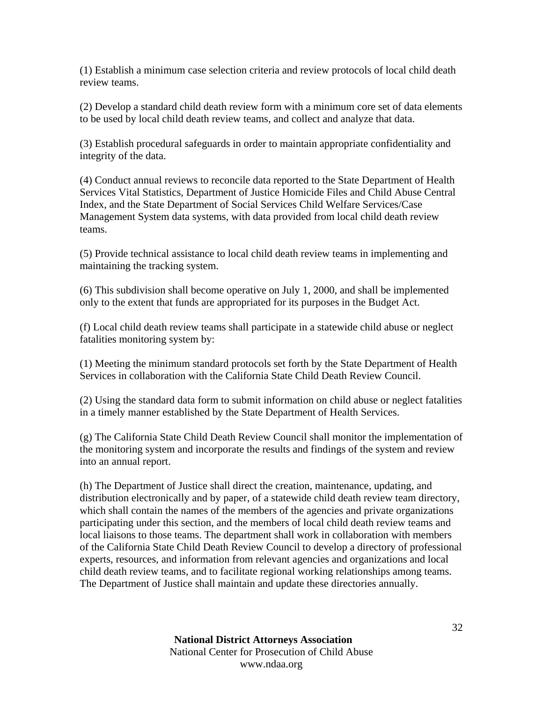(1) Establish a minimum case selection criteria and review protocols of local child death review teams.

(2) Develop a standard child death review form with a minimum core set of data elements to be used by local child death review teams, and collect and analyze that data.

(3) Establish procedural safeguards in order to maintain appropriate confidentiality and integrity of the data.

(4) Conduct annual reviews to reconcile data reported to the State Department of Health Services Vital Statistics, Department of Justice Homicide Files and Child Abuse Central Index, and the State Department of Social Services Child Welfare Services/Case Management System data systems, with data provided from local child death review teams.

(5) Provide technical assistance to local child death review teams in implementing and maintaining the tracking system.

(6) This subdivision shall become operative on July 1, 2000, and shall be implemented only to the extent that funds are appropriated for its purposes in the Budget Act.

(f) Local child death review teams shall participate in a statewide child abuse or neglect fatalities monitoring system by:

(1) Meeting the minimum standard protocols set forth by the State Department of Health Services in collaboration with the California State Child Death Review Council.

(2) Using the standard data form to submit information on child abuse or neglect fatalities in a timely manner established by the State Department of Health Services.

(g) The California State Child Death Review Council shall monitor the implementation of the monitoring system and incorporate the results and findings of the system and review into an annual report.

(h) The Department of Justice shall direct the creation, maintenance, updating, and distribution electronically and by paper, of a statewide child death review team directory, which shall contain the names of the members of the agencies and private organizations participating under this section, and the members of local child death review teams and local liaisons to those teams. The department shall work in collaboration with members of the California State Child Death Review Council to develop a directory of professional experts, resources, and information from relevant agencies and organizations and local child death review teams, and to facilitate regional working relationships among teams. The Department of Justice shall maintain and update these directories annually.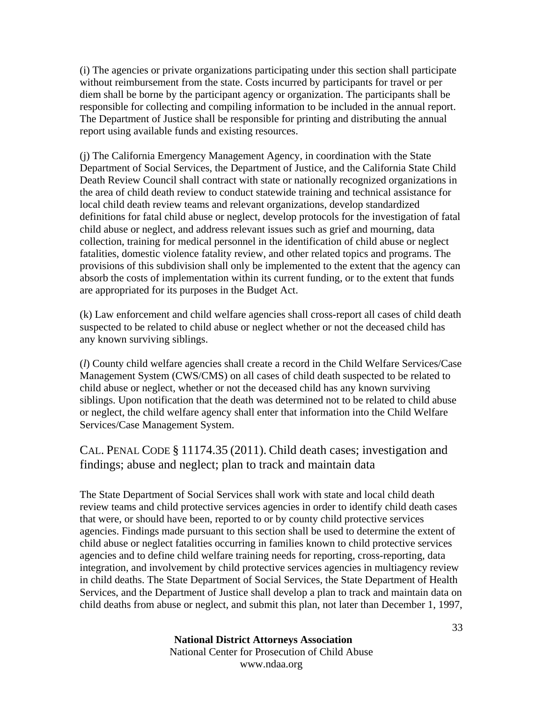<span id="page-32-0"></span>(i) The agencies or private organizations participating under this section shall participate without reimbursement from the state. Costs incurred by participants for travel or per diem shall be borne by the participant agency or organization. The participants shall be responsible for collecting and compiling information to be included in the annual report. The Department of Justice shall be responsible for printing and distributing the annual report using available funds and existing resources.

(j) The California Emergency Management Agency, in coordination with the State Department of Social Services, the Department of Justice, and the California State Child Death Review Council shall contract with state or nationally recognized organizations in the area of child death review to conduct statewide training and technical assistance for local child death review teams and relevant organizations, develop standardized definitions for fatal child abuse or neglect, develop protocols for the investigation of fatal child abuse or neglect, and address relevant issues such as grief and mourning, data collection, training for medical personnel in the identification of child abuse or neglect fatalities, domestic violence fatality review, and other related topics and programs. The provisions of this subdivision shall only be implemented to the extent that the agency can absorb the costs of implementation within its current funding, or to the extent that funds are appropriated for its purposes in the Budget Act.

(k) Law enforcement and child welfare agencies shall cross-report all cases of child death suspected to be related to child abuse or neglect whether or not the deceased child has any known surviving siblings.

(*l*) County child welfare agencies shall create a record in the Child Welfare Services/Case Management System (CWS/CMS) on all cases of child death suspected to be related to child abuse or neglect, whether or not the deceased child has any known surviving siblings. Upon notification that the death was determined not to be related to child abuse or neglect, the child welfare agency shall enter that information into the Child Welfare Services/Case Management System.

#### CAL. PENAL CODE § 11174.35 (2011). Child death cases; investigation and findings; abuse and neglect; plan to track and maintain data

The State Department of Social Services shall work with state and local child death review teams and child protective services agencies in order to identify child death cases that were, or should have been, reported to or by county child protective services agencies. Findings made pursuant to this section shall be used to determine the extent of child abuse or neglect fatalities occurring in families known to child protective services agencies and to define child welfare training needs for reporting, cross-reporting, data integration, and involvement by child protective services agencies in multiagency review in child deaths. The State Department of Social Services, the State Department of Health Services, and the Department of Justice shall develop a plan to track and maintain data on child deaths from abuse or neglect, and submit this plan, not later than December 1, 1997,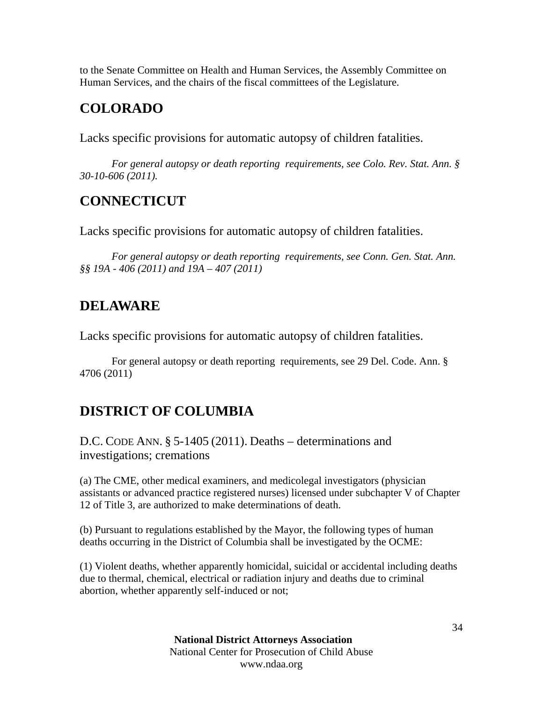<span id="page-33-0"></span>to the Senate Committee on Health and Human Services, the Assembly Committee on Human Services, and the chairs of the fiscal committees of the Legislature.

# **COLORADO**

Lacks specific provisions for automatic autopsy of children fatalities.

*For general autopsy or death reporting requirements, see Colo. Rev. Stat. Ann. § 30-10-606 (2011).* 

# **CONNECTICUT**

Lacks specific provisions for automatic autopsy of children fatalities.

*For general autopsy or death reporting requirements, see Conn. Gen. Stat. Ann. §§ 19A - 406 (2011) and 19A – 407 (2011)* 

# **DELAWARE**

Lacks specific provisions for automatic autopsy of children fatalities.

For general autopsy or death reporting requirements, see 29 Del. Code. Ann. § 4706 (2011)

# **DISTRICT OF COLUMBIA**

D.C. CODE ANN. § 5-1405 (2011). Deaths – determinations and investigations; cremations

(a) The CME, other medical examiners, and medicolegal investigators (physician assistants or advanced practice registered nurses) licensed under subchapter V of Chapter 12 of Title 3, are authorized to make determinations of death.

(b) Pursuant to regulations established by the Mayor, the following types of human deaths occurring in the District of Columbia shall be investigated by the OCME:

(1) Violent deaths, whether apparently homicidal, suicidal or accidental including deaths due to thermal, chemical, electrical or radiation injury and deaths due to criminal abortion, whether apparently self-induced or not;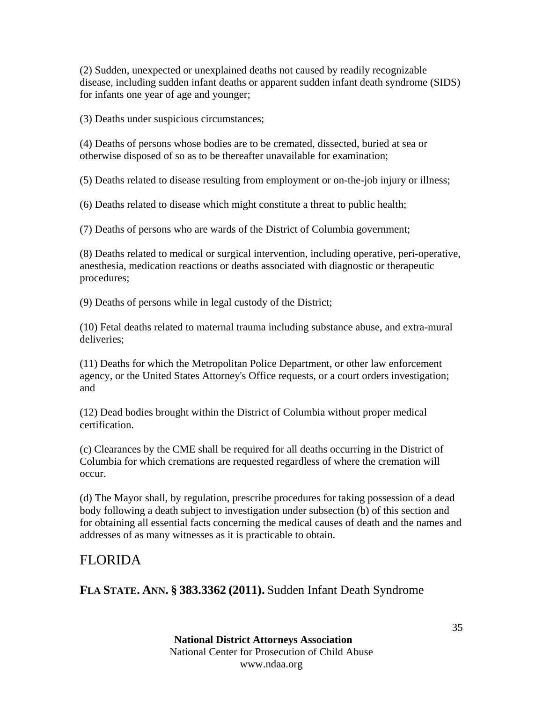<span id="page-34-0"></span>(2) Sudden, unexpected or unexplained deaths not caused by readily recognizable disease, including sudden infant deaths or apparent sudden infant death syndrome (SIDS) for infants one year of age and younger;

(3) Deaths under suspicious circumstances;

(4) Deaths of persons whose bodies are to be cremated, dissected, buried at sea or otherwise disposed of so as to be thereafter unavailable for examination;

(5) Deaths related to disease resulting from employment or on-the-job injury or illness;

(6) Deaths related to disease which might constitute a threat to public health;

(7) Deaths of persons who are wards of the District of Columbia government;

(8) Deaths related to medical or surgical intervention, including operative, peri-operative, anesthesia, medication reactions or deaths associated with diagnostic or therapeutic procedures;

(9) Deaths of persons while in legal custody of the District;

(10) Fetal deaths related to maternal trauma including substance abuse, and extra-mural deliveries;

(11) Deaths for which the Metropolitan Police Department, or other law enforcement agency, or the United States Attorney's Office requests, or a court orders investigation; and

(12) Dead bodies brought within the District of Columbia without proper medical certification.

(c) Clearances by the CME shall be required for all deaths occurring in the District of Columbia for which cremations are requested regardless of where the cremation will occur.

(d) The Mayor shall, by regulation, prescribe procedures for taking possession of a dead body following a death subject to investigation under subsection (b) of this section and for obtaining all essential facts concerning the medical causes of death and the names and addresses of as many witnesses as it is practicable to obtain.

### FLORIDA

**FLA STATE. ANN. § 383.3362 (2011).** Sudden Infant Death Syndrome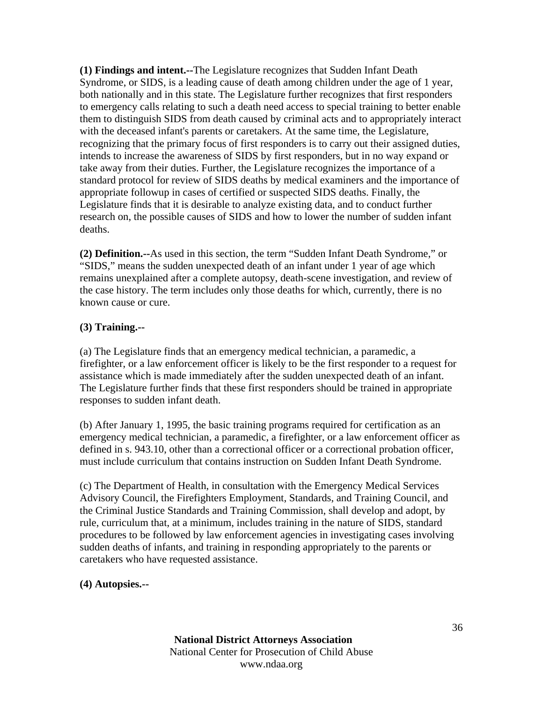**(1) Findings and intent.--**The Legislature recognizes that Sudden Infant Death Syndrome, or SIDS, is a leading cause of death among children under the age of 1 year, both nationally and in this state. The Legislature further recognizes that first responders to emergency calls relating to such a death need access to special training to better enable them to distinguish SIDS from death caused by criminal acts and to appropriately interact with the deceased infant's parents or caretakers. At the same time, the Legislature, recognizing that the primary focus of first responders is to carry out their assigned duties, intends to increase the awareness of SIDS by first responders, but in no way expand or take away from their duties. Further, the Legislature recognizes the importance of a standard protocol for review of SIDS deaths by medical examiners and the importance of appropriate followup in cases of certified or suspected SIDS deaths. Finally, the Legislature finds that it is desirable to analyze existing data, and to conduct further research on, the possible causes of SIDS and how to lower the number of sudden infant deaths.

**(2) Definition.--**As used in this section, the term "Sudden Infant Death Syndrome," or "SIDS," means the sudden unexpected death of an infant under 1 year of age which remains unexplained after a complete autopsy, death-scene investigation, and review of the case history. The term includes only those deaths for which, currently, there is no known cause or cure.

#### **(3) Training.--**

(a) The Legislature finds that an emergency medical technician, a paramedic, a firefighter, or a law enforcement officer is likely to be the first responder to a request for assistance which is made immediately after the sudden unexpected death of an infant. The Legislature further finds that these first responders should be trained in appropriate responses to sudden infant death.

(b) After January 1, 1995, the basic training programs required for certification as an emergency medical technician, a paramedic, a firefighter, or a law enforcement officer as defined in [s. 943.10,](http://web2.westlaw.com/find/default.wl?tc=-1&docname=FLSTS943.10&rp=%2ffind%2fdefault.wl&sv=Split&utid=1&rs=WLW11.07&db=1000006&tf=-1&findtype=L&fn=_top&mt=LawSchoolPractitioner&vr=2.0&pbc=940A4DD0&ordoc=6825675) other than a correctional officer or a correctional probation officer, must include curriculum that contains instruction on Sudden Infant Death Syndrome.

(c) The Department of Health, in consultation with the Emergency Medical Services Advisory Council, the Firefighters Employment, Standards, and Training Council, and the Criminal Justice Standards and Training Commission, shall develop and adopt, by rule, curriculum that, at a minimum, includes training in the nature of SIDS, standard procedures to be followed by law enforcement agencies in investigating cases involving sudden deaths of infants, and training in responding appropriately to the parents or caretakers who have requested assistance.

#### **(4) Autopsies.--**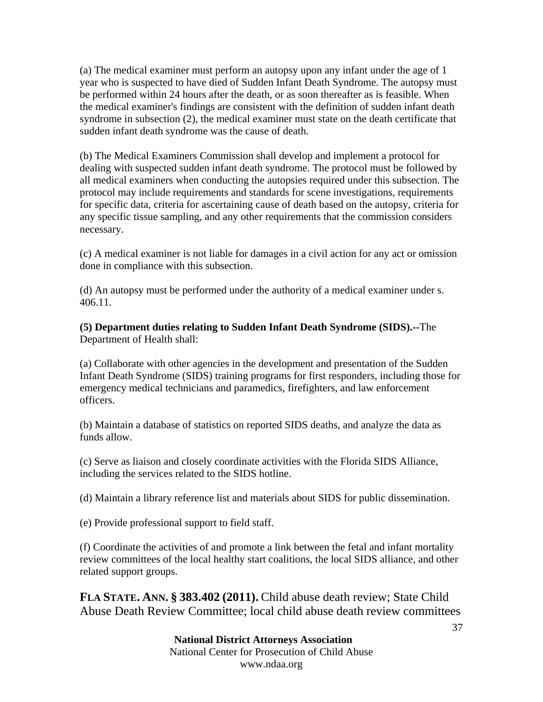(a) The medical examiner must perform an autopsy upon any infant under the age of 1 year who is suspected to have died of Sudden Infant Death Syndrome. The autopsy must be performed within 24 hours after the death, or as soon thereafter as is feasible. When the medical examiner's findings are consistent with the definition of sudden infant death syndrome in subsection (2), the medical examiner must state on the death certificate that sudden infant death syndrome was the cause of death.

(b) The Medical Examiners Commission shall develop and implement a protocol for dealing with suspected sudden infant death syndrome. The protocol must be followed by all medical examiners when conducting the autopsies required under this subsection. The protocol may include requirements and standards for scene investigations, requirements for specific data, criteria for ascertaining cause of death based on the autopsy, criteria for any specific tissue sampling, and any other requirements that the commission considers necessary.

(c) A medical examiner is not liable for damages in a civil action for any act or omission done in compliance with this subsection.

(d) An autopsy must be performed under the authority of a medical examiner under [s.](http://web2.westlaw.com/find/default.wl?tc=-1&docname=FLSTS406.11&rp=%2ffind%2fdefault.wl&sv=Split&utid=1&rs=WLW11.07&db=1000006&tf=-1&findtype=L&fn=_top&mt=LawSchoolPractitioner&vr=2.0&pbc=940A4DD0&ordoc=6825675)  [406.11](http://web2.westlaw.com/find/default.wl?tc=-1&docname=FLSTS406.11&rp=%2ffind%2fdefault.wl&sv=Split&utid=1&rs=WLW11.07&db=1000006&tf=-1&findtype=L&fn=_top&mt=LawSchoolPractitioner&vr=2.0&pbc=940A4DD0&ordoc=6825675).

**(5) Department duties relating to Sudden Infant Death Syndrome (SIDS).--**The Department of Health shall:

(a) Collaborate with other agencies in the development and presentation of the Sudden Infant Death Syndrome (SIDS) training programs for first responders, including those for emergency medical technicians and paramedics, firefighters, and law enforcement officers.

(b) Maintain a database of statistics on reported SIDS deaths, and analyze the data as funds allow.

(c) Serve as liaison and closely coordinate activities with the Florida SIDS Alliance, including the services related to the SIDS hotline.

(d) Maintain a library reference list and materials about SIDS for public dissemination.

(e) Provide professional support to field staff.

(f) Coordinate the activities of and promote a link between the fetal and infant mortality review committees of the local healthy start coalitions, the local SIDS alliance, and other related support groups.

**FLA STATE. ANN. § 383.402 (2011).** Child abuse death review; State Child Abuse Death Review Committee; local child abuse death review committees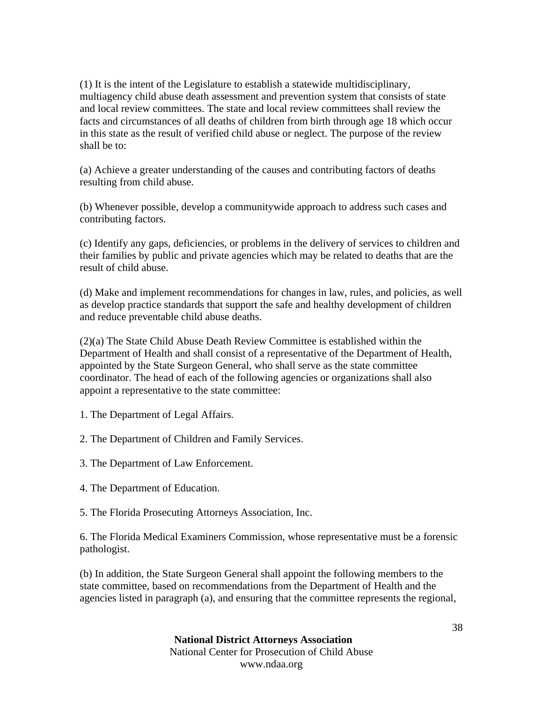(1) It is the intent of the Legislature to establish a statewide multidisciplinary, multiagency child abuse death assessment and prevention system that consists of state and local review committees. The state and local review committees shall review the facts and circumstances of all deaths of children from birth through age 18 which occur in this state as the result of verified child abuse or neglect. The purpose of the review shall be to:

(a) Achieve a greater understanding of the causes and contributing factors of deaths resulting from child abuse.

(b) Whenever possible, develop a communitywide approach to address such cases and contributing factors.

(c) Identify any gaps, deficiencies, or problems in the delivery of services to children and their families by public and private agencies which may be related to deaths that are the result of child abuse.

(d) Make and implement recommendations for changes in law, rules, and policies, as well as develop practice standards that support the safe and healthy development of children and reduce preventable child abuse deaths.

(2)(a) The State Child Abuse Death Review Committee is established within the Department of Health and shall consist of a representative of the Department of Health, appointed by the State Surgeon General, who shall serve as the state committee coordinator. The head of each of the following agencies or organizations shall also appoint a representative to the state committee:

1. The Department of Legal Affairs.

- 2. The Department of Children and Family Services.
- 3. The Department of Law Enforcement.
- 4. The Department of Education.
- 5. The Florida Prosecuting Attorneys Association, Inc.

6. The Florida Medical Examiners Commission, whose representative must be a forensic pathologist.

(b) In addition, the State Surgeon General shall appoint the following members to the state committee, based on recommendations from the Department of Health and the agencies listed in paragraph (a), and ensuring that the committee represents the regional,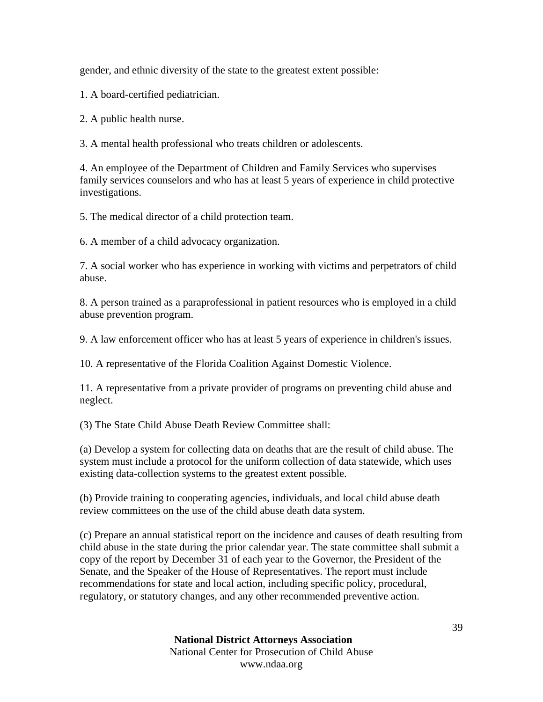gender, and ethnic diversity of the state to the greatest extent possible:

1. A board-certified pediatrician.

2. A public health nurse.

3. A mental health professional who treats children or adolescents.

4. An employee of the Department of Children and Family Services who supervises family services counselors and who has at least 5 years of experience in child protective investigations.

5. The medical director of a child protection team.

6. A member of a child advocacy organization.

7. A social worker who has experience in working with victims and perpetrators of child abuse.

8. A person trained as a paraprofessional in patient resources who is employed in a child abuse prevention program.

9. A law enforcement officer who has at least 5 years of experience in children's issues.

10. A representative of the Florida Coalition Against Domestic Violence.

11. A representative from a private provider of programs on preventing child abuse and neglect.

(3) The State Child Abuse Death Review Committee shall:

(a) Develop a system for collecting data on deaths that are the result of child abuse. The system must include a protocol for the uniform collection of data statewide, which uses existing data-collection systems to the greatest extent possible.

(b) Provide training to cooperating agencies, individuals, and local child abuse death review committees on the use of the child abuse death data system.

(c) Prepare an annual statistical report on the incidence and causes of death resulting from child abuse in the state during the prior calendar year. The state committee shall submit a copy of the report by December 31 of each year to the Governor, the President of the Senate, and the Speaker of the House of Representatives. The report must include recommendations for state and local action, including specific policy, procedural, regulatory, or statutory changes, and any other recommended preventive action.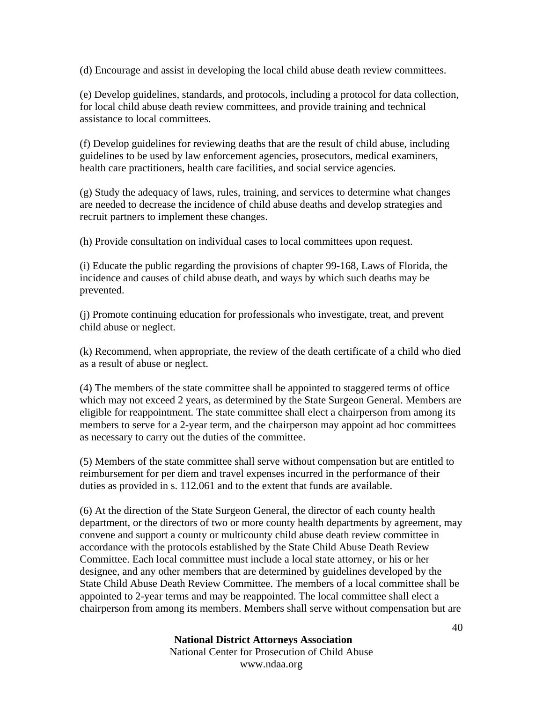(d) Encourage and assist in developing the local child abuse death review committees.

(e) Develop guidelines, standards, and protocols, including a protocol for data collection, for local child abuse death review committees, and provide training and technical assistance to local committees.

(f) Develop guidelines for reviewing deaths that are the result of child abuse, including guidelines to be used by law enforcement agencies, prosecutors, medical examiners, health care practitioners, health care facilities, and social service agencies.

(g) Study the adequacy of laws, rules, training, and services to determine what changes are needed to decrease the incidence of child abuse deaths and develop strategies and recruit partners to implement these changes.

(h) Provide consultation on individual cases to local committees upon request.

(i) Educate the public regarding the provisions of chapter 99-168, Laws of Florida, the incidence and causes of child abuse death, and ways by which such deaths may be prevented.

(j) Promote continuing education for professionals who investigate, treat, and prevent child abuse or neglect.

(k) Recommend, when appropriate, the review of the death certificate of a child who died as a result of abuse or neglect.

(4) The members of the state committee shall be appointed to staggered terms of office which may not exceed 2 years, as determined by the State Surgeon General. Members are eligible for reappointment. The state committee shall elect a chairperson from among its members to serve for a 2-year term, and the chairperson may appoint ad hoc committees as necessary to carry out the duties of the committee.

(5) Members of the state committee shall serve without compensation but are entitled to reimbursement for per diem and travel expenses incurred in the performance of their duties as provided in [s. 112.061](http://web2.westlaw.com/find/default.wl?tc=-1&docname=FLSTS112.061&rp=%2ffind%2fdefault.wl&sv=Split&utid=1&rs=WLW11.07&db=1000006&tf=-1&findtype=L&fn=_top&mt=LawSchoolPractitioner&vr=2.0&pbc=45078ABD&ordoc=9802477) and to the extent that funds are available.

(6) At the direction of the State Surgeon General, the director of each county health department, or the directors of two or more county health departments by agreement, may convene and support a county or multicounty child abuse death review committee in accordance with the protocols established by the State Child Abuse Death Review Committee. Each local committee must include a local state attorney, or his or her designee, and any other members that are determined by guidelines developed by the State Child Abuse Death Review Committee. The members of a local committee shall be appointed to 2-year terms and may be reappointed. The local committee shall elect a chairperson from among its members. Members shall serve without compensation but are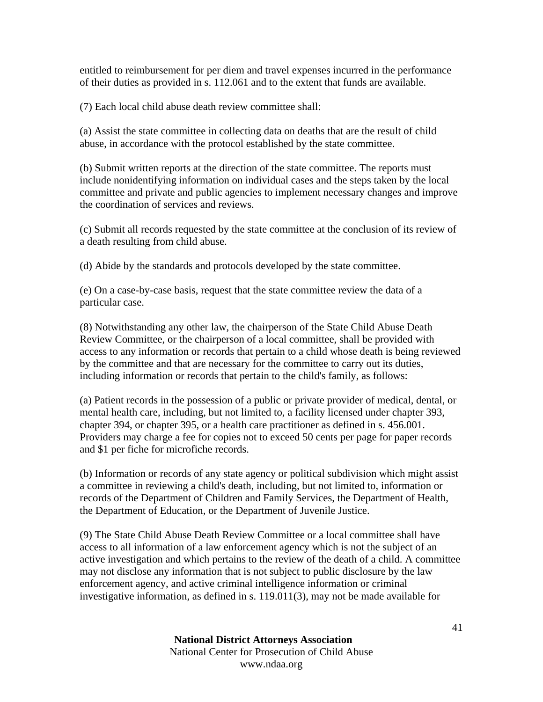entitled to reimbursement for per diem and travel expenses incurred in the performance of their duties as provided in [s. 112.061](http://web2.westlaw.com/find/default.wl?tc=-1&docname=FLSTS112.061&rp=%2ffind%2fdefault.wl&sv=Split&utid=1&rs=WLW11.07&db=1000006&tf=-1&findtype=L&fn=_top&mt=LawSchoolPractitioner&vr=2.0&pbc=45078ABD&ordoc=9802477) and to the extent that funds are available.

(7) Each local child abuse death review committee shall:

(a) Assist the state committee in collecting data on deaths that are the result of child abuse, in accordance with the protocol established by the state committee.

(b) Submit written reports at the direction of the state committee. The reports must include nonidentifying information on individual cases and the steps taken by the local committee and private and public agencies to implement necessary changes and improve the coordination of services and reviews.

(c) Submit all records requested by the state committee at the conclusion of its review of a death resulting from child abuse.

(d) Abide by the standards and protocols developed by the state committee.

(e) On a case-by-case basis, request that the state committee review the data of a particular case.

(8) Notwithstanding any other law, the chairperson of the State Child Abuse Death Review Committee, or the chairperson of a local committee, shall be provided with access to any information or records that pertain to a child whose death is being reviewed by the committee and that are necessary for the committee to carry out its duties, including information or records that pertain to the child's family, as follows:

(a) Patient records in the possession of a public or private provider of medical, dental, or mental health care, including, but not limited to, a facility licensed under chapter 393, chapter 394, or chapter 395, or a health care practitioner as defined in [s. 456.001](http://web2.westlaw.com/find/default.wl?tc=-1&docname=FLSTS456.001&rp=%2ffind%2fdefault.wl&sv=Split&utid=1&rs=WLW11.07&db=1000006&tf=-1&findtype=L&fn=_top&mt=LawSchoolPractitioner&vr=2.0&pbc=45078ABD&ordoc=9802477). Providers may charge a fee for copies not to exceed 50 cents per page for paper records and \$1 per fiche for microfiche records.

(b) Information or records of any state agency or political subdivision which might assist a committee in reviewing a child's death, including, but not limited to, information or records of the Department of Children and Family Services, the Department of Health, the Department of Education, or the Department of Juvenile Justice.

(9) The State Child Abuse Death Review Committee or a local committee shall have access to all information of a law enforcement agency which is not the subject of an active investigation and which pertains to the review of the death of a child. A committee may not disclose any information that is not subject to public disclosure by the law enforcement agency, and active criminal intelligence information or criminal investigative information, as defined in [s. 119.011\(3\),](http://web2.westlaw.com/find/default.wl?referencepositiontype=T&docname=FLSTS119.011&rp=%2ffind%2fdefault.wl&sv=Split&utid=1&rs=WLW11.07&db=1000006&tf=-1&findtype=L&fn=_top&mt=LawSchoolPractitioner&vr=2.0&referenceposition=SP%3bd08f0000f5f67&pbc=45078ABD&tc=-1&ordoc=9802477) may not be made available for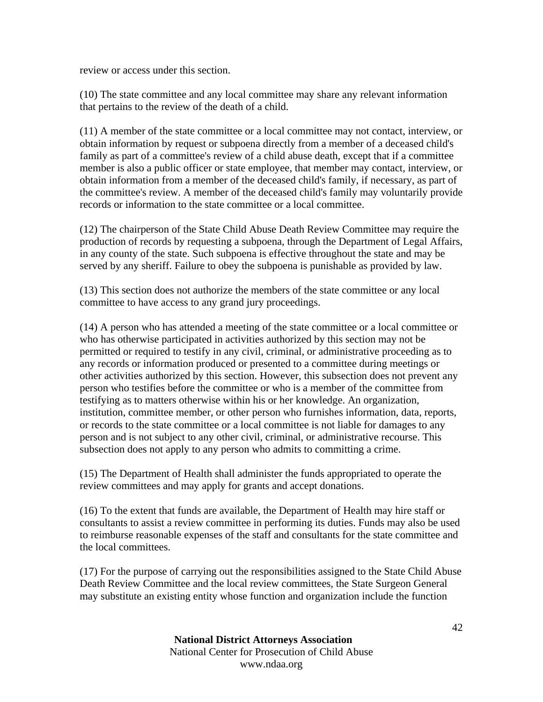review or access under this section.

(10) The state committee and any local committee may share any relevant information that pertains to the review of the death of a child.

(11) A member of the state committee or a local committee may not contact, interview, or obtain information by request or subpoena directly from a member of a deceased child's family as part of a committee's review of a child abuse death, except that if a committee member is also a public officer or state employee, that member may contact, interview, or obtain information from a member of the deceased child's family, if necessary, as part of the committee's review. A member of the deceased child's family may voluntarily provide records or information to the state committee or a local committee.

(12) The chairperson of the State Child Abuse Death Review Committee may require the production of records by requesting a subpoena, through the Department of Legal Affairs, in any county of the state. Such subpoena is effective throughout the state and may be served by any sheriff. Failure to obey the subpoena is punishable as provided by law.

(13) This section does not authorize the members of the state committee or any local committee to have access to any grand jury proceedings.

(14) A person who has attended a meeting of the state committee or a local committee or who has otherwise participated in activities authorized by this section may not be permitted or required to testify in any civil, criminal, or administrative proceeding as to any records or information produced or presented to a committee during meetings or other activities authorized by this section. However, this subsection does not prevent any person who testifies before the committee or who is a member of the committee from testifying as to matters otherwise within his or her knowledge. An organization, institution, committee member, or other person who furnishes information, data, reports, or records to the state committee or a local committee is not liable for damages to any person and is not subject to any other civil, criminal, or administrative recourse. This subsection does not apply to any person who admits to committing a crime.

(15) The Department of Health shall administer the funds appropriated to operate the review committees and may apply for grants and accept donations.

(16) To the extent that funds are available, the Department of Health may hire staff or consultants to assist a review committee in performing its duties. Funds may also be used to reimburse reasonable expenses of the staff and consultants for the state committee and the local committees.

(17) For the purpose of carrying out the responsibilities assigned to the State Child Abuse Death Review Committee and the local review committees, the State Surgeon General may substitute an existing entity whose function and organization include the function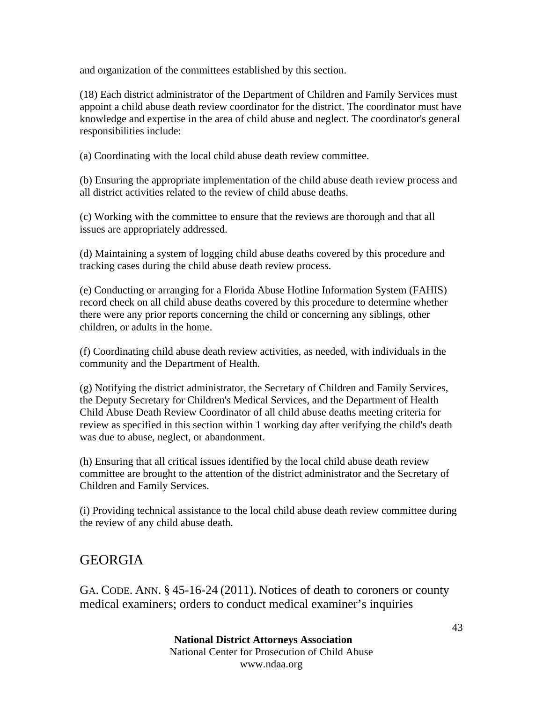and organization of the committees established by this section.

(18) Each district administrator of the Department of Children and Family Services must appoint a child abuse death review coordinator for the district. The coordinator must have knowledge and expertise in the area of child abuse and neglect. The coordinator's general responsibilities include:

(a) Coordinating with the local child abuse death review committee.

(b) Ensuring the appropriate implementation of the child abuse death review process and all district activities related to the review of child abuse deaths.

(c) Working with the committee to ensure that the reviews are thorough and that all issues are appropriately addressed.

(d) Maintaining a system of logging child abuse deaths covered by this procedure and tracking cases during the child abuse death review process.

(e) Conducting or arranging for a Florida Abuse Hotline Information System (FAHIS) record check on all child abuse deaths covered by this procedure to determine whether there were any prior reports concerning the child or concerning any siblings, other children, or adults in the home.

(f) Coordinating child abuse death review activities, as needed, with individuals in the community and the Department of Health.

(g) Notifying the district administrator, the Secretary of Children and Family Services, the Deputy Secretary for Children's Medical Services, and the Department of Health Child Abuse Death Review Coordinator of all child abuse deaths meeting criteria for review as specified in this section within 1 working day after verifying the child's death was due to abuse, neglect, or abandonment.

(h) Ensuring that all critical issues identified by the local child abuse death review committee are brought to the attention of the district administrator and the Secretary of Children and Family Services.

(i) Providing technical assistance to the local child abuse death review committee during the review of any child abuse death.

# **GEORGIA**

GA. CODE. ANN. § 45-16-24 (2011). Notices of death to coroners or county medical examiners; orders to conduct medical examiner's inquiries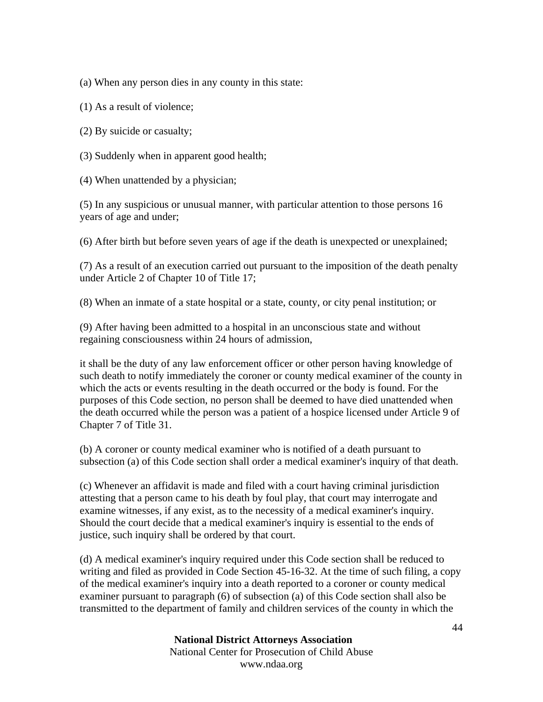(a) When any person dies in any county in this state:

(1) As a result of violence;

(2) By suicide or casualty;

(3) Suddenly when in apparent good health;

(4) When unattended by a physician;

(5) In any suspicious or unusual manner, with particular attention to those persons 16 years of age and under;

(6) After birth but before seven years of age if the death is unexpected or unexplained;

(7) As a result of an execution carried out pursuant to the imposition of the death penalty under Article 2 of Chapter 10 of Title 17;

(8) When an inmate of a state hospital or a state, county, or city penal institution; or

(9) After having been admitted to a hospital in an unconscious state and without regaining consciousness within 24 hours of admission,

it shall be the duty of any law enforcement officer or other person having knowledge of such death to notify immediately the coroner or county medical examiner of the county in which the acts or events resulting in the death occurred or the body is found. For the purposes of this Code section, no person shall be deemed to have died unattended when the death occurred while the person was a patient of a hospice licensed under Article 9 of Chapter 7 of Title 31.

(b) A coroner or county medical examiner who is notified of a death pursuant to subsection (a) of this Code section shall order a medical examiner's inquiry of that death.

(c) Whenever an affidavit is made and filed with a court having criminal jurisdiction attesting that a person came to his death by foul play, that court may interrogate and examine witnesses, if any exist, as to the necessity of a medical examiner's inquiry. Should the court decide that a medical examiner's inquiry is essential to the ends of justice, such inquiry shall be ordered by that court.

(d) A medical examiner's inquiry required under this Code section shall be reduced to writing and filed as provided in [Code Section 45-16-32](https://web2.westlaw.com/find/default.wl?tc=-1&docname=GAST45-16-32&rp=%2ffind%2fdefault.wl&sv=Split&rs=WLW11.07&db=1000468&tf=-1&findtype=L&fn=_top&mt=WestlawGC&vr=2.0&pbc=53C802AB&ordoc=10859704). At the time of such filing, a copy of the medical examiner's inquiry into a death reported to a coroner or county medical examiner pursuant to paragraph (6) of subsection (a) of this Code section shall also be transmitted to the department of family and children services of the county in which the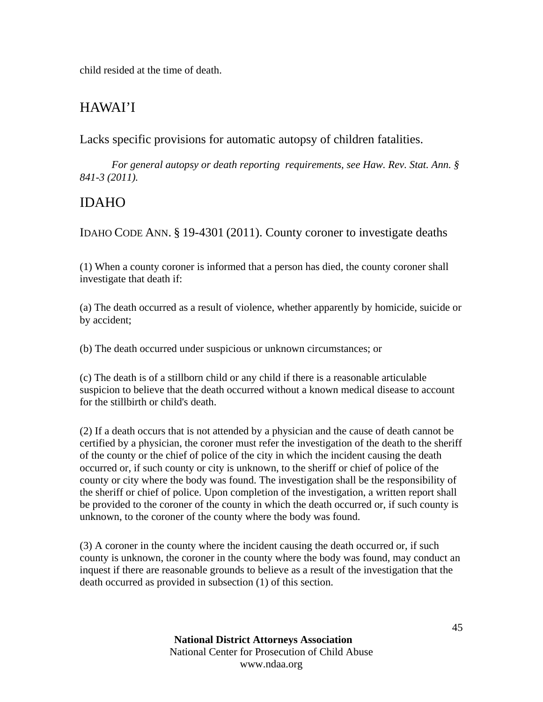child resided at the time of death.

# HAWAI'I

Lacks specific provisions for automatic autopsy of children fatalities.

*For general autopsy or death reporting requirements, see Haw. Rev. Stat. Ann. § 841-3 (2011).* 

# IDAHO

IDAHO CODE ANN. § 19-4301 (2011). County coroner to investigate deaths

(1) When a county coroner is informed that a person has died, the county coroner shall investigate that death if:

(a) The death occurred as a result of violence, whether apparently by homicide, suicide or by accident;

(b) The death occurred under suspicious or unknown circumstances; or

(c) The death is of a stillborn child or any child if there is a reasonable articulable suspicion to believe that the death occurred without a known medical disease to account for the stillbirth or child's death.

(2) If a death occurs that is not attended by a physician and the cause of death cannot be certified by a physician, the coroner must refer the investigation of the death to the sheriff of the county or the chief of police of the city in which the incident causing the death occurred or, if such county or city is unknown, to the sheriff or chief of police of the county or city where the body was found. The investigation shall be the responsibility of the sheriff or chief of police. Upon completion of the investigation, a written report shall be provided to the coroner of the county in which the death occurred or, if such county is unknown, to the coroner of the county where the body was found.

(3) A coroner in the county where the incident causing the death occurred or, if such county is unknown, the coroner in the county where the body was found, may conduct an inquest if there are reasonable grounds to believe as a result of the investigation that the death occurred as provided in subsection (1) of this section.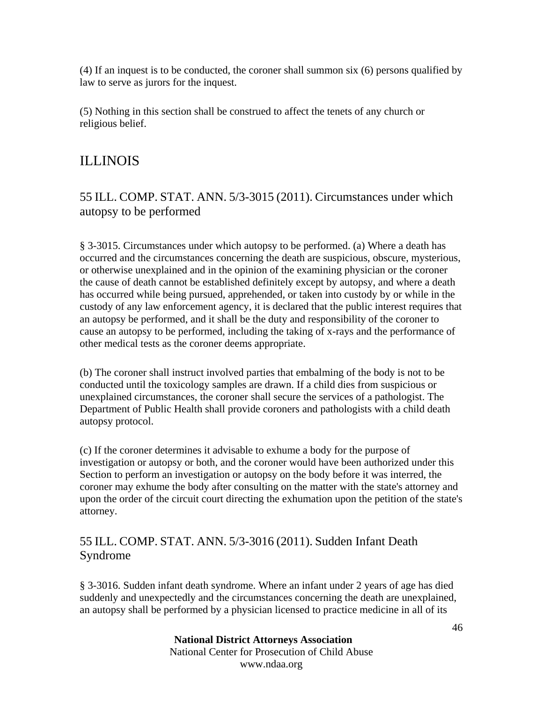(4) If an inquest is to be conducted, the coroner shall summon six (6) persons qualified by law to serve as jurors for the inquest.

(5) Nothing in this section shall be construed to affect the tenets of any church or religious belief.

## ILLINOIS

### 55 ILL. COMP. STAT. ANN. 5/3-3015 (2011). Circumstances under which autopsy to be performed

§ 3-3015. Circumstances under which autopsy to be performed. (a) Where a death has occurred and the circumstances concerning the death are suspicious, obscure, mysterious, or otherwise unexplained and in the opinion of the examining physician or the coroner the cause of death cannot be established definitely except by autopsy, and where a death has occurred while being pursued, apprehended, or taken into custody by or while in the custody of any law enforcement agency, it is declared that the public interest requires that an autopsy be performed, and it shall be the duty and responsibility of the coroner to cause an autopsy to be performed, including the taking of x-rays and the performance of other medical tests as the coroner deems appropriate.

(b) The coroner shall instruct involved parties that embalming of the body is not to be conducted until the toxicology samples are drawn. If a child dies from suspicious or unexplained circumstances, the coroner shall secure the services of a pathologist. The Department of Public Health shall provide coroners and pathologists with a child death autopsy protocol.

(c) If the coroner determines it advisable to exhume a body for the purpose of investigation or autopsy or both, and the coroner would have been authorized under this Section to perform an investigation or autopsy on the body before it was interred, the coroner may exhume the body after consulting on the matter with the state's attorney and upon the order of the circuit court directing the exhumation upon the petition of the state's attorney.

## 55 ILL. COMP. STAT. ANN. 5/3-3016 (2011). Sudden Infant Death Syndrome

§ 3-3016. Sudden infant death syndrome. Where an infant under 2 years of age has died suddenly and unexpectedly and the circumstances concerning the death are unexplained, an autopsy shall be performed by a physician licensed to practice medicine in all of its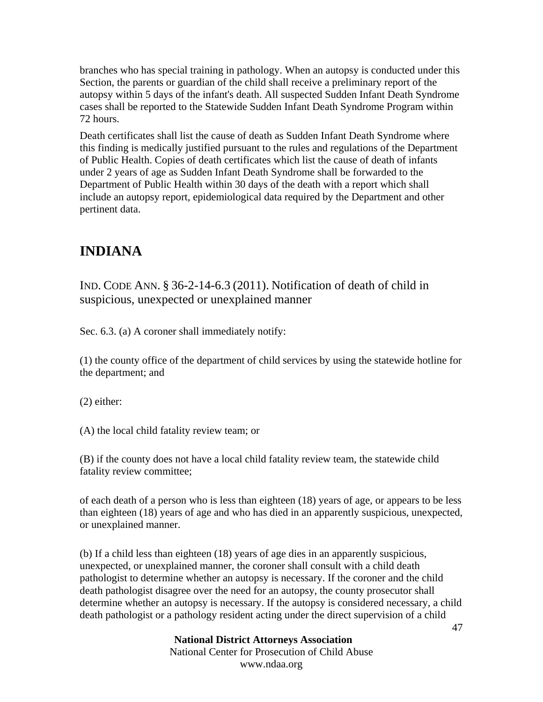branches who has special training in pathology. When an autopsy is conducted under this Section, the parents or guardian of the child shall receive a preliminary report of the autopsy within 5 days of the infant's death. All suspected Sudden Infant Death Syndrome cases shall be reported to the Statewide Sudden Infant Death Syndrome Program within 72 hours.

Death certificates shall list the cause of death as Sudden Infant Death Syndrome where this finding is medically justified pursuant to the rules and regulations of the Department of Public Health. Copies of death certificates which list the cause of death of infants under 2 years of age as Sudden Infant Death Syndrome shall be forwarded to the Department of Public Health within 30 days of the death with a report which shall include an autopsy report, epidemiological data required by the Department and other pertinent data.

# **INDIANA**

IND. CODE ANN. § 36-2-14-6.3 (2011). Notification of death of child in suspicious, unexpected or unexplained manner

Sec. 6.3. (a) A coroner shall immediately notify:

(1) the county office of the department of child services by using the statewide hotline for the department; and

(2) either:

(A) the local child fatality review team; or

(B) if the county does not have a local child fatality review team, the statewide child fatality review committee;

of each death of a person who is less than eighteen (18) years of age, or appears to be less than eighteen (18) years of age and who has died in an apparently suspicious, unexpected, or unexplained manner.

(b) If a child less than eighteen (18) years of age dies in an apparently suspicious, unexpected, or unexplained manner, the coroner shall consult with a child death pathologist to determine whether an autopsy is necessary. If the coroner and the child death pathologist disagree over the need for an autopsy, the county prosecutor shall determine whether an autopsy is necessary. If the autopsy is considered necessary, a child death pathologist or a pathology resident acting under the direct supervision of a child

#### **National District Attorneys Association**  National Center for Prosecution of Child Abuse www.ndaa.org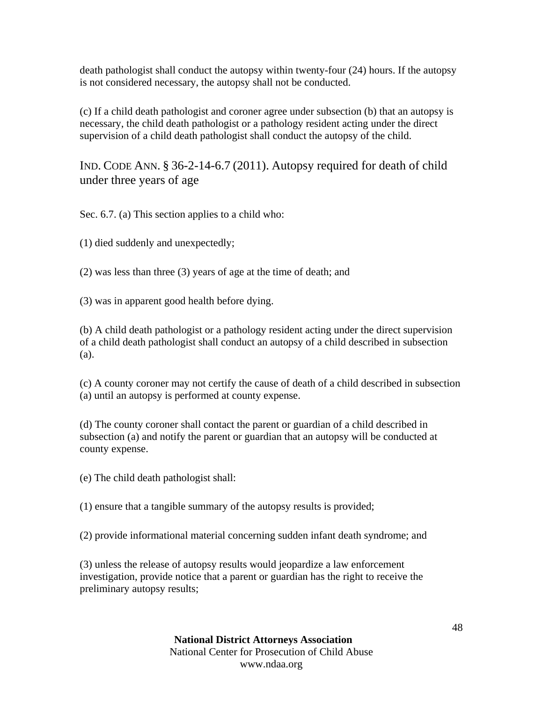death pathologist shall conduct the autopsy within twenty-four (24) hours. If the autopsy is not considered necessary, the autopsy shall not be conducted.

(c) If a child death pathologist and coroner agree under subsection (b) that an autopsy is necessary, the child death pathologist or a pathology resident acting under the direct supervision of a child death pathologist shall conduct the autopsy of the child.

IND. CODE ANN. § 36-2-14-6.7 (2011). Autopsy required for death of child under three years of age

Sec. 6.7. (a) This section applies to a child who:

(1) died suddenly and unexpectedly;

(2) was less than three (3) years of age at the time of death; and

(3) was in apparent good health before dying.

(b) A child death pathologist or a pathology resident acting under the direct supervision of a child death pathologist shall conduct an autopsy of a child described in subsection (a).

(c) A county coroner may not certify the cause of death of a child described in subsection (a) until an autopsy is performed at county expense.

(d) The county coroner shall contact the parent or guardian of a child described in subsection (a) and notify the parent or guardian that an autopsy will be conducted at county expense.

(e) The child death pathologist shall:

(1) ensure that a tangible summary of the autopsy results is provided;

(2) provide informational material concerning sudden infant death syndrome; and

(3) unless the release of autopsy results would jeopardize a law enforcement investigation, provide notice that a parent or guardian has the right to receive the preliminary autopsy results;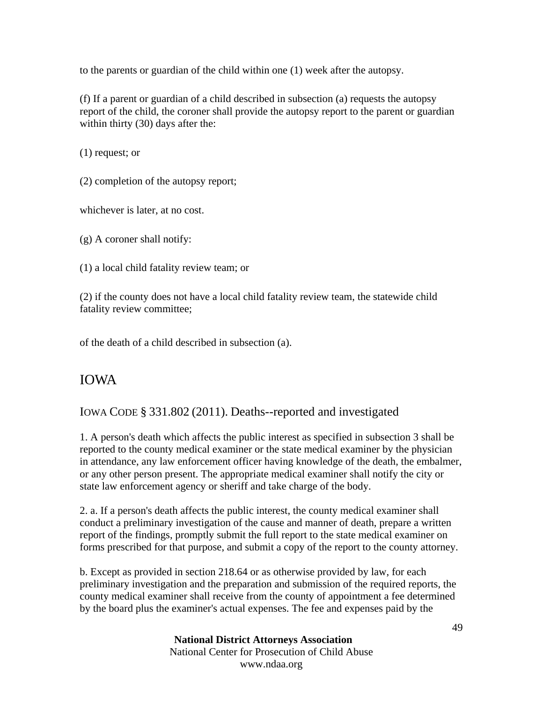to the parents or guardian of the child within one (1) week after the autopsy.

(f) If a parent or guardian of a child described in subsection (a) requests the autopsy report of the child, the coroner shall provide the autopsy report to the parent or guardian within thirty (30) days after the:

(1) request; or

(2) completion of the autopsy report;

whichever is later, at no cost.

(g) A coroner shall notify:

(1) a local child fatality review team; or

(2) if the county does not have a local child fatality review team, the statewide child fatality review committee;

of the death of a child described in subsection (a).

## IOWA

### IOWA CODE § 331.802 (2011). Deaths--reported and investigated

1. A person's death which affects the public interest as specified in subsection 3 shall be reported to the county medical examiner or the state medical examiner by the physician in attendance, any law enforcement officer having knowledge of the death, the embalmer, or any other person present. The appropriate medical examiner shall notify the city or state law enforcement agency or sheriff and take charge of the body.

2. a. If a person's death affects the public interest, the county medical examiner shall conduct a preliminary investigation of the cause and manner of death, prepare a written report of the findings, promptly submit the full report to the state medical examiner on forms prescribed for that purpose, and submit a copy of the report to the county attorney.

b. Except as provided in [section 218.64](https://web2.westlaw.com/find/default.wl?tc=-1&docname=IASTS218.64&rp=%2ffind%2fdefault.wl&sv=Split&rs=WLW11.07&db=1000256&tf=-1&findtype=L&fn=_top&mt=WestlawGC&vr=2.0&pbc=192146BF&ordoc=1431375) or as otherwise provided by law, for each preliminary investigation and the preparation and submission of the required reports, the county medical examiner shall receive from the county of appointment a fee determined by the board plus the examiner's actual expenses. The fee and expenses paid by the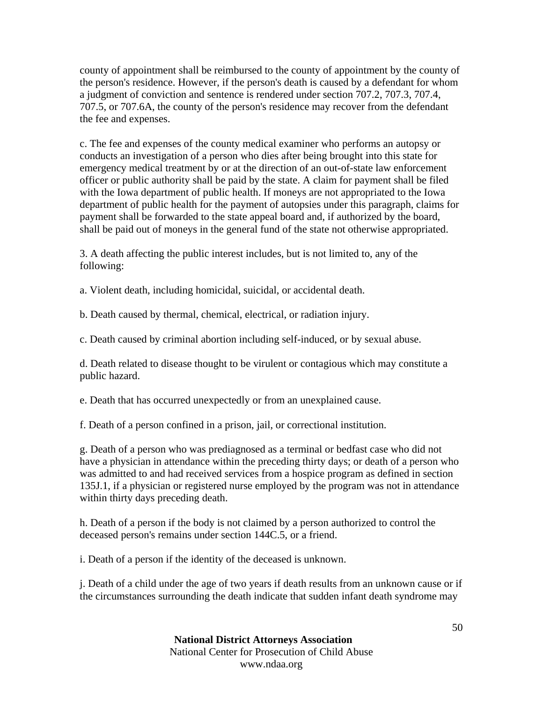county of appointment shall be reimbursed to the county of appointment by the county of the person's residence. However, if the person's death is caused by a defendant for whom a judgment of conviction and sentence is rendered under [section 707.2](https://web2.westlaw.com/find/default.wl?tc=-1&docname=IASTS707.2&rp=%2ffind%2fdefault.wl&sv=Split&rs=WLW11.07&db=1000256&tf=-1&findtype=L&fn=_top&mt=WestlawGC&vr=2.0&pbc=192146BF&ordoc=1431375), [707.3](https://web2.westlaw.com/find/default.wl?tc=-1&docname=IASTS707.3&rp=%2ffind%2fdefault.wl&sv=Split&rs=WLW11.07&db=1000256&tf=-1&findtype=L&fn=_top&mt=WestlawGC&vr=2.0&pbc=192146BF&ordoc=1431375), [707.4](https://web2.westlaw.com/find/default.wl?tc=-1&docname=IASTS707.4&rp=%2ffind%2fdefault.wl&sv=Split&rs=WLW11.07&db=1000256&tf=-1&findtype=L&fn=_top&mt=WestlawGC&vr=2.0&pbc=192146BF&ordoc=1431375), [707.5](https://web2.westlaw.com/find/default.wl?tc=-1&docname=IASTS707.5&rp=%2ffind%2fdefault.wl&sv=Split&rs=WLW11.07&db=1000256&tf=-1&findtype=L&fn=_top&mt=WestlawGC&vr=2.0&pbc=192146BF&ordoc=1431375), or [707.6A,](https://web2.westlaw.com/find/default.wl?tc=-1&docname=IASTS707.6A&rp=%2ffind%2fdefault.wl&sv=Split&rs=WLW11.07&db=1000256&tf=-1&findtype=L&fn=_top&mt=WestlawGC&vr=2.0&pbc=192146BF&ordoc=1431375) the county of the person's residence may recover from the defendant the fee and expenses.

c. The fee and expenses of the county medical examiner who performs an autopsy or conducts an investigation of a person who dies after being brought into this state for emergency medical treatment by or at the direction of an out-of-state law enforcement officer or public authority shall be paid by the state. A claim for payment shall be filed with the Iowa department of public health. If moneys are not appropriated to the Iowa department of public health for the payment of autopsies under this paragraph, claims for payment shall be forwarded to the state appeal board and, if authorized by the board, shall be paid out of moneys in the general fund of the state not otherwise appropriated.

3. A death affecting the public interest includes, but is not limited to, any of the following:

a. Violent death, including homicidal, suicidal, or accidental death.

b. Death caused by thermal, chemical, electrical, or radiation injury.

c. Death caused by criminal abortion including self-induced, or by sexual abuse.

d. Death related to disease thought to be virulent or contagious which may constitute a public hazard.

e. Death that has occurred unexpectedly or from an unexplained cause.

f. Death of a person confined in a prison, jail, or correctional institution.

g. Death of a person who was prediagnosed as a terminal or bedfast case who did not have a physician in attendance within the preceding thirty days; or death of a person who was admitted to and had received services from a hospice program as defined in [section](https://web2.westlaw.com/find/default.wl?tc=-1&docname=IASTS135J.1&rp=%2ffind%2fdefault.wl&sv=Split&rs=WLW11.07&db=1000256&tf=-1&findtype=L&fn=_top&mt=WestlawGC&vr=2.0&pbc=192146BF&ordoc=1431375)  [135J.1,](https://web2.westlaw.com/find/default.wl?tc=-1&docname=IASTS135J.1&rp=%2ffind%2fdefault.wl&sv=Split&rs=WLW11.07&db=1000256&tf=-1&findtype=L&fn=_top&mt=WestlawGC&vr=2.0&pbc=192146BF&ordoc=1431375) if a physician or registered nurse employed by the program was not in attendance within thirty days preceding death.

h. Death of a person if the body is not claimed by a person authorized to control the deceased person's remains under [section 144C.5](https://web2.westlaw.com/find/default.wl?tc=-1&docname=IASTS144C.5&rp=%2ffind%2fdefault.wl&sv=Split&rs=WLW11.07&db=1000256&tf=-1&findtype=L&fn=_top&mt=WestlawGC&vr=2.0&pbc=192146BF&ordoc=1431375), or a friend.

i. Death of a person if the identity of the deceased is unknown.

j. Death of a child under the age of two years if death results from an unknown cause or if the circumstances surrounding the death indicate that sudden infant death syndrome may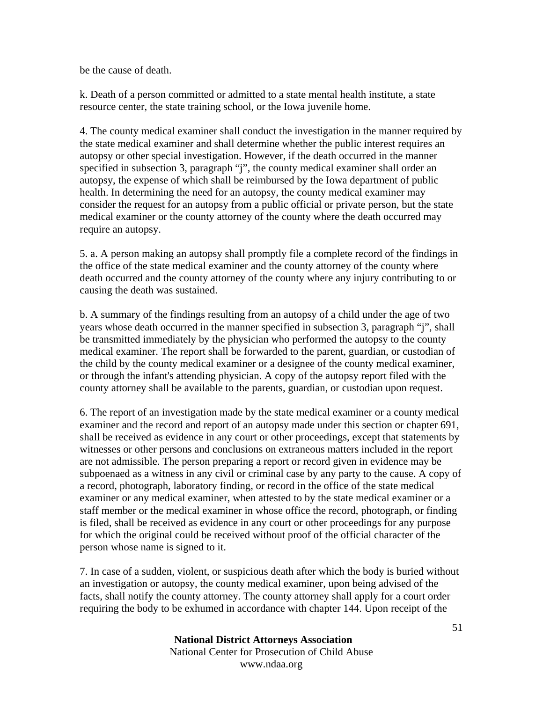be the cause of death.

k. Death of a person committed or admitted to a state mental health institute, a state resource center, the state training school, or the Iowa juvenile home.

4. The county medical examiner shall conduct the investigation in the manner required by the state medical examiner and shall determine whether the public interest requires an autopsy or other special investigation. However, if the death occurred in the manner specified in subsection 3, paragraph "j", the county medical examiner shall order an autopsy, the expense of which shall be reimbursed by the Iowa department of public health. In determining the need for an autopsy, the county medical examiner may consider the request for an autopsy from a public official or private person, but the state medical examiner or the county attorney of the county where the death occurred may require an autopsy.

5. a. A person making an autopsy shall promptly file a complete record of the findings in the office of the state medical examiner and the county attorney of the county where death occurred and the county attorney of the county where any injury contributing to or causing the death was sustained.

b. A summary of the findings resulting from an autopsy of a child under the age of two years whose death occurred in the manner specified in subsection 3, paragraph "j", shall be transmitted immediately by the physician who performed the autopsy to the county medical examiner. The report shall be forwarded to the parent, guardian, or custodian of the child by the county medical examiner or a designee of the county medical examiner, or through the infant's attending physician. A copy of the autopsy report filed with the county attorney shall be available to the parents, guardian, or custodian upon request.

6. The report of an investigation made by the state medical examiner or a county medical examiner and the record and report of an autopsy made under this section or chapter 691, shall be received as evidence in any court or other proceedings, except that statements by witnesses or other persons and conclusions on extraneous matters included in the report are not admissible. The person preparing a report or record given in evidence may be subpoenaed as a witness in any civil or criminal case by any party to the cause. A copy of a record, photograph, laboratory finding, or record in the office of the state medical examiner or any medical examiner, when attested to by the state medical examiner or a staff member or the medical examiner in whose office the record, photograph, or finding is filed, shall be received as evidence in any court or other proceedings for any purpose for which the original could be received without proof of the official character of the person whose name is signed to it.

7. In case of a sudden, violent, or suspicious death after which the body is buried without an investigation or autopsy, the county medical examiner, upon being advised of the facts, shall notify the county attorney. The county attorney shall apply for a court order requiring the body to be exhumed in accordance with chapter 144. Upon receipt of the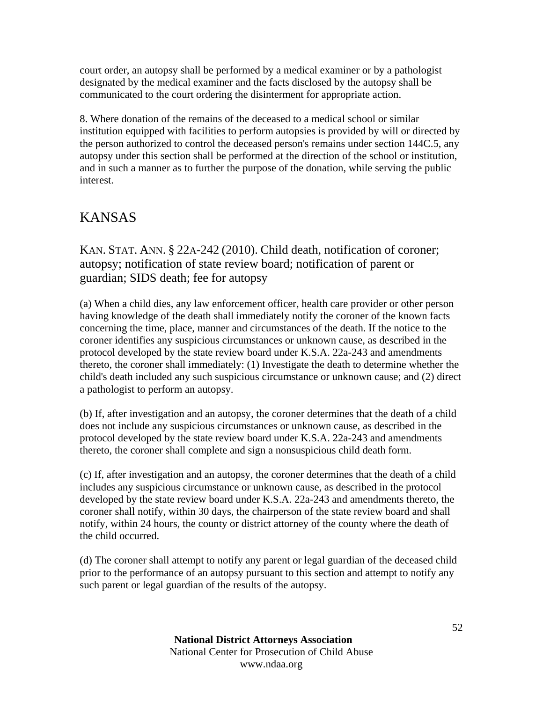court order, an autopsy shall be performed by a medical examiner or by a pathologist designated by the medical examiner and the facts disclosed by the autopsy shall be communicated to the court ordering the disinterment for appropriate action.

8. Where donation of the remains of the deceased to a medical school or similar institution equipped with facilities to perform autopsies is provided by will or directed by the person authorized to control the deceased person's remains under [section 144C.5,](https://web2.westlaw.com/find/default.wl?tc=-1&docname=IASTS144C.5&rp=%2ffind%2fdefault.wl&sv=Split&rs=WLW11.07&db=1000256&tf=-1&findtype=L&fn=_top&mt=WestlawGC&vr=2.0&pbc=192146BF&ordoc=1431375) any autopsy under this section shall be performed at the direction of the school or institution, and in such a manner as to further the purpose of the donation, while serving the public interest.

## KANSAS

KAN. STAT. ANN. § 22A-242 (2010). Child death, notification of coroner; autopsy; notification of state review board; notification of parent or guardian; SIDS death; fee for autopsy

(a) When a child dies, any law enforcement officer, health care provider or other person having knowledge of the death shall immediately notify the coroner of the known facts concerning the time, place, manner and circumstances of the death. If the notice to the coroner identifies any suspicious circumstances or unknown cause, as described in the protocol developed by the state review board under [K.S.A. 22a-243](https://web2.westlaw.com/find/default.wl?tc=-1&docname=KSSTS22A-243&rp=%2ffind%2fdefault.wl&sv=Split&rs=WLW11.07&db=1001553&tf=-1&findtype=L&fn=_top&mt=WestlawGC&vr=2.0&pbc=A407365C&ordoc=18852644) and amendments thereto, the coroner shall immediately: (1) Investigate the death to determine whether the child's death included any such suspicious circumstance or unknown cause; and (2) direct a pathologist to perform an autopsy.

(b) If, after investigation and an autopsy, the coroner determines that the death of a child does not include any suspicious circumstances or unknown cause, as described in the protocol developed by the state review board under [K.S.A. 22a-243](https://web2.westlaw.com/find/default.wl?tc=-1&docname=KSSTS22A-243&rp=%2ffind%2fdefault.wl&sv=Split&rs=WLW11.07&db=1001553&tf=-1&findtype=L&fn=_top&mt=WestlawGC&vr=2.0&pbc=A407365C&ordoc=18852644) and amendments thereto, the coroner shall complete and sign a nonsuspicious child death form.

(c) If, after investigation and an autopsy, the coroner determines that the death of a child includes any suspicious circumstance or unknown cause, as described in the protocol developed by the state review board under [K.S.A. 22a-243](https://web2.westlaw.com/find/default.wl?tc=-1&docname=KSSTS22A-243&rp=%2ffind%2fdefault.wl&sv=Split&rs=WLW11.07&db=1001553&tf=-1&findtype=L&fn=_top&mt=WestlawGC&vr=2.0&pbc=A407365C&ordoc=18852644) and amendments thereto, the coroner shall notify, within 30 days, the chairperson of the state review board and shall notify, within 24 hours, the county or district attorney of the county where the death of the child occurred.

(d) The coroner shall attempt to notify any parent or legal guardian of the deceased child prior to the performance of an autopsy pursuant to this section and attempt to notify any such parent or legal guardian of the results of the autopsy.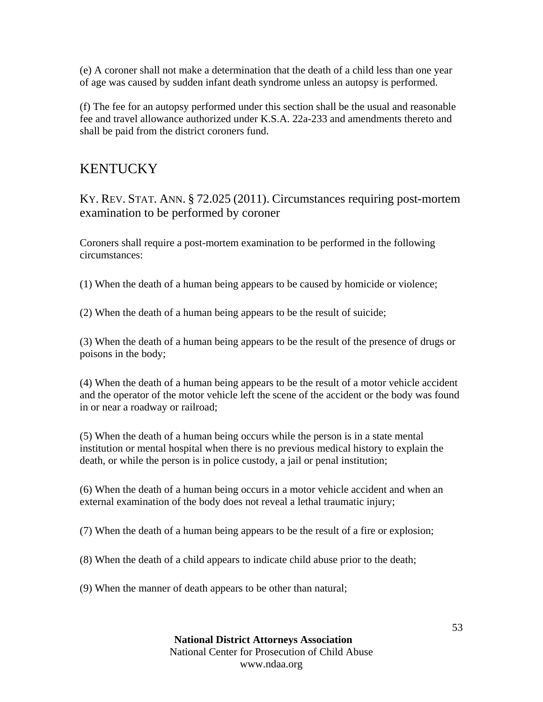(e) A coroner shall not make a determination that the death of a child less than one year of age was caused by sudden infant death syndrome unless an autopsy is performed.

(f) The fee for an autopsy performed under this section shall be the usual and reasonable fee and travel allowance authorized under [K.S.A. 22a-233](https://web2.westlaw.com/find/default.wl?tc=-1&docname=KSSTS22A-233&rp=%2ffind%2fdefault.wl&sv=Split&rs=WLW11.07&db=1001553&tf=-1&findtype=L&fn=_top&mt=WestlawGC&vr=2.0&pbc=A407365C&ordoc=18852644) and amendments thereto and shall be paid from the district coroners fund.

## **KENTUCKY**

KY. REV. STAT. ANN. § 72.025 (2011). Circumstances requiring post-mortem examination to be performed by coroner

Coroners shall require a post-mortem examination to be performed in the following circumstances:

(1) When the death of a human being appears to be caused by homicide or violence;

(2) When the death of a human being appears to be the result of suicide;

(3) When the death of a human being appears to be the result of the presence of drugs or poisons in the body;

(4) When the death of a human being appears to be the result of a motor vehicle accident and the operator of the motor vehicle left the scene of the accident or the body was found in or near a roadway or railroad;

(5) When the death of a human being occurs while the person is in a state mental institution or mental hospital when there is no previous medical history to explain the death, or while the person is in police custody, a jail or penal institution;

(6) When the death of a human being occurs in a motor vehicle accident and when an external examination of the body does not reveal a lethal traumatic injury;

(7) When the death of a human being appears to be the result of a fire or explosion;

(8) When the death of a child appears to indicate child abuse prior to the death;

(9) When the manner of death appears to be other than natural;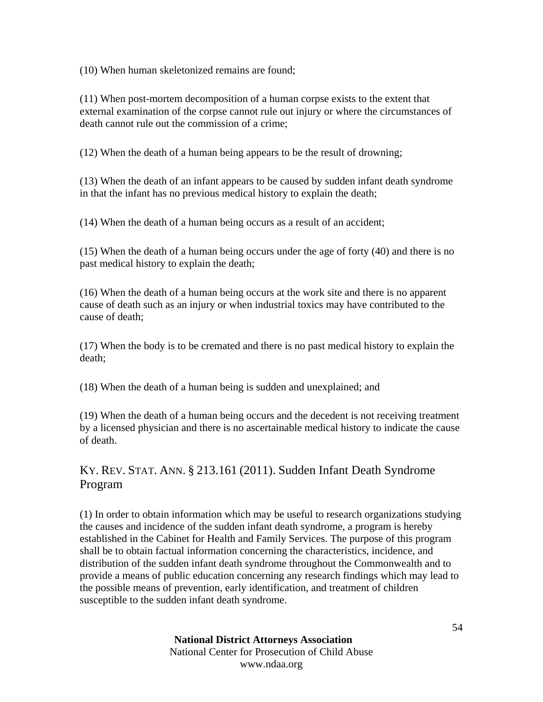(10) When human skeletonized remains are found;

(11) When post-mortem decomposition of a human corpse exists to the extent that external examination of the corpse cannot rule out injury or where the circumstances of death cannot rule out the commission of a crime;

(12) When the death of a human being appears to be the result of drowning;

(13) When the death of an infant appears to be caused by sudden infant death syndrome in that the infant has no previous medical history to explain the death;

(14) When the death of a human being occurs as a result of an accident;

(15) When the death of a human being occurs under the age of forty (40) and there is no past medical history to explain the death;

(16) When the death of a human being occurs at the work site and there is no apparent cause of death such as an injury or when industrial toxics may have contributed to the cause of death;

(17) When the body is to be cremated and there is no past medical history to explain the death;

(18) When the death of a human being is sudden and unexplained; and

(19) When the death of a human being occurs and the decedent is not receiving treatment by a licensed physician and there is no ascertainable medical history to indicate the cause of death.

### KY. REV. STAT. ANN. § 213.161 (2011). Sudden Infant Death Syndrome Program

(1) In order to obtain information which may be useful to research organizations studying the causes and incidence of the sudden infant death syndrome, a program is hereby established in the Cabinet for Health and Family Services. The purpose of this program shall be to obtain factual information concerning the characteristics, incidence, and distribution of the sudden infant death syndrome throughout the Commonwealth and to provide a means of public education concerning any research findings which may lead to the possible means of prevention, early identification, and treatment of children susceptible to the sudden infant death syndrome.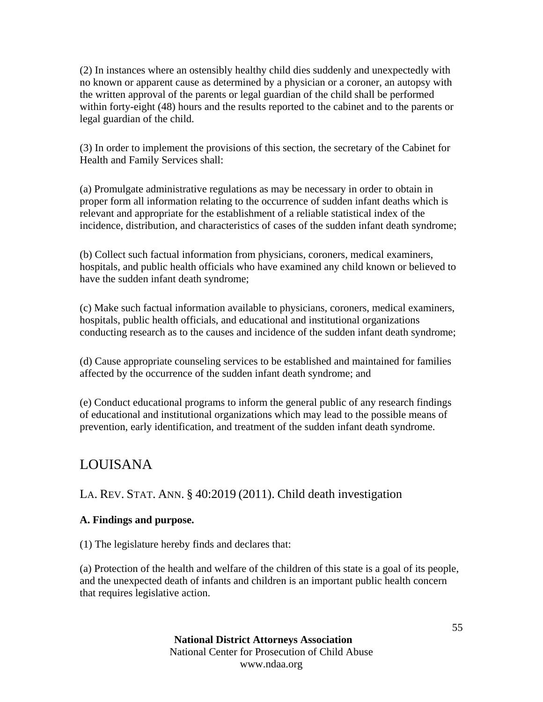(2) In instances where an ostensibly healthy child dies suddenly and unexpectedly with no known or apparent cause as determined by a physician or a coroner, an autopsy with the written approval of the parents or legal guardian of the child shall be performed within forty-eight (48) hours and the results reported to the cabinet and to the parents or legal guardian of the child.

(3) In order to implement the provisions of this section, the secretary of the Cabinet for Health and Family Services shall:

(a) Promulgate administrative regulations as may be necessary in order to obtain in proper form all information relating to the occurrence of sudden infant deaths which is relevant and appropriate for the establishment of a reliable statistical index of the incidence, distribution, and characteristics of cases of the sudden infant death syndrome;

(b) Collect such factual information from physicians, coroners, medical examiners, hospitals, and public health officials who have examined any child known or believed to have the sudden infant death syndrome;

(c) Make such factual information available to physicians, coroners, medical examiners, hospitals, public health officials, and educational and institutional organizations conducting research as to the causes and incidence of the sudden infant death syndrome;

(d) Cause appropriate counseling services to be established and maintained for families affected by the occurrence of the sudden infant death syndrome; and

(e) Conduct educational programs to inform the general public of any research findings of educational and institutional organizations which may lead to the possible means of prevention, early identification, and treatment of the sudden infant death syndrome.

# LOUISANA

### LA. REV. STAT. ANN. § 40:2019 (2011). Child death investigation

#### **A. Findings and purpose.**

(1) The legislature hereby finds and declares that:

(a) Protection of the health and welfare of the children of this state is a goal of its people, and the unexpected death of infants and children is an important public health concern that requires legislative action.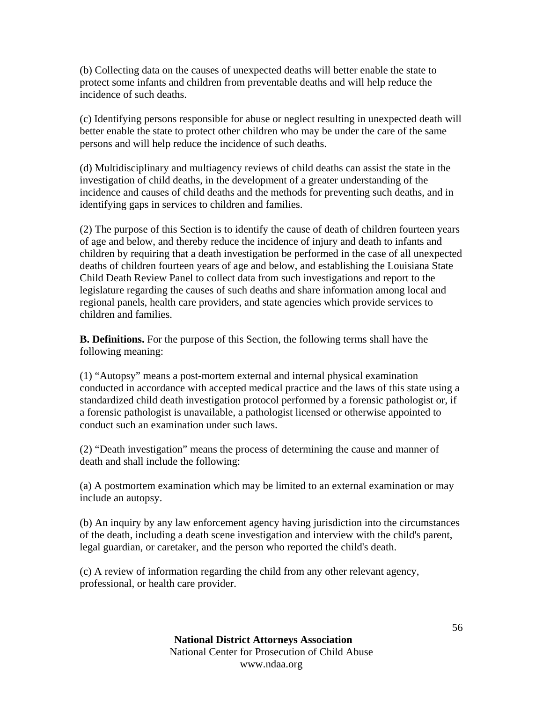(b) Collecting data on the causes of unexpected deaths will better enable the state to protect some infants and children from preventable deaths and will help reduce the incidence of such deaths.

(c) Identifying persons responsible for abuse or neglect resulting in unexpected death will better enable the state to protect other children who may be under the care of the same persons and will help reduce the incidence of such deaths.

(d) Multidisciplinary and multiagency reviews of child deaths can assist the state in the investigation of child deaths, in the development of a greater understanding of the incidence and causes of child deaths and the methods for preventing such deaths, and in identifying gaps in services to children and families.

(2) The purpose of this Section is to identify the cause of death of children fourteen years of age and below, and thereby reduce the incidence of injury and death to infants and children by requiring that a death investigation be performed in the case of all unexpected deaths of children fourteen years of age and below, and establishing the Louisiana State Child Death Review Panel to collect data from such investigations and report to the legislature regarding the causes of such deaths and share information among local and regional panels, health care providers, and state agencies which provide services to children and families.

**B. Definitions.** For the purpose of this Section, the following terms shall have the following meaning:

(1) "Autopsy" means a post-mortem external and internal physical examination conducted in accordance with accepted medical practice and the laws of this state using a standardized child death investigation protocol performed by a forensic pathologist or, if a forensic pathologist is unavailable, a pathologist licensed or otherwise appointed to conduct such an examination under such laws.

(2) "Death investigation" means the process of determining the cause and manner of death and shall include the following:

(a) A postmortem examination which may be limited to an external examination or may include an autopsy.

(b) An inquiry by any law enforcement agency having jurisdiction into the circumstances of the death, including a death scene investigation and interview with the child's parent, legal guardian, or caretaker, and the person who reported the child's death.

(c) A review of information regarding the child from any other relevant agency, professional, or health care provider.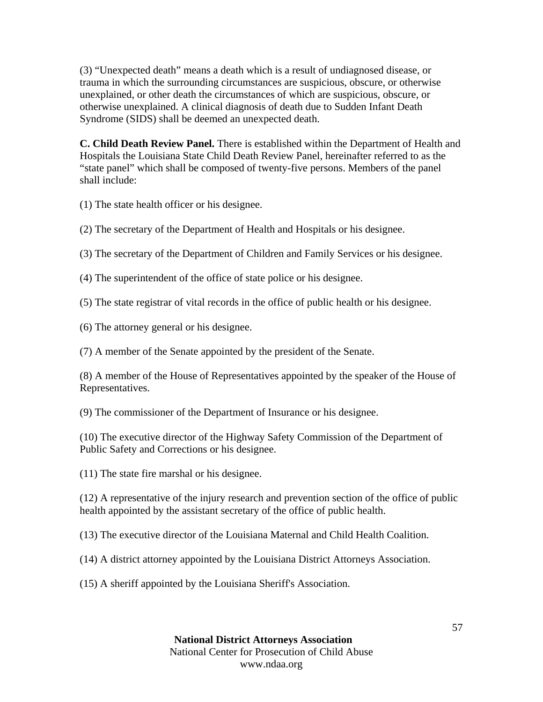(3) "Unexpected death" means a death which is a result of undiagnosed disease, or trauma in which the surrounding circumstances are suspicious, obscure, or otherwise unexplained, or other death the circumstances of which are suspicious, obscure, or otherwise unexplained. A clinical diagnosis of death due to Sudden Infant Death Syndrome (SIDS) shall be deemed an unexpected death.

**C. Child Death Review Panel.** There is established within the Department of Health and Hospitals the Louisiana State Child Death Review Panel, hereinafter referred to as the "state panel" which shall be composed of twenty-five persons. Members of the panel shall include:

(1) The state health officer or his designee.

(2) The secretary of the Department of Health and Hospitals or his designee.

(3) The secretary of the Department of Children and Family Services or his designee.

(4) The superintendent of the office of state police or his designee.

(5) The state registrar of vital records in the office of public health or his designee.

(6) The attorney general or his designee.

(7) A member of the Senate appointed by the president of the Senate.

(8) A member of the House of Representatives appointed by the speaker of the House of Representatives.

(9) The commissioner of the Department of Insurance or his designee.

(10) The executive director of the Highway Safety Commission of the Department of Public Safety and Corrections or his designee.

(11) The state fire marshal or his designee.

(12) A representative of the injury research and prevention section of the office of public health appointed by the assistant secretary of the office of public health.

(13) The executive director of the Louisiana Maternal and Child Health Coalition.

(14) A district attorney appointed by the Louisiana District Attorneys Association.

(15) A sheriff appointed by the Louisiana Sheriff's Association.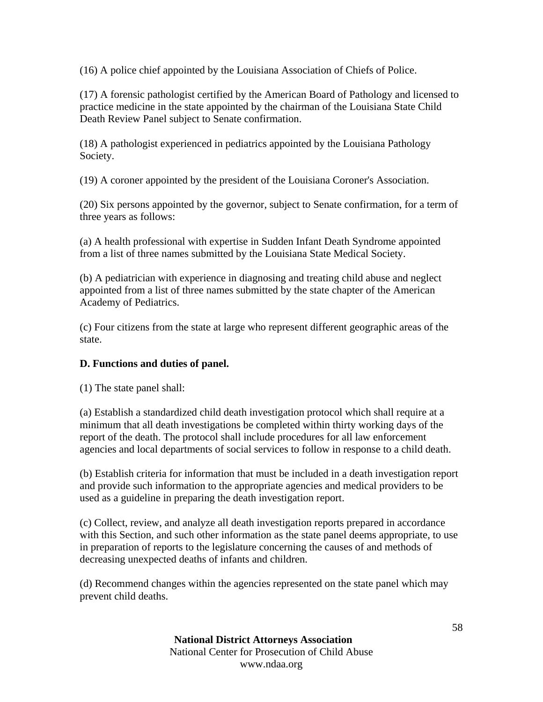(16) A police chief appointed by the Louisiana Association of Chiefs of Police.

(17) A forensic pathologist certified by the American Board of Pathology and licensed to practice medicine in the state appointed by the chairman of the Louisiana State Child Death Review Panel subject to Senate confirmation.

(18) A pathologist experienced in pediatrics appointed by the Louisiana Pathology Society.

(19) A coroner appointed by the president of the Louisiana Coroner's Association.

(20) Six persons appointed by the governor, subject to Senate confirmation, for a term of three years as follows:

(a) A health professional with expertise in Sudden Infant Death Syndrome appointed from a list of three names submitted by the Louisiana State Medical Society.

(b) A pediatrician with experience in diagnosing and treating child abuse and neglect appointed from a list of three names submitted by the state chapter of the American Academy of Pediatrics.

(c) Four citizens from the state at large who represent different geographic areas of the state.

#### **D. Functions and duties of panel.**

(1) The state panel shall:

(a) Establish a standardized child death investigation protocol which shall require at a minimum that all death investigations be completed within thirty working days of the report of the death. The protocol shall include procedures for all law enforcement agencies and local departments of social services to follow in response to a child death.

(b) Establish criteria for information that must be included in a death investigation report and provide such information to the appropriate agencies and medical providers to be used as a guideline in preparing the death investigation report.

(c) Collect, review, and analyze all death investigation reports prepared in accordance with this Section, and such other information as the state panel deems appropriate, to use in preparation of reports to the legislature concerning the causes of and methods of decreasing unexpected deaths of infants and children.

(d) Recommend changes within the agencies represented on the state panel which may prevent child deaths.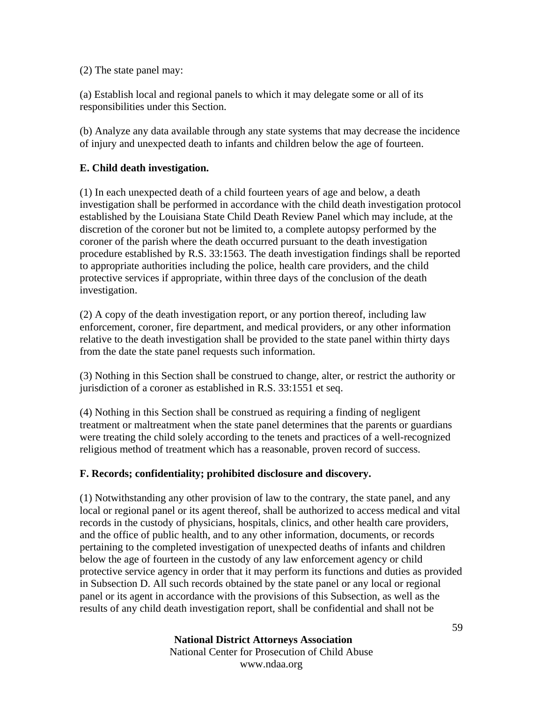(2) The state panel may:

(a) Establish local and regional panels to which it may delegate some or all of its responsibilities under this Section.

(b) Analyze any data available through any state systems that may decrease the incidence of injury and unexpected death to infants and children below the age of fourteen.

#### **E. Child death investigation.**

(1) In each unexpected death of a child fourteen years of age and below, a death investigation shall be performed in accordance with the child death investigation protocol established by the Louisiana State Child Death Review Panel which may include, at the discretion of the coroner but not be limited to, a complete autopsy performed by the coroner of the parish where the death occurred pursuant to the death investigation procedure established by [R.S. 33:1563](https://web2.westlaw.com/find/default.wl?tc=-1&docname=LARS33%3a1563&rp=%2ffind%2fdefault.wl&sv=Split&rs=WLW11.07&db=1000011&tf=-1&findtype=L&fn=_top&mt=WestlawGC&vr=2.0&pbc=FFD7B3A3&ordoc=6498577). The death investigation findings shall be reported to appropriate authorities including the police, health care providers, and the child protective services if appropriate, within three days of the conclusion of the death investigation.

(2) A copy of the death investigation report, or any portion thereof, including law enforcement, coroner, fire department, and medical providers, or any other information relative to the death investigation shall be provided to the state panel within thirty days from the date the state panel requests such information.

(3) Nothing in this Section shall be construed to change, alter, or restrict the authority or jurisdiction of a coroner as established in [R.S. 33:1551 et seq.](https://web2.westlaw.com/find/default.wl?tc=-1&docname=LARS33%3a1551&rp=%2ffind%2fdefault.wl&sv=Split&rs=WLW11.07&db=1000011&tf=-1&findtype=L&fn=_top&mt=WestlawGC&vr=2.0&pbc=FFD7B3A3&ordoc=6498577)

(4) Nothing in this Section shall be construed as requiring a finding of negligent treatment or maltreatment when the state panel determines that the parents or guardians were treating the child solely according to the tenets and practices of a well-recognized religious method of treatment which has a reasonable, proven record of success.

#### **F. Records; confidentiality; prohibited disclosure and discovery.**

(1) Notwithstanding any other provision of law to the contrary, the state panel, and any local or regional panel or its agent thereof, shall be authorized to access medical and vital records in the custody of physicians, hospitals, clinics, and other health care providers, and the office of public health, and to any other information, documents, or records pertaining to the completed investigation of unexpected deaths of infants and children below the age of fourteen in the custody of any law enforcement agency or child protective service agency in order that it may perform its functions and duties as provided in Subsection D. All such records obtained by the state panel or any local or regional panel or its agent in accordance with the provisions of this Subsection, as well as the results of any child death investigation report, shall be confidential and shall not be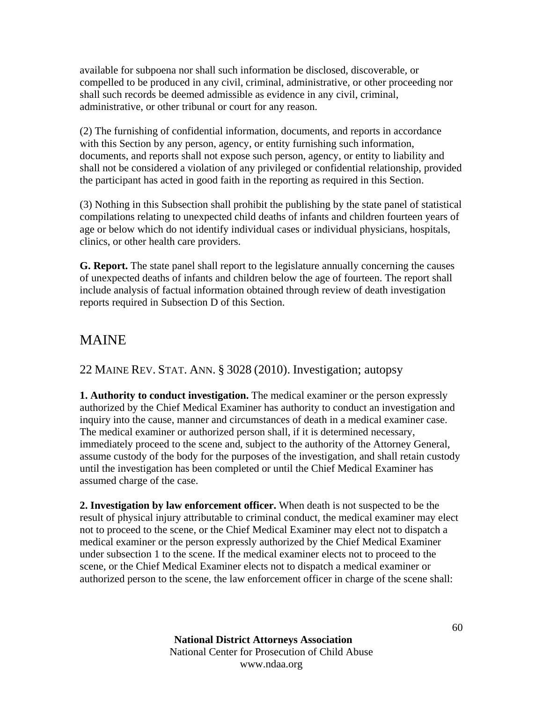available for subpoena nor shall such information be disclosed, discoverable, or compelled to be produced in any civil, criminal, administrative, or other proceeding nor shall such records be deemed admissible as evidence in any civil, criminal, administrative, or other tribunal or court for any reason.

(2) The furnishing of confidential information, documents, and reports in accordance with this Section by any person, agency, or entity furnishing such information, documents, and reports shall not expose such person, agency, or entity to liability and shall not be considered a violation of any privileged or confidential relationship, provided the participant has acted in good faith in the reporting as required in this Section.

(3) Nothing in this Subsection shall prohibit the publishing by the state panel of statistical compilations relating to unexpected child deaths of infants and children fourteen years of age or below which do not identify individual cases or individual physicians, hospitals, clinics, or other health care providers.

**G. Report.** The state panel shall report to the legislature annually concerning the causes of unexpected deaths of infants and children below the age of fourteen. The report shall include analysis of factual information obtained through review of death investigation reports required in Subsection D of this Section.

# MAINE

22 MAINE REV. STAT. ANN. § 3028 (2010). Investigation; autopsy

**1. Authority to conduct investigation.** The medical examiner or the person expressly authorized by the Chief Medical Examiner has authority to conduct an investigation and inquiry into the cause, manner and circumstances of death in a medical examiner case. The medical examiner or authorized person shall, if it is determined necessary, immediately proceed to the scene and, subject to the authority of the Attorney General, assume custody of the body for the purposes of the investigation, and shall retain custody until the investigation has been completed or until the Chief Medical Examiner has assumed charge of the case.

**2. Investigation by law enforcement officer.** When death is not suspected to be the result of physical injury attributable to criminal conduct, the medical examiner may elect not to proceed to the scene, or the Chief Medical Examiner may elect not to dispatch a medical examiner or the person expressly authorized by the Chief Medical Examiner under subsection 1 to the scene. If the medical examiner elects not to proceed to the scene, or the Chief Medical Examiner elects not to dispatch a medical examiner or authorized person to the scene, the law enforcement officer in charge of the scene shall: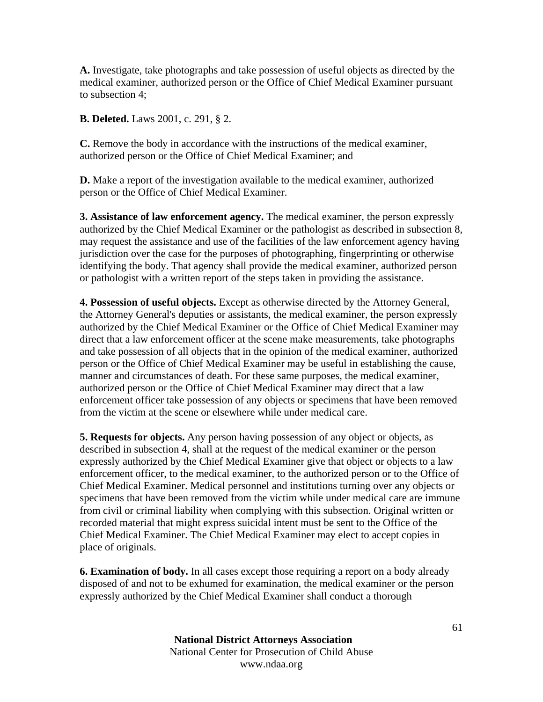**A.** Investigate, take photographs and take possession of useful objects as directed by the medical examiner, authorized person or the Office of Chief Medical Examiner pursuant to subsection 4;

**B. Deleted.** Laws [2001, c. 291, § 2.](http://web2.westlaw.com/find/default.wl?tc=-1&docname=UUID(I3062675813-A24AC68B832-955FFB2494C)&rp=%2ffind%2fdefault.wl&utid=1&rs=WLW11.07&db=1077005&tf=-1&findtype=l&fn=_top&mt=LawSchoolPractitioner&vr=2.0&pbc=5203565B&ordoc=2398093)

**C.** Remove the body in accordance with the instructions of the medical examiner, authorized person or the Office of Chief Medical Examiner; and

**D.** Make a report of the investigation available to the medical examiner, authorized person or the Office of Chief Medical Examiner.

**3. Assistance of law enforcement agency.** The medical examiner, the person expressly authorized by the Chief Medical Examiner or the pathologist as described in subsection 8, may request the assistance and use of the facilities of the law enforcement agency having jurisdiction over the case for the purposes of photographing, fingerprinting or otherwise identifying the body. That agency shall provide the medical examiner, authorized person or pathologist with a written report of the steps taken in providing the assistance.

**4. Possession of useful objects.** Except as otherwise directed by the Attorney General, the Attorney General's deputies or assistants, the medical examiner, the person expressly authorized by the Chief Medical Examiner or the Office of Chief Medical Examiner may direct that a law enforcement officer at the scene make measurements, take photographs and take possession of all objects that in the opinion of the medical examiner, authorized person or the Office of Chief Medical Examiner may be useful in establishing the cause, manner and circumstances of death. For these same purposes, the medical examiner, authorized person or the Office of Chief Medical Examiner may direct that a law enforcement officer take possession of any objects or specimens that have been removed from the victim at the scene or elsewhere while under medical care.

**5. Requests for objects.** Any person having possession of any object or objects, as described in subsection 4, shall at the request of the medical examiner or the person expressly authorized by the Chief Medical Examiner give that object or objects to a law enforcement officer, to the medical examiner, to the authorized person or to the Office of Chief Medical Examiner. Medical personnel and institutions turning over any objects or specimens that have been removed from the victim while under medical care are immune from civil or criminal liability when complying with this subsection. Original written or recorded material that might express suicidal intent must be sent to the Office of the Chief Medical Examiner. The Chief Medical Examiner may elect to accept copies in place of originals.

**6. Examination of body.** In all cases except those requiring a report on a body already disposed of and not to be exhumed for examination, the medical examiner or the person expressly authorized by the Chief Medical Examiner shall conduct a thorough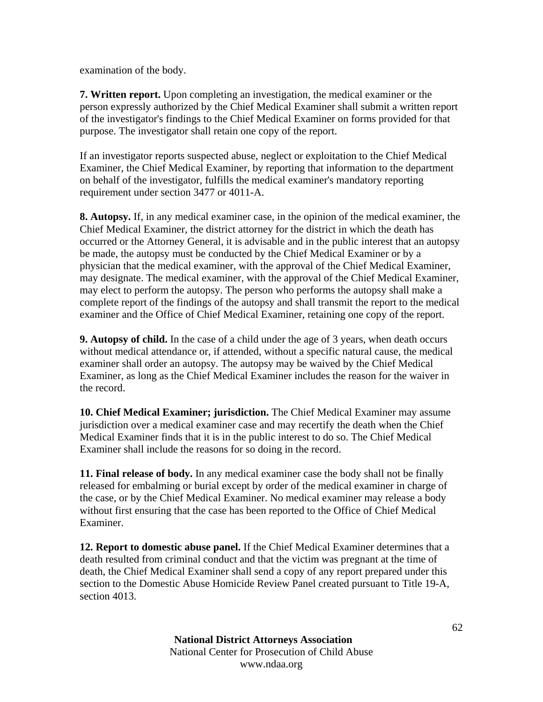examination of the body.

**7. Written report.** Upon completing an investigation, the medical examiner or the person expressly authorized by the Chief Medical Examiner shall submit a written report of the investigator's findings to the Chief Medical Examiner on forms provided for that purpose. The investigator shall retain one copy of the report.

If an investigator reports suspected abuse, neglect or exploitation to the Chief Medical Examiner, the Chief Medical Examiner, by reporting that information to the department on behalf of the investigator, fulfills the medical examiner's mandatory reporting requirement under section 3477 or 4011-A.

**8. Autopsy.** If, in any medical examiner case, in the opinion of the medical examiner, the Chief Medical Examiner, the district attorney for the district in which the death has occurred or the Attorney General, it is advisable and in the public interest that an autopsy be made, the autopsy must be conducted by the Chief Medical Examiner or by a physician that the medical examiner, with the approval of the Chief Medical Examiner, may designate. The medical examiner, with the approval of the Chief Medical Examiner, may elect to perform the autopsy. The person who performs the autopsy shall make a complete report of the findings of the autopsy and shall transmit the report to the medical examiner and the Office of Chief Medical Examiner, retaining one copy of the report.

**9. Autopsy of child.** In the case of a child under the age of 3 years, when death occurs without medical attendance or, if attended, without a specific natural cause, the medical examiner shall order an autopsy. The autopsy may be waived by the Chief Medical Examiner, as long as the Chief Medical Examiner includes the reason for the waiver in the record.

**10. Chief Medical Examiner; jurisdiction.** The Chief Medical Examiner may assume jurisdiction over a medical examiner case and may recertify the death when the Chief Medical Examiner finds that it is in the public interest to do so. The Chief Medical Examiner shall include the reasons for so doing in the record.

**11. Final release of body.** In any medical examiner case the body shall not be finally released for embalming or burial except by order of the medical examiner in charge of the case, or by the Chief Medical Examiner. No medical examiner may release a body without first ensuring that the case has been reported to the Office of Chief Medical Examiner.

**12. Report to domestic abuse panel.** If the Chief Medical Examiner determines that a death resulted from criminal conduct and that the victim was pregnant at the time of death, the Chief Medical Examiner shall send a copy of any report prepared under this section to the Domestic Abuse Homicide Review Panel created pursuant to Title 19-A, section 4013.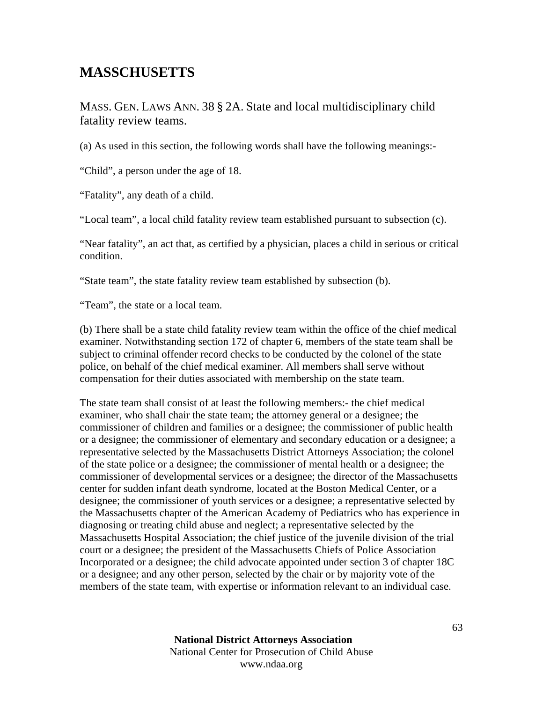## **MASSCHUSETTS**

MASS. GEN. LAWS ANN. 38 § 2A. State and local multidisciplinary child fatality review teams.

(a) As used in this section, the following words shall have the following meanings:-

"Child", a person under the age of 18.

"Fatality", any death of a child.

"Local team", a local child fatality review team established pursuant to subsection (c).

"Near fatality", an act that, as certified by a physician, places a child in serious or critical condition.

"State team", the state fatality review team established by subsection (b).

"Team", the state or a local team.

(b) There shall be a state child fatality review team within the office of the chief medical examiner. Notwithstanding [section 172 of chapter 6,](http://web2.westlaw.com/find/default.wl?tc=-1&docname=MAST6S172&rp=%2ffind%2fdefault.wl&sv=Split&utid=1&rs=WLW11.07&db=1000042&tf=-1&findtype=L&fn=_top&mt=LawSchoolPractitioner&vr=2.0&pbc=0A3D1588&ordoc=6606172) members of the state team shall be subject to criminal offender record checks to be conducted by the colonel of the state police, on behalf of the chief medical examiner. All members shall serve without compensation for their duties associated with membership on the state team.

The state team shall consist of at least the following members:- the chief medical examiner, who shall chair the state team; the attorney general or a designee; the commissioner of children and families or a designee; the commissioner of public health or a designee; the commissioner of elementary and secondary education or a designee; a representative selected by the Massachusetts District Attorneys Association; the colonel of the state police or a designee; the commissioner of mental health or a designee; the commissioner of developmental services or a designee; the director of the Massachusetts center for sudden infant death syndrome, located at the Boston Medical Center, or a designee; the commissioner of youth services or a designee; a representative selected by the Massachusetts chapter of the American Academy of Pediatrics who has experience in diagnosing or treating child abuse and neglect; a representative selected by the Massachusetts Hospital Association; the chief justice of the juvenile division of the trial court or a designee; the president of the Massachusetts Chiefs of Police Association Incorporated or a designee; the child advocate appointed under [section 3 of chapter 18C](http://web2.westlaw.com/find/default.wl?tc=-1&docname=MAST18CS3&rp=%2ffind%2fdefault.wl&sv=Split&utid=1&rs=WLW11.07&db=1000042&tf=-1&findtype=L&fn=_top&mt=LawSchoolPractitioner&vr=2.0&pbc=0A3D1588&ordoc=6606172) or a designee; and any other person, selected by the chair or by majority vote of the members of the state team, with expertise or information relevant to an individual case.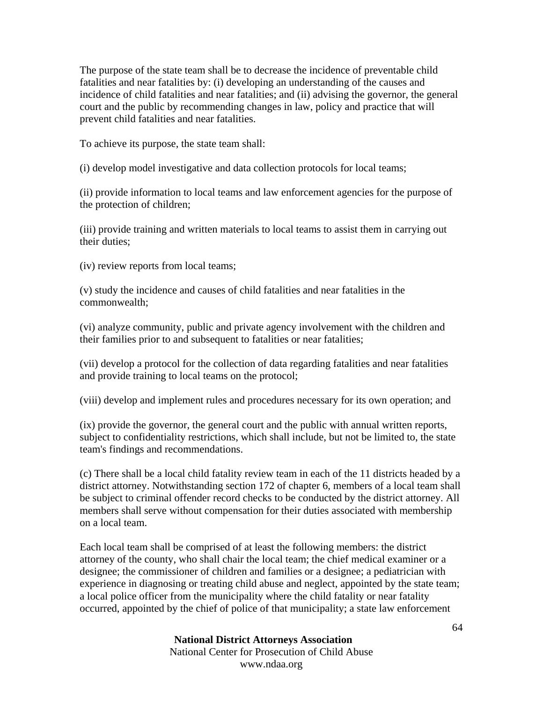The purpose of the state team shall be to decrease the incidence of preventable child fatalities and near fatalities by: (i) developing an understanding of the causes and incidence of child fatalities and near fatalities; and (ii) advising the governor, the general court and the public by recommending changes in law, policy and practice that will prevent child fatalities and near fatalities.

To achieve its purpose, the state team shall:

(i) develop model investigative and data collection protocols for local teams;

(ii) provide information to local teams and law enforcement agencies for the purpose of the protection of children;

(iii) provide training and written materials to local teams to assist them in carrying out their duties;

(iv) review reports from local teams;

(v) study the incidence and causes of child fatalities and near fatalities in the commonwealth;

(vi) analyze community, public and private agency involvement with the children and their families prior to and subsequent to fatalities or near fatalities;

(vii) develop a protocol for the collection of data regarding fatalities and near fatalities and provide training to local teams on the protocol;

(viii) develop and implement rules and procedures necessary for its own operation; and

(ix) provide the governor, the general court and the public with annual written reports, subject to confidentiality restrictions, which shall include, but not be limited to, the state team's findings and recommendations.

(c) There shall be a local child fatality review team in each of the 11 districts headed by a district attorney. Notwithstanding [section 172 of chapter 6,](http://web2.westlaw.com/find/default.wl?tc=-1&docname=MAST6S172&rp=%2ffind%2fdefault.wl&sv=Split&utid=1&rs=WLW11.07&db=1000042&tf=-1&findtype=L&fn=_top&mt=LawSchoolPractitioner&vr=2.0&pbc=0A3D1588&ordoc=6606172) members of a local team shall be subject to criminal offender record checks to be conducted by the district attorney. All members shall serve without compensation for their duties associated with membership on a local team.

Each local team shall be comprised of at least the following members: the district attorney of the county, who shall chair the local team; the chief medical examiner or a designee; the commissioner of children and families or a designee; a pediatrician with experience in diagnosing or treating child abuse and neglect, appointed by the state team; a local police officer from the municipality where the child fatality or near fatality occurred, appointed by the chief of police of that municipality; a state law enforcement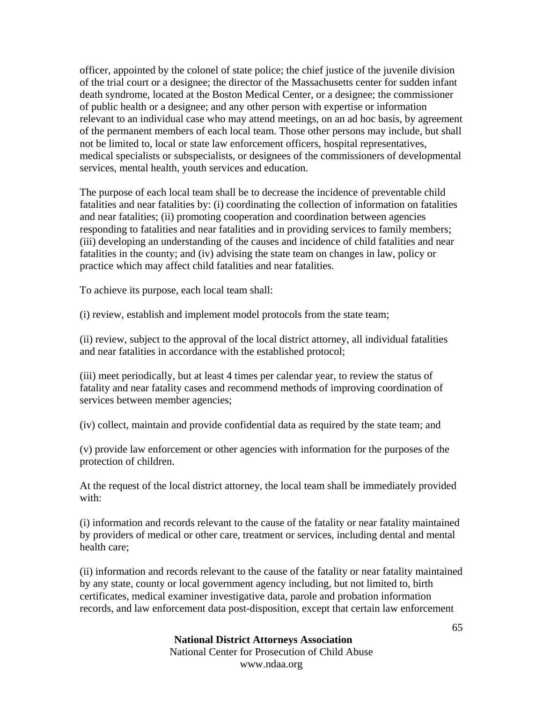officer, appointed by the colonel of state police; the chief justice of the juvenile division of the trial court or a designee; the director of the Massachusetts center for sudden infant death syndrome, located at the Boston Medical Center, or a designee; the commissioner of public health or a designee; and any other person with expertise or information relevant to an individual case who may attend meetings, on an ad hoc basis, by agreement of the permanent members of each local team. Those other persons may include, but shall not be limited to, local or state law enforcement officers, hospital representatives, medical specialists or subspecialists, or designees of the commissioners of developmental services, mental health, youth services and education.

The purpose of each local team shall be to decrease the incidence of preventable child fatalities and near fatalities by: (i) coordinating the collection of information on fatalities and near fatalities; (ii) promoting cooperation and coordination between agencies responding to fatalities and near fatalities and in providing services to family members; (iii) developing an understanding of the causes and incidence of child fatalities and near fatalities in the county; and (iv) advising the state team on changes in law, policy or practice which may affect child fatalities and near fatalities.

To achieve its purpose, each local team shall:

(i) review, establish and implement model protocols from the state team;

(ii) review, subject to the approval of the local district attorney, all individual fatalities and near fatalities in accordance with the established protocol;

(iii) meet periodically, but at least 4 times per calendar year, to review the status of fatality and near fatality cases and recommend methods of improving coordination of services between member agencies;

(iv) collect, maintain and provide confidential data as required by the state team; and

(v) provide law enforcement or other agencies with information for the purposes of the protection of children.

At the request of the local district attorney, the local team shall be immediately provided with:

(i) information and records relevant to the cause of the fatality or near fatality maintained by providers of medical or other care, treatment or services, including dental and mental health care;

(ii) information and records relevant to the cause of the fatality or near fatality maintained by any state, county or local government agency including, but not limited to, birth certificates, medical examiner investigative data, parole and probation information records, and law enforcement data post-disposition, except that certain law enforcement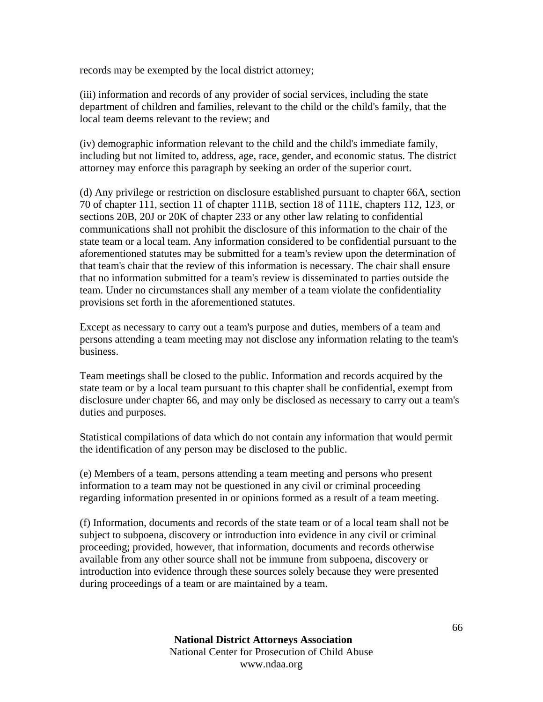records may be exempted by the local district attorney;

(iii) information and records of any provider of social services, including the state department of children and families, relevant to the child or the child's family, that the local team deems relevant to the review; and

(iv) demographic information relevant to the child and the child's immediate family, including but not limited to, address, age, race, gender, and economic status. The district attorney may enforce this paragraph by seeking an order of the superior court.

(d) Any privilege or restriction on disclosure established pursuant to chapter 66A, [section](http://web2.westlaw.com/find/default.wl?tc=-1&docname=MAST111S70&rp=%2ffind%2fdefault.wl&sv=Split&utid=1&rs=WLW11.07&db=1000042&tf=-1&findtype=L&fn=_top&mt=LawSchoolPractitioner&vr=2.0&pbc=0A3D1588&ordoc=6606172)  [70 of chapter 111](http://web2.westlaw.com/find/default.wl?tc=-1&docname=MAST111S70&rp=%2ffind%2fdefault.wl&sv=Split&utid=1&rs=WLW11.07&db=1000042&tf=-1&findtype=L&fn=_top&mt=LawSchoolPractitioner&vr=2.0&pbc=0A3D1588&ordoc=6606172), [section 11 of chapter 111B,](http://web2.westlaw.com/find/default.wl?tc=-1&docname=MAST111BS11&rp=%2ffind%2fdefault.wl&sv=Split&utid=1&rs=WLW11.07&db=1000042&tf=-1&findtype=L&fn=_top&mt=LawSchoolPractitioner&vr=2.0&pbc=0A3D1588&ordoc=6606172) [section 18](http://web2.westlaw.com/find/default.wl?tc=-1&docname=MAST123S18&rp=%2ffind%2fdefault.wl&sv=Split&utid=1&rs=WLW11.07&db=1000042&tf=-1&findtype=L&fn=_top&mt=LawSchoolPractitioner&vr=2.0&pbc=0A3D1588&ordoc=6606172) of 111E, chapters 112, 123, or [sections 20B,](http://web2.westlaw.com/find/default.wl?tc=-1&docname=MAST233S20B&rp=%2ffind%2fdefault.wl&sv=Split&utid=1&rs=WLW11.07&db=1000042&tf=-1&findtype=L&fn=_top&mt=LawSchoolPractitioner&vr=2.0&pbc=0A3D1588&ordoc=6606172) [20J](http://web2.westlaw.com/find/default.wl?tc=-1&docname=MAST233S20J&rp=%2ffind%2fdefault.wl&sv=Split&utid=1&rs=WLW11.07&db=1000042&tf=-1&findtype=L&fn=_top&mt=LawSchoolPractitioner&vr=2.0&pbc=0A3D1588&ordoc=6606172) or [20K of chapter 233](http://web2.westlaw.com/find/default.wl?tc=-1&docname=MAST233S20K&rp=%2ffind%2fdefault.wl&sv=Split&utid=1&rs=WLW11.07&db=1000042&tf=-1&findtype=L&fn=_top&mt=LawSchoolPractitioner&vr=2.0&pbc=0A3D1588&ordoc=6606172) or any other law relating to confidential communications shall not prohibit the disclosure of this information to the chair of the state team or a local team. Any information considered to be confidential pursuant to the aforementioned statutes may be submitted for a team's review upon the determination of that team's chair that the review of this information is necessary. The chair shall ensure that no information submitted for a team's review is disseminated to parties outside the team. Under no circumstances shall any member of a team violate the confidentiality provisions set forth in the aforementioned statutes.

Except as necessary to carry out a team's purpose and duties, members of a team and persons attending a team meeting may not disclose any information relating to the team's business.

Team meetings shall be closed to the public. Information and records acquired by the state team or by a local team pursuant to this chapter shall be confidential, exempt from disclosure under chapter 66, and may only be disclosed as necessary to carry out a team's duties and purposes.

Statistical compilations of data which do not contain any information that would permit the identification of any person may be disclosed to the public.

(e) Members of a team, persons attending a team meeting and persons who present information to a team may not be questioned in any civil or criminal proceeding regarding information presented in or opinions formed as a result of a team meeting.

(f) Information, documents and records of the state team or of a local team shall not be subject to subpoena, discovery or introduction into evidence in any civil or criminal proceeding; provided, however, that information, documents and records otherwise available from any other source shall not be immune from subpoena, discovery or introduction into evidence through these sources solely because they were presented during proceedings of a team or are maintained by a team.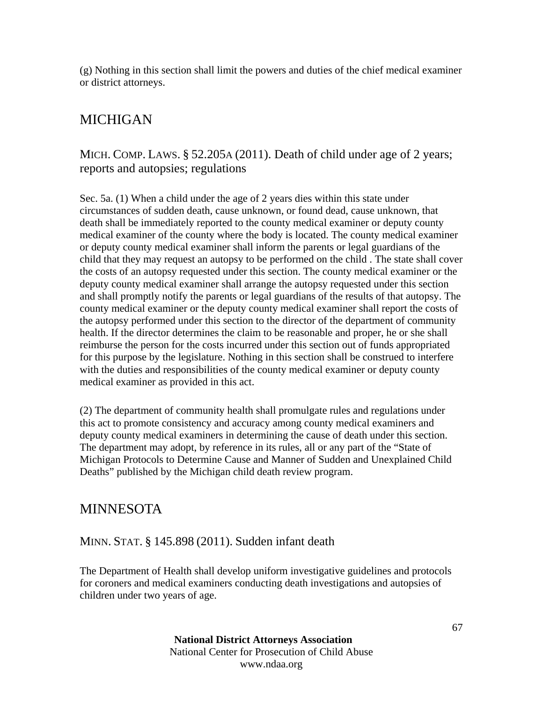(g) Nothing in this section shall limit the powers and duties of the chief medical examiner or district attorneys.

## MICHIGAN

### MICH. COMP. LAWS. § 52.205A (2011). Death of child under age of 2 years; reports and autopsies; regulations

Sec. 5a. (1) When a child under the age of 2 years dies within this state under circumstances of sudden death, cause unknown, or found dead, cause unknown, that death shall be immediately reported to the county medical examiner or deputy county medical examiner of the county where the body is located. The county medical examiner or deputy county medical examiner shall inform the parents or legal guardians of the child that they may request an autopsy to be performed on the child . The state shall cover the costs of an autopsy requested under this section. The county medical examiner or the deputy county medical examiner shall arrange the autopsy requested under this section and shall promptly notify the parents or legal guardians of the results of that autopsy. The county medical examiner or the deputy county medical examiner shall report the costs of the autopsy performed under this section to the director of the department of community health. If the director determines the claim to be reasonable and proper, he or she shall reimburse the person for the costs incurred under this section out of funds appropriated for this purpose by the legislature. Nothing in this section shall be construed to interfere with the duties and responsibilities of the county medical examiner or deputy county medical examiner as provided in this act.

(2) The department of community health shall promulgate rules and regulations under this act to promote consistency and accuracy among county medical examiners and deputy county medical examiners in determining the cause of death under this section. The department may adopt, by reference in its rules, all or any part of the "State of Michigan Protocols to Determine Cause and Manner of Sudden and Unexplained Child Deaths" published by the Michigan child death review program.

## **MINNESOTA**

### MINN. STAT. § 145.898 (2011). Sudden infant death

The Department of Health shall develop uniform investigative guidelines and protocols for coroners and medical examiners conducting death investigations and autopsies of children under two years of age.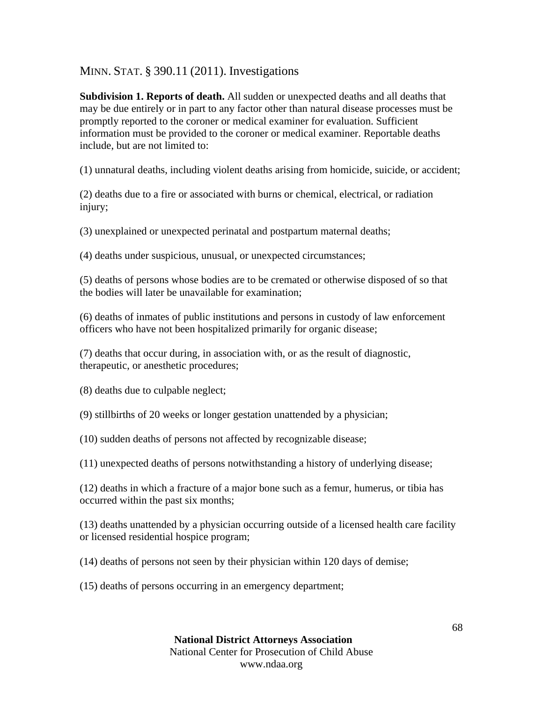MINN. STAT. § 390.11 (2011). Investigations

**Subdivision 1. Reports of death.** All sudden or unexpected deaths and all deaths that may be due entirely or in part to any factor other than natural disease processes must be promptly reported to the coroner or medical examiner for evaluation. Sufficient information must be provided to the coroner or medical examiner. Reportable deaths include, but are not limited to:

(1) unnatural deaths, including violent deaths arising from homicide, suicide, or accident;

(2) deaths due to a fire or associated with burns or chemical, electrical, or radiation injury;

(3) unexplained or unexpected perinatal and postpartum maternal deaths;

(4) deaths under suspicious, unusual, or unexpected circumstances;

(5) deaths of persons whose bodies are to be cremated or otherwise disposed of so that the bodies will later be unavailable for examination;

(6) deaths of inmates of public institutions and persons in custody of law enforcement officers who have not been hospitalized primarily for organic disease;

(7) deaths that occur during, in association with, or as the result of diagnostic, therapeutic, or anesthetic procedures;

(8) deaths due to culpable neglect;

(9) stillbirths of 20 weeks or longer gestation unattended by a physician;

(10) sudden deaths of persons not affected by recognizable disease;

(11) unexpected deaths of persons notwithstanding a history of underlying disease;

(12) deaths in which a fracture of a major bone such as a femur, humerus, or tibia has occurred within the past six months;

(13) deaths unattended by a physician occurring outside of a licensed health care facility or licensed residential hospice program;

(14) deaths of persons not seen by their physician within 120 days of demise;

(15) deaths of persons occurring in an emergency department;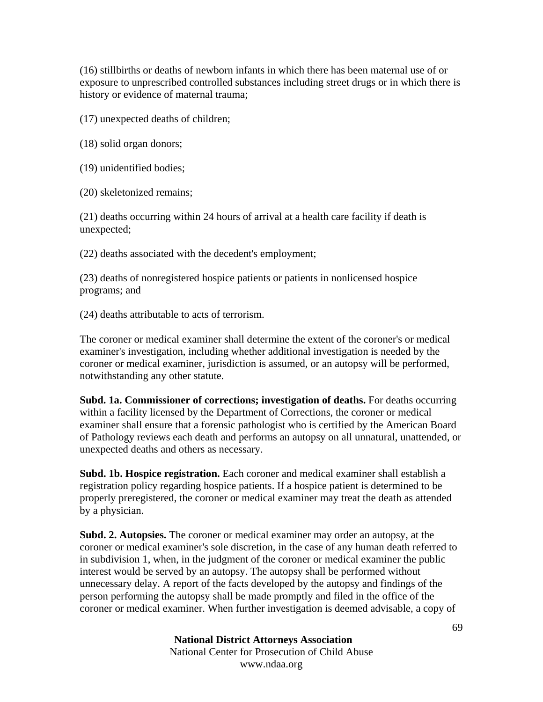(16) stillbirths or deaths of newborn infants in which there has been maternal use of or exposure to unprescribed controlled substances including street drugs or in which there is history or evidence of maternal trauma;

(17) unexpected deaths of children;

(18) solid organ donors;

(19) unidentified bodies;

(20) skeletonized remains;

(21) deaths occurring within 24 hours of arrival at a health care facility if death is unexpected;

(22) deaths associated with the decedent's employment;

(23) deaths of nonregistered hospice patients or patients in nonlicensed hospice programs; and

(24) deaths attributable to acts of terrorism.

The coroner or medical examiner shall determine the extent of the coroner's or medical examiner's investigation, including whether additional investigation is needed by the coroner or medical examiner, jurisdiction is assumed, or an autopsy will be performed, notwithstanding any other statute.

**Subd. 1a. Commissioner of corrections; investigation of deaths.** For deaths occurring within a facility licensed by the Department of Corrections, the coroner or medical examiner shall ensure that a forensic pathologist who is certified by the American Board of Pathology reviews each death and performs an autopsy on all unnatural, unattended, or unexpected deaths and others as necessary.

**Subd. 1b. Hospice registration.** Each coroner and medical examiner shall establish a registration policy regarding hospice patients. If a hospice patient is determined to be properly preregistered, the coroner or medical examiner may treat the death as attended by a physician.

**Subd. 2. Autopsies.** The coroner or medical examiner may order an autopsy, at the coroner or medical examiner's sole discretion, in the case of any human death referred to in subdivision 1, when, in the judgment of the coroner or medical examiner the public interest would be served by an autopsy. The autopsy shall be performed without unnecessary delay. A report of the facts developed by the autopsy and findings of the person performing the autopsy shall be made promptly and filed in the office of the coroner or medical examiner. When further investigation is deemed advisable, a copy of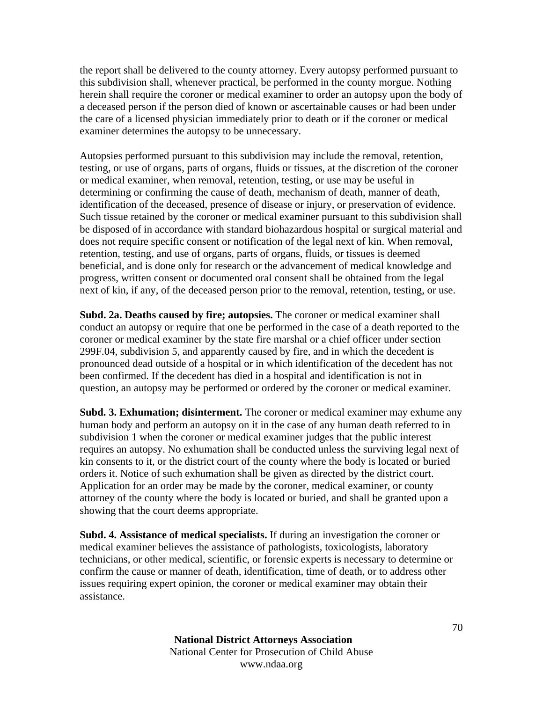the report shall be delivered to the county attorney. Every autopsy performed pursuant to this subdivision shall, whenever practical, be performed in the county morgue. Nothing herein shall require the coroner or medical examiner to order an autopsy upon the body of a deceased person if the person died of known or ascertainable causes or had been under the care of a licensed physician immediately prior to death or if the coroner or medical examiner determines the autopsy to be unnecessary.

Autopsies performed pursuant to this subdivision may include the removal, retention, testing, or use of organs, parts of organs, fluids or tissues, at the discretion of the coroner or medical examiner, when removal, retention, testing, or use may be useful in determining or confirming the cause of death, mechanism of death, manner of death, identification of the deceased, presence of disease or injury, or preservation of evidence. Such tissue retained by the coroner or medical examiner pursuant to this subdivision shall be disposed of in accordance with standard biohazardous hospital or surgical material and does not require specific consent or notification of the legal next of kin. When removal, retention, testing, and use of organs, parts of organs, fluids, or tissues is deemed beneficial, and is done only for research or the advancement of medical knowledge and progress, written consent or documented oral consent shall be obtained from the legal next of kin, if any, of the deceased person prior to the removal, retention, testing, or use.

**Subd. 2a. Deaths caused by fire; autopsies.** The coroner or medical examiner shall conduct an autopsy or require that one be performed in the case of a death reported to the coroner or medical examiner by the state fire marshal or a chief officer under [section](https://web2.westlaw.com/find/default.wl?referencepositiontype=T&docname=MNSTS299F.04&rp=%2ffind%2fdefault.wl&sv=Split&utid=%7b2E0FDB42-5D41-4729-9719-90980A00D476%7d&rs=WLW11.07&db=1000044&tf=-1&findtype=L&fn=_top&mt=WestlawGC&vr=2.0&referenceposition=SP%3b927d00002c422&pbc=F4F33152&tc=-1&ordoc=2799256)  [299F.04, subdivision 5,](https://web2.westlaw.com/find/default.wl?referencepositiontype=T&docname=MNSTS299F.04&rp=%2ffind%2fdefault.wl&sv=Split&utid=%7b2E0FDB42-5D41-4729-9719-90980A00D476%7d&rs=WLW11.07&db=1000044&tf=-1&findtype=L&fn=_top&mt=WestlawGC&vr=2.0&referenceposition=SP%3b927d00002c422&pbc=F4F33152&tc=-1&ordoc=2799256) and apparently caused by fire, and in which the decedent is pronounced dead outside of a hospital or in which identification of the decedent has not been confirmed. If the decedent has died in a hospital and identification is not in question, an autopsy may be performed or ordered by the coroner or medical examiner.

**Subd. 3. Exhumation; disinterment.** The coroner or medical examiner may exhume any human body and perform an autopsy on it in the case of any human death referred to in subdivision 1 when the coroner or medical examiner judges that the public interest requires an autopsy. No exhumation shall be conducted unless the surviving legal next of kin consents to it, or the district court of the county where the body is located or buried orders it. Notice of such exhumation shall be given as directed by the district court. Application for an order may be made by the coroner, medical examiner, or county attorney of the county where the body is located or buried, and shall be granted upon a showing that the court deems appropriate.

**Subd. 4. Assistance of medical specialists.** If during an investigation the coroner or medical examiner believes the assistance of pathologists, toxicologists, laboratory technicians, or other medical, scientific, or forensic experts is necessary to determine or confirm the cause or manner of death, identification, time of death, or to address other issues requiring expert opinion, the coroner or medical examiner may obtain their assistance.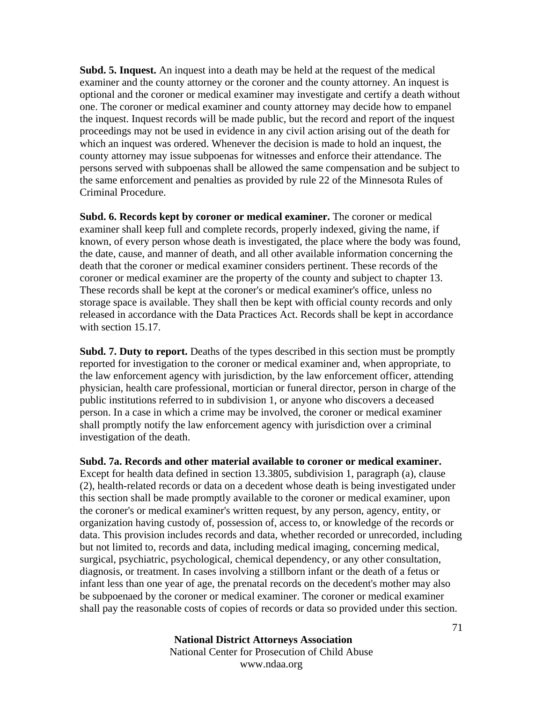**Subd. 5. Inquest.** An inquest into a death may be held at the request of the medical examiner and the county attorney or the coroner and the county attorney. An inquest is optional and the coroner or medical examiner may investigate and certify a death without one. The coroner or medical examiner and county attorney may decide how to empanel the inquest. Inquest records will be made public, but the record and report of the inquest proceedings may not be used in evidence in any civil action arising out of the death for which an inquest was ordered. Whenever the decision is made to hold an inquest, the county attorney may issue subpoenas for witnesses and enforce their attendance. The persons served with subpoenas shall be allowed the same compensation and be subject to the same enforcement and penalties as provided by rule 22 of the Minnesota Rules of Criminal Procedure.

**Subd. 6. Records kept by coroner or medical examiner.** The coroner or medical examiner shall keep full and complete records, properly indexed, giving the name, if known, of every person whose death is investigated, the place where the body was found, the date, cause, and manner of death, and all other available information concerning the death that the coroner or medical examiner considers pertinent. These records of the coroner or medical examiner are the property of the county and subject to chapter 13. These records shall be kept at the coroner's or medical examiner's office, unless no storage space is available. They shall then be kept with official county records and only released in accordance with the Data Practices Act. Records shall be kept in accordance with [section 15.17](https://web2.westlaw.com/find/default.wl?tc=-1&docname=MNSTS15.17&rp=%2ffind%2fdefault.wl&sv=Split&utid=%7b2E0FDB42-5D41-4729-9719-90980A00D476%7d&rs=WLW11.07&db=1000044&tf=-1&findtype=L&fn=_top&mt=WestlawGC&vr=2.0&pbc=F4F33152&ordoc=2799256).

**Subd. 7. Duty to report.** Deaths of the types described in this section must be promptly reported for investigation to the coroner or medical examiner and, when appropriate, to the law enforcement agency with jurisdiction, by the law enforcement officer, attending physician, health care professional, mortician or funeral director, person in charge of the public institutions referred to in subdivision 1, or anyone who discovers a deceased person. In a case in which a crime may be involved, the coroner or medical examiner shall promptly notify the law enforcement agency with jurisdiction over a criminal investigation of the death.

**Subd. 7a. Records and other material available to coroner or medical examiner.** Except for health data defined in [section 13.3805, subdivision 1](https://web2.westlaw.com/find/default.wl?referencepositiontype=T&docname=MNSTS13.3805&rp=%2ffind%2fdefault.wl&sv=Split&utid=%7b2E0FDB42-5D41-4729-9719-90980A00D476%7d&rs=WLW11.07&db=1000044&tf=-1&findtype=L&fn=_top&mt=WestlawGC&vr=2.0&referenceposition=SP%3b2add000034c06&pbc=F4F33152&tc=-1&ordoc=2799256), paragraph (a), clause (2), health-related records or data on a decedent whose death is being investigated under this section shall be made promptly available to the coroner or medical examiner, upon the coroner's or medical examiner's written request, by any person, agency, entity, or organization having custody of, possession of, access to, or knowledge of the records or data. This provision includes records and data, whether recorded or unrecorded, including but not limited to, records and data, including medical imaging, concerning medical, surgical, psychiatric, psychological, chemical dependency, or any other consultation, diagnosis, or treatment. In cases involving a stillborn infant or the death of a fetus or infant less than one year of age, the prenatal records on the decedent's mother may also be subpoenaed by the coroner or medical examiner. The coroner or medical examiner shall pay the reasonable costs of copies of records or data so provided under this section.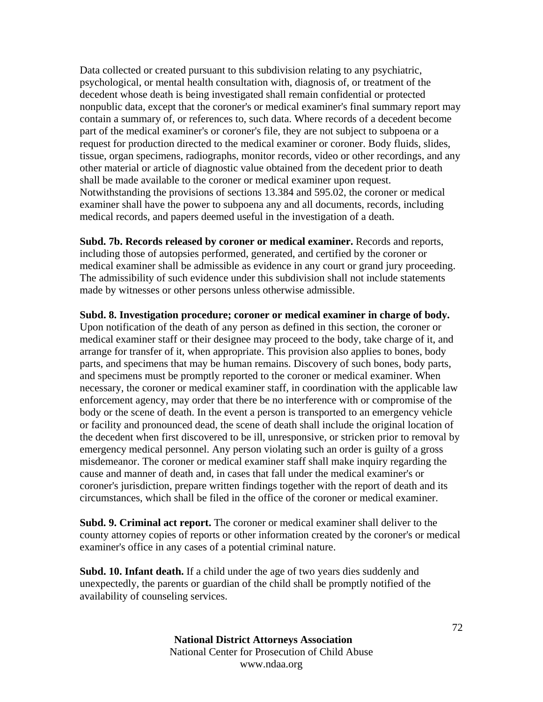Data collected or created pursuant to this subdivision relating to any psychiatric, psychological, or mental health consultation with, diagnosis of, or treatment of the decedent whose death is being investigated shall remain confidential or protected nonpublic data, except that the coroner's or medical examiner's final summary report may contain a summary of, or references to, such data. Where records of a decedent become part of the medical examiner's or coroner's file, they are not subject to subpoena or a request for production directed to the medical examiner or coroner. Body fluids, slides, tissue, organ specimens, radiographs, monitor records, video or other recordings, and any other material or article of diagnostic value obtained from the decedent prior to death shall be made available to the coroner or medical examiner upon request. Notwithstanding the provisions of [sections 13.384](https://web2.westlaw.com/find/default.wl?tc=-1&docname=MNSTS13.384&rp=%2ffind%2fdefault.wl&sv=Split&utid=%7b2E0FDB42-5D41-4729-9719-90980A00D476%7d&rs=WLW11.07&db=1000044&tf=-1&findtype=L&fn=_top&mt=WestlawGC&vr=2.0&pbc=F4F33152&ordoc=2799256) and [595.02,](https://web2.westlaw.com/find/default.wl?tc=-1&docname=MNSTS595.02&rp=%2ffind%2fdefault.wl&sv=Split&utid=%7b2E0FDB42-5D41-4729-9719-90980A00D476%7d&rs=WLW11.07&db=1000044&tf=-1&findtype=L&fn=_top&mt=WestlawGC&vr=2.0&pbc=F4F33152&ordoc=2799256) the coroner or medical examiner shall have the power to subpoena any and all documents, records, including medical records, and papers deemed useful in the investigation of a death.

**Subd. 7b. Records released by coroner or medical examiner.** Records and reports, including those of autopsies performed, generated, and certified by the coroner or medical examiner shall be admissible as evidence in any court or grand jury proceeding. The admissibility of such evidence under this subdivision shall not include statements made by witnesses or other persons unless otherwise admissible.

**Subd. 8. Investigation procedure; coroner or medical examiner in charge of body.** Upon notification of the death of any person as defined in this section, the coroner or medical examiner staff or their designee may proceed to the body, take charge of it, and arrange for transfer of it, when appropriate. This provision also applies to bones, body parts, and specimens that may be human remains. Discovery of such bones, body parts, and specimens must be promptly reported to the coroner or medical examiner. When necessary, the coroner or medical examiner staff, in coordination with the applicable law enforcement agency, may order that there be no interference with or compromise of the body or the scene of death. In the event a person is transported to an emergency vehicle or facility and pronounced dead, the scene of death shall include the original location of the decedent when first discovered to be ill, unresponsive, or stricken prior to removal by emergency medical personnel. Any person violating such an order is guilty of a gross misdemeanor. The coroner or medical examiner staff shall make inquiry regarding the cause and manner of death and, in cases that fall under the medical examiner's or coroner's jurisdiction, prepare written findings together with the report of death and its circumstances, which shall be filed in the office of the coroner or medical examiner.

**Subd. 9. Criminal act report.** The coroner or medical examiner shall deliver to the county attorney copies of reports or other information created by the coroner's or medical examiner's office in any cases of a potential criminal nature.

**Subd. 10. Infant death.** If a child under the age of two years dies suddenly and unexpectedly, the parents or guardian of the child shall be promptly notified of the availability of counseling services.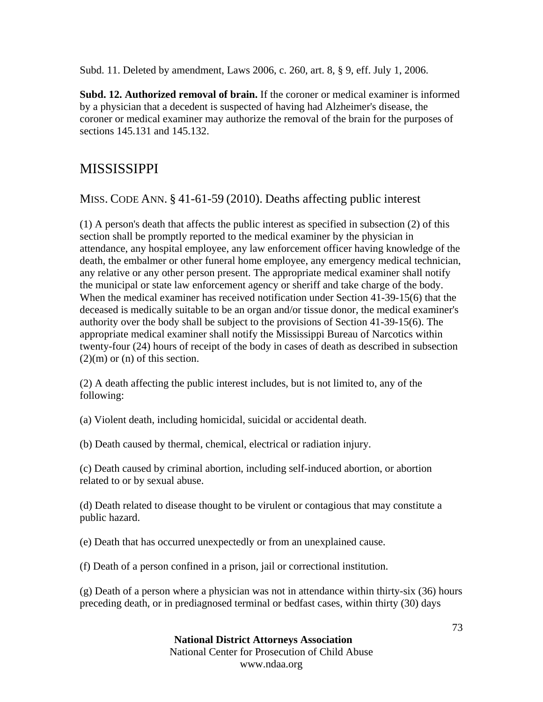Subd. 11. Deleted by amendment, [Laws 2006, c. 260, art. 8, § 9,](https://web2.westlaw.com/find/default.wl?tc=-1&docname=UUID(ICEEB4D80F5-5A11DA91B7D-03A70918862)&rp=%2ffind%2fdefault.wl&sv=Split&utid=%7b2E0FDB42-5D41-4729-9719-90980A00D476%7d&rs=WLW11.07&db=1077005&tf=-1&findtype=l&fn=_top&mt=WestlawGC&vr=2.0&pbc=F4F33152&ordoc=2799256) eff. July 1, 2006.

**Subd. 12. Authorized removal of brain.** If the coroner or medical examiner is informed by a physician that a decedent is suspected of having had Alzheimer's disease, the coroner or medical examiner may authorize the removal of the brain for the purposes of [sections 145.131](https://web2.westlaw.com/find/default.wl?tc=-1&docname=MNSTS145.131&rp=%2ffind%2fdefault.wl&sv=Split&utid=%7b2E0FDB42-5D41-4729-9719-90980A00D476%7d&rs=WLW11.07&db=1000044&tf=-1&findtype=L&fn=_top&mt=WestlawGC&vr=2.0&pbc=F4F33152&ordoc=2799256) and [145.132.](https://web2.westlaw.com/find/default.wl?tc=-1&docname=MNSTS145.132&rp=%2ffind%2fdefault.wl&sv=Split&utid=%7b2E0FDB42-5D41-4729-9719-90980A00D476%7d&rs=WLW11.07&db=1000044&tf=-1&findtype=L&fn=_top&mt=WestlawGC&vr=2.0&pbc=F4F33152&ordoc=2799256)

### MISSISSIPPI

MISS. CODE ANN. § 41-61-59 (2010). Deaths affecting public interest

(1) A person's death that affects the public interest as specified in subsection (2) of this section shall be promptly reported to the medical examiner by the physician in attendance, any hospital employee, any law enforcement officer having knowledge of the death, the embalmer or other funeral home employee, any emergency medical technician, any relative or any other person present. The appropriate medical examiner shall notify the municipal or state law enforcement agency or sheriff and take charge of the body. When the medical examiner has received notification under [Section 41-39-15](https://web2.westlaw.com/find/default.wl?tc=-1&docname=MSSTS41-39-15&rp=%2ffind%2fdefault.wl&sv=Split&utid=%7b2E0FDB42-5D41-4729-9719-90980A00D476%7d&rs=WLW11.07&db=1000933&tf=-1&findtype=L&fn=_top&mt=WestlawGC&vr=2.0&pbc=90EDB356&ordoc=15520571)(6) that the deceased is medically suitable to be an organ and/or tissue donor, the medical examiner's authority over the body shall be subject to the provisions of [Section 41-39-15](https://web2.westlaw.com/find/default.wl?tc=-1&docname=MSSTS41-39-15&rp=%2ffind%2fdefault.wl&sv=Split&utid=%7b2E0FDB42-5D41-4729-9719-90980A00D476%7d&rs=WLW11.07&db=1000933&tf=-1&findtype=L&fn=_top&mt=WestlawGC&vr=2.0&pbc=90EDB356&ordoc=15520571)(6). The appropriate medical examiner shall notify the Mississippi Bureau of Narcotics within twenty-four (24) hours of receipt of the body in cases of death as described in subsection  $(2)(m)$  or  $(n)$  of this section.

(2) A death affecting the public interest includes, but is not limited to, any of the following:

(a) Violent death, including homicidal, suicidal or accidental death.

(b) Death caused by thermal, chemical, electrical or radiation injury.

(c) Death caused by criminal abortion, including self-induced abortion, or abortion related to or by sexual abuse.

(d) Death related to disease thought to be virulent or contagious that may constitute a public hazard.

(e) Death that has occurred unexpectedly or from an unexplained cause.

(f) Death of a person confined in a prison, jail or correctional institution.

(g) Death of a person where a physician was not in attendance within thirty-six (36) hours preceding death, or in prediagnosed terminal or bedfast cases, within thirty (30) days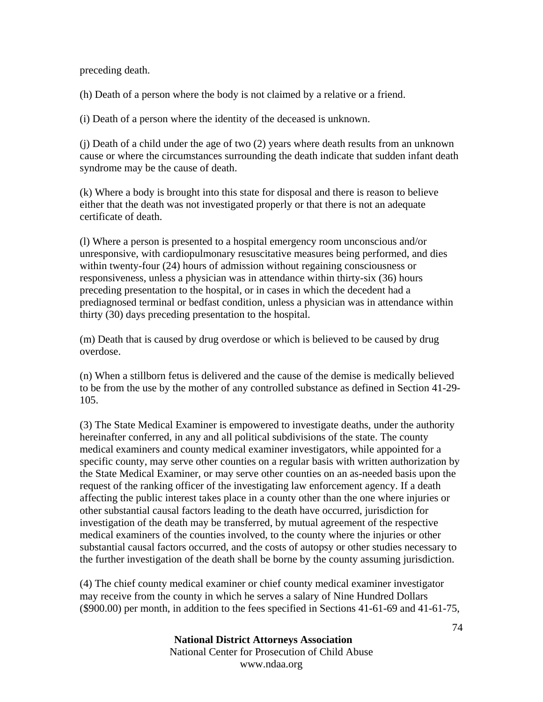preceding death.

(h) Death of a person where the body is not claimed by a relative or a friend.

(i) Death of a person where the identity of the deceased is unknown.

(j) Death of a child under the age of two (2) years where death results from an unknown cause or where the circumstances surrounding the death indicate that sudden infant death syndrome may be the cause of death.

(k) Where a body is brought into this state for disposal and there is reason to believe either that the death was not investigated properly or that there is not an adequate certificate of death.

(l) Where a person is presented to a hospital emergency room unconscious and/or unresponsive, with cardiopulmonary resuscitative measures being performed, and dies within twenty-four (24) hours of admission without regaining consciousness or responsiveness, unless a physician was in attendance within thirty-six (36) hours preceding presentation to the hospital, or in cases in which the decedent had a prediagnosed terminal or bedfast condition, unless a physician was in attendance within thirty (30) days preceding presentation to the hospital.

(m) Death that is caused by drug overdose or which is believed to be caused by drug overdose.

(n) When a stillborn fetus is delivered and the cause of the demise is medically believed to be from the use by the mother of any controlled substance as defined in [Section 41-29-](https://web2.westlaw.com/find/default.wl?tc=-1&docname=MSSTS41-29-105&rp=%2ffind%2fdefault.wl&sv=Split&utid=%7b2E0FDB42-5D41-4729-9719-90980A00D476%7d&rs=WLW11.07&db=1000933&tf=-1&findtype=L&fn=_top&mt=WestlawGC&vr=2.0&pbc=90EDB356&ordoc=15520571) [105](https://web2.westlaw.com/find/default.wl?tc=-1&docname=MSSTS41-29-105&rp=%2ffind%2fdefault.wl&sv=Split&utid=%7b2E0FDB42-5D41-4729-9719-90980A00D476%7d&rs=WLW11.07&db=1000933&tf=-1&findtype=L&fn=_top&mt=WestlawGC&vr=2.0&pbc=90EDB356&ordoc=15520571).

(3) The State Medical Examiner is empowered to investigate deaths, under the authority hereinafter conferred, in any and all political subdivisions of the state. The county medical examiners and county medical examiner investigators, while appointed for a specific county, may serve other counties on a regular basis with written authorization by the State Medical Examiner, or may serve other counties on an as-needed basis upon the request of the ranking officer of the investigating law enforcement agency. If a death affecting the public interest takes place in a county other than the one where injuries or other substantial causal factors leading to the death have occurred, jurisdiction for investigation of the death may be transferred, by mutual agreement of the respective medical examiners of the counties involved, to the county where the injuries or other substantial causal factors occurred, and the costs of autopsy or other studies necessary to the further investigation of the death shall be borne by the county assuming jurisdiction.

(4) The chief county medical examiner or chief county medical examiner investigator may receive from the county in which he serves a salary of Nine Hundred Dollars (\$900.00) per month, in addition to the fees specified in [Sections 41-61-69](https://web2.westlaw.com/find/default.wl?tc=-1&docname=MSSTS41-61-69&rp=%2ffind%2fdefault.wl&sv=Split&utid=%7b2E0FDB42-5D41-4729-9719-90980A00D476%7d&rs=WLW11.07&db=1000933&tf=-1&findtype=L&fn=_top&mt=WestlawGC&vr=2.0&pbc=90EDB356&ordoc=15520571) and [41-61-75,](https://web2.westlaw.com/find/default.wl?tc=-1&docname=MSSTS41-61-75&rp=%2ffind%2fdefault.wl&sv=Split&utid=%7b2E0FDB42-5D41-4729-9719-90980A00D476%7d&rs=WLW11.07&db=1000933&tf=-1&findtype=L&fn=_top&mt=WestlawGC&vr=2.0&pbc=90EDB356&ordoc=15520571)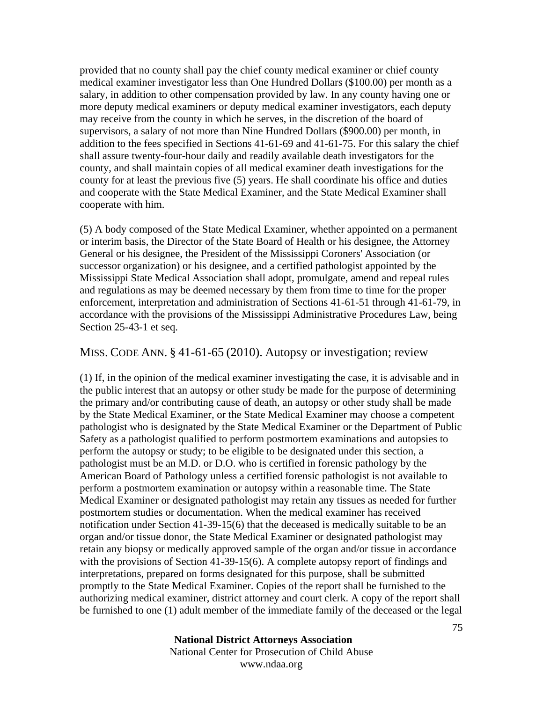provided that no county shall pay the chief county medical examiner or chief county medical examiner investigator less than One Hundred Dollars (\$100.00) per month as a salary, in addition to other compensation provided by law. In any county having one or more deputy medical examiners or deputy medical examiner investigators, each deputy may receive from the county in which he serves, in the discretion of the board of supervisors, a salary of not more than Nine Hundred Dollars (\$900.00) per month, in addition to the fees specified in [Sections 41-61-69](https://web2.westlaw.com/find/default.wl?tc=-1&docname=MSSTS41-61-69&rp=%2ffind%2fdefault.wl&sv=Split&utid=%7b2E0FDB42-5D41-4729-9719-90980A00D476%7d&rs=WLW11.07&db=1000933&tf=-1&findtype=L&fn=_top&mt=WestlawGC&vr=2.0&pbc=90EDB356&ordoc=15520571) and [41-61-75](https://web2.westlaw.com/find/default.wl?tc=-1&docname=MSSTS41-61-75&rp=%2ffind%2fdefault.wl&sv=Split&utid=%7b2E0FDB42-5D41-4729-9719-90980A00D476%7d&rs=WLW11.07&db=1000933&tf=-1&findtype=L&fn=_top&mt=WestlawGC&vr=2.0&pbc=90EDB356&ordoc=15520571). For this salary the chief shall assure twenty-four-hour daily and readily available death investigators for the county, and shall maintain copies of all medical examiner death investigations for the county for at least the previous five (5) years. He shall coordinate his office and duties and cooperate with the State Medical Examiner, and the State Medical Examiner shall cooperate with him.

(5) A body composed of the State Medical Examiner, whether appointed on a permanent or interim basis, the Director of the State Board of Health or his designee, the Attorney General or his designee, the President of the Mississippi Coroners' Association (or successor organization) or his designee, and a certified pathologist appointed by the Mississippi State Medical Association shall adopt, promulgate, amend and repeal rules and regulations as may be deemed necessary by them from time to time for the proper enforcement, interpretation and administration of [Sections 41-61-51](https://web2.westlaw.com/find/default.wl?tc=-1&docname=MSSTS41-61-51&rp=%2ffind%2fdefault.wl&sv=Split&utid=%7b2E0FDB42-5D41-4729-9719-90980A00D476%7d&rs=WLW11.07&db=1000933&tf=-1&findtype=L&fn=_top&mt=WestlawGC&vr=2.0&pbc=90EDB356&ordoc=15520571) through [41-61-79](https://web2.westlaw.com/find/default.wl?tc=-1&docname=MSSTS41-61-79&rp=%2ffind%2fdefault.wl&sv=Split&utid=%7b2E0FDB42-5D41-4729-9719-90980A00D476%7d&rs=WLW11.07&db=1000933&tf=-1&findtype=L&fn=_top&mt=WestlawGC&vr=2.0&pbc=90EDB356&ordoc=15520571), in accordance with the provisions of the Mississippi Administrative Procedures Law, being [Section 25-43-1 et seq.](https://web2.westlaw.com/find/default.wl?tc=-1&docname=MSSTS25-43-1&rp=%2ffind%2fdefault.wl&sv=Split&utid=%7b2E0FDB42-5D41-4729-9719-90980A00D476%7d&rs=WLW11.07&db=1000933&tf=-1&findtype=L&fn=_top&mt=WestlawGC&vr=2.0&pbc=90EDB356&ordoc=15520571)

#### MISS. CODE ANN. § 41-61-65 (2010). Autopsy or investigation; review

(1) If, in the opinion of the medical examiner investigating the case, it is advisable and in the public interest that an autopsy or other study be made for the purpose of determining the primary and/or contributing cause of death, an autopsy or other study shall be made by the State Medical Examiner, or the State Medical Examiner may choose a competent pathologist who is designated by the State Medical Examiner or the Department of Public Safety as a pathologist qualified to perform postmortem examinations and autopsies to perform the autopsy or study; to be eligible to be designated under this section, a pathologist must be an M.D. or D.O. who is certified in forensic pathology by the American Board of Pathology unless a certified forensic pathologist is not available to perform a postmortem examination or autopsy within a reasonable time. The State Medical Examiner or designated pathologist may retain any tissues as needed for further postmortem studies or documentation. When the medical examiner has received notification under [Section 41-39-15\(](https://web2.westlaw.com/find/default.wl?tc=-1&docname=MSSTS41-39-15&rp=%2ffind%2fdefault.wl&sv=Split&utid=%7b2E0FDB42-5D41-4729-9719-90980A00D476%7d&rs=WLW11.07&db=1000933&tf=-1&findtype=L&fn=_top&mt=WestlawGC&vr=2.0&pbc=FEED8254&ordoc=9537168)6) that the deceased is medically suitable to be an organ and/or tissue donor, the State Medical Examiner or designated pathologist may retain any biopsy or medically approved sample of the organ and/or tissue in accordance with the provisions of [Section 41-39-15\(](https://web2.westlaw.com/find/default.wl?tc=-1&docname=MSSTS41-39-15&rp=%2ffind%2fdefault.wl&sv=Split&utid=%7b2E0FDB42-5D41-4729-9719-90980A00D476%7d&rs=WLW11.07&db=1000933&tf=-1&findtype=L&fn=_top&mt=WestlawGC&vr=2.0&pbc=FEED8254&ordoc=9537168)6). A complete autopsy report of findings and interpretations, prepared on forms designated for this purpose, shall be submitted promptly to the State Medical Examiner. Copies of the report shall be furnished to the authorizing medical examiner, district attorney and court clerk. A copy of the report shall be furnished to one (1) adult member of the immediate family of the deceased or the legal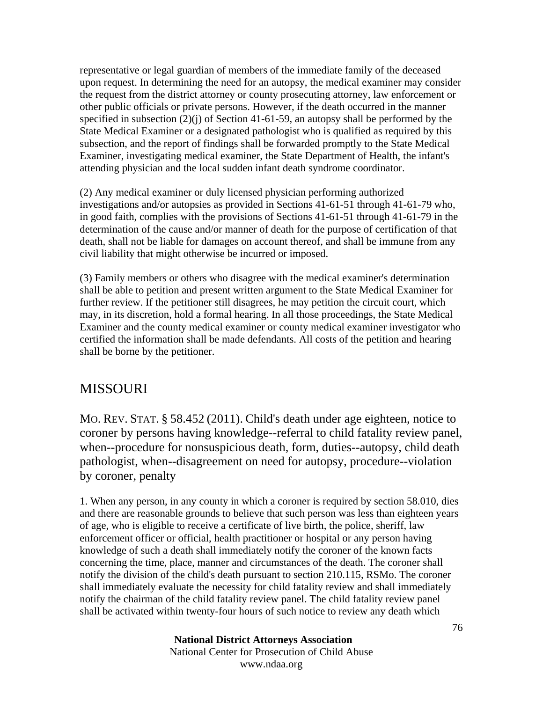representative or legal guardian of members of the immediate family of the deceased upon request. In determining the need for an autopsy, the medical examiner may consider the request from the district attorney or county prosecuting attorney, law enforcement or other public officials or private persons. However, if the death occurred in the manner specified in subsection  $(2)(i)$  of Section 41-61-59, an autopsy shall be performed by the State Medical Examiner or a designated pathologist who is qualified as required by this subsection, and the report of findings shall be forwarded promptly to the State Medical Examiner, investigating medical examiner, the State Department of Health, the infant's attending physician and the local sudden infant death syndrome coordinator.

(2) Any medical examiner or duly licensed physician performing authorized investigations and/or autopsies as provided in [Sections 41-61-51](https://web2.westlaw.com/find/default.wl?tc=-1&docname=MSSTS41-61-51&rp=%2ffind%2fdefault.wl&sv=Split&utid=%7b2E0FDB42-5D41-4729-9719-90980A00D476%7d&rs=WLW11.07&db=1000933&tf=-1&findtype=L&fn=_top&mt=WestlawGC&vr=2.0&pbc=FEED8254&ordoc=9537168) through [41-61-79](https://web2.westlaw.com/find/default.wl?tc=-1&docname=MSSTS41-61-79&rp=%2ffind%2fdefault.wl&sv=Split&utid=%7b2E0FDB42-5D41-4729-9719-90980A00D476%7d&rs=WLW11.07&db=1000933&tf=-1&findtype=L&fn=_top&mt=WestlawGC&vr=2.0&pbc=FEED8254&ordoc=9537168) who, in good faith, complies with the provisions of Sections 41-61-51 through 41-61-79 in the determination of the cause and/or manner of death for the purpose of certification of that death, shall not be liable for damages on account thereof, and shall be immune from any civil liability that might otherwise be incurred or imposed.

(3) Family members or others who disagree with the medical examiner's determination shall be able to petition and present written argument to the State Medical Examiner for further review. If the petitioner still disagrees, he may petition the circuit court, which may, in its discretion, hold a formal hearing. In all those proceedings, the State Medical Examiner and the county medical examiner or county medical examiner investigator who certified the information shall be made defendants. All costs of the petition and hearing shall be borne by the petitioner.

### MISSOURI

MO. REV. STAT. § 58.452 (2011). Child's death under age eighteen, notice to coroner by persons having knowledge--referral to child fatality review panel, when--procedure for nonsuspicious death, form, duties--autopsy, child death pathologist, when--disagreement on need for autopsy, procedure--violation by coroner, penalty

1. When any person, in any county in which a coroner is required by [section 58.010,](https://web2.westlaw.com/find/default.wl?tc=-1&docname=MOST58.010&rp=%2ffind%2fdefault.wl&sv=Split&utid=%7b2E0FDB42-5D41-4729-9719-90980A00D476%7d&rs=WLW11.07&db=1000229&tf=-1&findtype=L&fn=_top&mt=WestlawGC&vr=2.0&pbc=43F77C39&ordoc=4742801) dies and there are reasonable grounds to believe that such person was less than eighteen years of age, who is eligible to receive a certificate of live birth, the police, sheriff, law enforcement officer or official, health practitioner or hospital or any person having knowledge of such a death shall immediately notify the coroner of the known facts concerning the time, place, manner and circumstances of the death. The coroner shall notify the division of the child's death pursuant to [section 210.115, RSMo](https://web2.westlaw.com/find/default.wl?tc=-1&docname=MOST210.115&rp=%2ffind%2fdefault.wl&sv=Split&utid=%7b2E0FDB42-5D41-4729-9719-90980A00D476%7d&rs=WLW11.07&db=1000229&tf=-1&findtype=L&fn=_top&mt=WestlawGC&vr=2.0&pbc=43F77C39&ordoc=4742801). The coroner shall immediately evaluate the necessity for child fatality review and shall immediately notify the chairman of the child fatality review panel. The child fatality review panel shall be activated within twenty-four hours of such notice to review any death which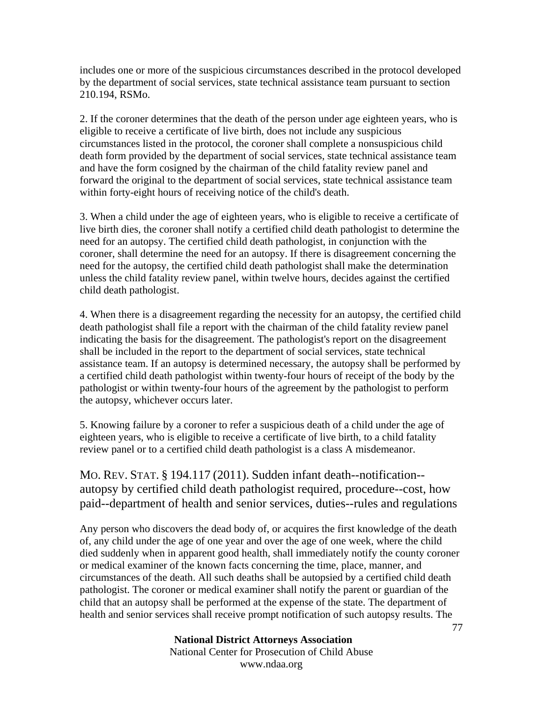includes one or more of the suspicious circumstances described in the protocol developed by the department of social services, state technical assistance team pursuant to [section](https://web2.westlaw.com/find/default.wl?tc=-1&docname=MOST210.194&rp=%2ffind%2fdefault.wl&sv=Split&utid=%7b2E0FDB42-5D41-4729-9719-90980A00D476%7d&rs=WLW11.07&db=1000229&tf=-1&findtype=L&fn=_top&mt=WestlawGC&vr=2.0&pbc=43F77C39&ordoc=4742801)  [210.194, RSMo](https://web2.westlaw.com/find/default.wl?tc=-1&docname=MOST210.194&rp=%2ffind%2fdefault.wl&sv=Split&utid=%7b2E0FDB42-5D41-4729-9719-90980A00D476%7d&rs=WLW11.07&db=1000229&tf=-1&findtype=L&fn=_top&mt=WestlawGC&vr=2.0&pbc=43F77C39&ordoc=4742801).

2. If the coroner determines that the death of the person under age eighteen years, who is eligible to receive a certificate of live birth, does not include any suspicious circumstances listed in the protocol, the coroner shall complete a nonsuspicious child death form provided by the department of social services, state technical assistance team and have the form cosigned by the chairman of the child fatality review panel and forward the original to the department of social services, state technical assistance team within forty-eight hours of receiving notice of the child's death.

3. When a child under the age of eighteen years, who is eligible to receive a certificate of live birth dies, the coroner shall notify a certified child death pathologist to determine the need for an autopsy. The certified child death pathologist, in conjunction with the coroner, shall determine the need for an autopsy. If there is disagreement concerning the need for the autopsy, the certified child death pathologist shall make the determination unless the child fatality review panel, within twelve hours, decides against the certified child death pathologist.

4. When there is a disagreement regarding the necessity for an autopsy, the certified child death pathologist shall file a report with the chairman of the child fatality review panel indicating the basis for the disagreement. The pathologist's report on the disagreement shall be included in the report to the department of social services, state technical assistance team. If an autopsy is determined necessary, the autopsy shall be performed by a certified child death pathologist within twenty-four hours of receipt of the body by the pathologist or within twenty-four hours of the agreement by the pathologist to perform the autopsy, whichever occurs later.

5. Knowing failure by a coroner to refer a suspicious death of a child under the age of eighteen years, who is eligible to receive a certificate of live birth, to a child fatality review panel or to a certified child death pathologist is a class A misdemeanor.

MO. REV. STAT. § 194.117 (2011). Sudden infant death--notification- autopsy by certified child death pathologist required, procedure--cost, how paid--department of health and senior services, duties--rules and regulations

Any person who discovers the dead body of, or acquires the first knowledge of the death of, any child under the age of one year and over the age of one week, where the child died suddenly when in apparent good health, shall immediately notify the county coroner or medical examiner of the known facts concerning the time, place, manner, and circumstances of the death. All such deaths shall be autopsied by a certified child death pathologist. The coroner or medical examiner shall notify the parent or guardian of the child that an autopsy shall be performed at the expense of the state. The department of health and senior services shall receive prompt notification of such autopsy results. The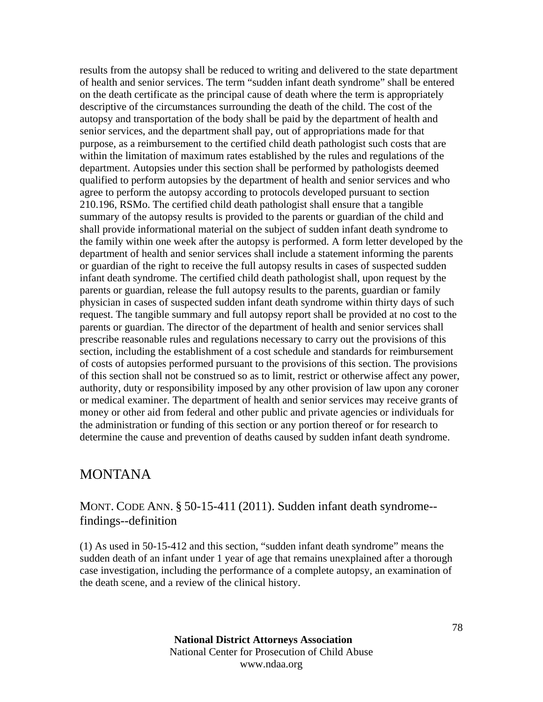results from the autopsy shall be reduced to writing and delivered to the state department of health and senior services. The term "sudden infant death syndrome" shall be entered on the death certificate as the principal cause of death where the term is appropriately descriptive of the circumstances surrounding the death of the child. The cost of the autopsy and transportation of the body shall be paid by the department of health and senior services, and the department shall pay, out of appropriations made for that purpose, as a reimbursement to the certified child death pathologist such costs that are within the limitation of maximum rates established by the rules and regulations of the department. Autopsies under this section shall be performed by pathologists deemed qualified to perform autopsies by the department of health and senior services and who agree to perform the autopsy according to protocols developed pursuant to [section](https://web2.westlaw.com/find/default.wl?tc=-1&docname=MOST210.196&rp=%2ffind%2fdefault.wl&sv=Split&utid=%7b2E0FDB42-5D41-4729-9719-90980A00D476%7d&rs=WLW11.07&db=1000229&tf=-1&findtype=L&fn=_top&mt=WestlawGC&vr=2.0&pbc=BB012802&ordoc=525041)  [210.196, RSMo](https://web2.westlaw.com/find/default.wl?tc=-1&docname=MOST210.196&rp=%2ffind%2fdefault.wl&sv=Split&utid=%7b2E0FDB42-5D41-4729-9719-90980A00D476%7d&rs=WLW11.07&db=1000229&tf=-1&findtype=L&fn=_top&mt=WestlawGC&vr=2.0&pbc=BB012802&ordoc=525041). The certified child death pathologist shall ensure that a tangible summary of the autopsy results is provided to the parents or guardian of the child and shall provide informational material on the subject of sudden infant death syndrome to the family within one week after the autopsy is performed. A form letter developed by the department of health and senior services shall include a statement informing the parents or guardian of the right to receive the full autopsy results in cases of suspected sudden infant death syndrome. The certified child death pathologist shall, upon request by the parents or guardian, release the full autopsy results to the parents, guardian or family physician in cases of suspected sudden infant death syndrome within thirty days of such request. The tangible summary and full autopsy report shall be provided at no cost to the parents or guardian. The director of the department of health and senior services shall prescribe reasonable rules and regulations necessary to carry out the provisions of this section, including the establishment of a cost schedule and standards for reimbursement of costs of autopsies performed pursuant to the provisions of this section. The provisions of this section shall not be construed so as to limit, restrict or otherwise affect any power, authority, duty or responsibility imposed by any other provision of law upon any coroner or medical examiner. The department of health and senior services may receive grants of money or other aid from federal and other public and private agencies or individuals for the administration or funding of this section or any portion thereof or for research to determine the cause and prevention of deaths caused by sudden infant death syndrome.

#### MONTANA

#### MONT. CODE ANN. § 50-15-411 (2011). Sudden infant death syndrome- findings--definition

(1) As used in [50-15-412](https://web2.westlaw.com/find/default.wl?tc=-1&docname=MTST50-15-412&rp=%2ffind%2fdefault.wl&sv=Split&utid=%7b2E0FDB42-5D41-4729-9719-90980A00D476%7d&rs=WLW11.07&db=1002018&tf=-1&findtype=L&fn=_top&mt=WestlawGC&vr=2.0&pbc=70E2ED45&ordoc=19561119) and this section, "sudden infant death syndrome" means the sudden death of an infant under 1 year of age that remains unexplained after a thorough case investigation, including the performance of a complete autopsy, an examination of the death scene, and a review of the clinical history.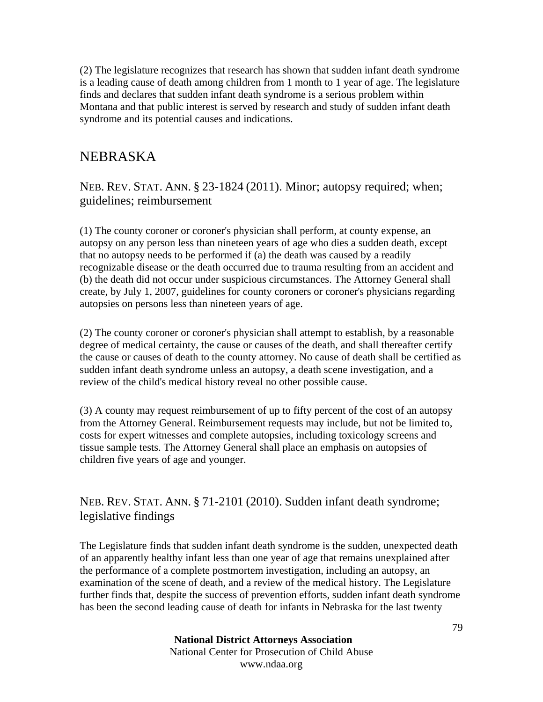(2) The legislature recognizes that research has shown that sudden infant death syndrome is a leading cause of death among children from 1 month to 1 year of age. The legislature finds and declares that sudden infant death syndrome is a serious problem within Montana and that public interest is served by research and study of sudden infant death syndrome and its potential causes and indications.

#### NEBRASKA

NEB. REV. STAT. ANN. § 23-1824 (2011). Minor; autopsy required; when; guidelines; reimbursement

(1) The county coroner or coroner's physician shall perform, at county expense, an autopsy on any person less than nineteen years of age who dies a sudden death, except that no autopsy needs to be performed if (a) the death was caused by a readily recognizable disease or the death occurred due to trauma resulting from an accident and (b) the death did not occur under suspicious circumstances. The Attorney General shall create, by July 1, 2007, guidelines for county coroners or coroner's physicians regarding autopsies on persons less than nineteen years of age.

(2) The county coroner or coroner's physician shall attempt to establish, by a reasonable degree of medical certainty, the cause or causes of the death, and shall thereafter certify the cause or causes of death to the county attorney. No cause of death shall be certified as sudden infant death syndrome unless an autopsy, a death scene investigation, and a review of the child's medical history reveal no other possible cause.

(3) A county may request reimbursement of up to fifty percent of the cost of an autopsy from the Attorney General. Reimbursement requests may include, but not be limited to, costs for expert witnesses and complete autopsies, including toxicology screens and tissue sample tests. The Attorney General shall place an emphasis on autopsies of children five years of age and younger.

NEB. REV. STAT. ANN. § 71-2101 (2010). Sudden infant death syndrome; legislative findings

The Legislature finds that sudden infant death syndrome is the sudden, unexpected death of an apparently healthy infant less than one year of age that remains unexplained after the performance of a complete postmortem investigation, including an autopsy, an examination of the scene of death, and a review of the medical history. The Legislature further finds that, despite the success of prevention efforts, sudden infant death syndrome has been the second leading cause of death for infants in Nebraska for the last twenty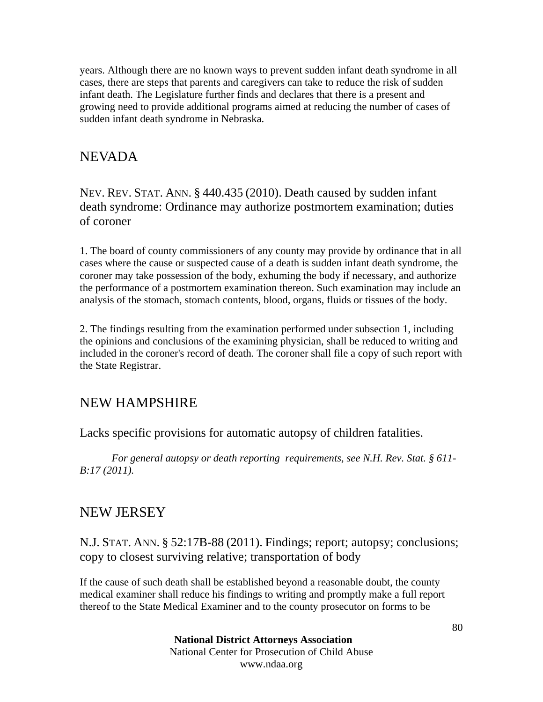years. Although there are no known ways to prevent sudden infant death syndrome in all cases, there are steps that parents and caregivers can take to reduce the risk of sudden infant death. The Legislature further finds and declares that there is a present and growing need to provide additional programs aimed at reducing the number of cases of sudden infant death syndrome in Nebraska.

### NEVADA

NEV. REV. STAT. ANN. § 440.435 (2010). Death caused by sudden infant death syndrome: Ordinance may authorize postmortem examination; duties of coroner

1. The board of county commissioners of any county may provide by ordinance that in all cases where the cause or suspected cause of a death is sudden infant death syndrome, the coroner may take possession of the body, exhuming the body if necessary, and authorize the performance of a postmortem examination thereon. Such examination may include an analysis of the stomach, stomach contents, blood, organs, fluids or tissues of the body.

2. The findings resulting from the examination performed under subsection 1, including the opinions and conclusions of the examining physician, shall be reduced to writing and included in the coroner's record of death. The coroner shall file a copy of such report with the State Registrar.

# NEW HAMPSHIRE

Lacks specific provisions for automatic autopsy of children fatalities.

*For general autopsy or death reporting requirements, see N.H. Rev. Stat. § 611- B:17 (2011).* 

# NEW JERSEY

N.J. STAT. ANN. § 52:17B-88 (2011). Findings; report; autopsy; conclusions; copy to closest surviving relative; transportation of body

If the cause of such death shall be established beyond a reasonable doubt, the county medical examiner shall reduce his findings to writing and promptly make a full report thereof to the State Medical Examiner and to the county prosecutor on forms to be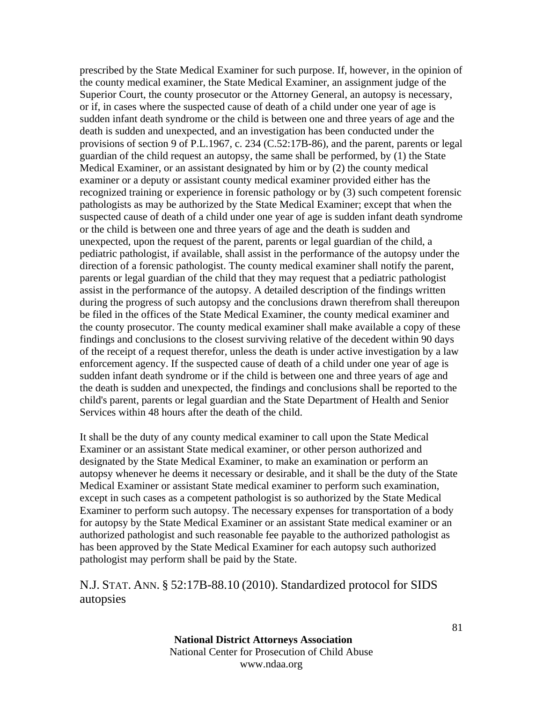prescribed by the State Medical Examiner for such purpose. If, however, in the opinion of the county medical examiner, the State Medical Examiner, an assignment judge of the Superior Court, the county prosecutor or the Attorney General, an autopsy is necessary, or if, in cases where the suspected cause of death of a child under one year of age is sudden infant death syndrome or the child is between one and three years of age and the death is sudden and unexpected, and an investigation has been conducted under the provisions of section 9 of P.L.1967, c. 234 [\(C.52:17B-86\)](https://web2.westlaw.com/find/default.wl?tc=-1&docname=NJST52%3a17B-86&rp=%2ffind%2fdefault.wl&sv=Split&utid=%7b2E0FDB42-5D41-4729-9719-90980A00D476%7d&rs=WLW11.07&db=1000045&tf=-1&findtype=L&fn=_top&mt=WestlawGC&vr=2.0&pbc=B2B4D851&ordoc=2507034), and the parent, parents or legal guardian of the child request an autopsy, the same shall be performed, by (1) the State Medical Examiner, or an assistant designated by him or by (2) the county medical examiner or a deputy or assistant county medical examiner provided either has the recognized training or experience in forensic pathology or by (3) such competent forensic pathologists as may be authorized by the State Medical Examiner; except that when the suspected cause of death of a child under one year of age is sudden infant death syndrome or the child is between one and three years of age and the death is sudden and unexpected, upon the request of the parent, parents or legal guardian of the child, a pediatric pathologist, if available, shall assist in the performance of the autopsy under the direction of a forensic pathologist. The county medical examiner shall notify the parent, parents or legal guardian of the child that they may request that a pediatric pathologist assist in the performance of the autopsy. A detailed description of the findings written during the progress of such autopsy and the conclusions drawn therefrom shall thereupon be filed in the offices of the State Medical Examiner, the county medical examiner and the county prosecutor. The county medical examiner shall make available a copy of these findings and conclusions to the closest surviving relative of the decedent within 90 days of the receipt of a request therefor, unless the death is under active investigation by a law enforcement agency. If the suspected cause of death of a child under one year of age is sudden infant death syndrome or if the child is between one and three years of age and the death is sudden and unexpected, the findings and conclusions shall be reported to the child's parent, parents or legal guardian and the State Department of Health and Senior Services within 48 hours after the death of the child.

It shall be the duty of any county medical examiner to call upon the State Medical Examiner or an assistant State medical examiner, or other person authorized and designated by the State Medical Examiner, to make an examination or perform an autopsy whenever he deems it necessary or desirable, and it shall be the duty of the State Medical Examiner or assistant State medical examiner to perform such examination, except in such cases as a competent pathologist is so authorized by the State Medical Examiner to perform such autopsy. The necessary expenses for transportation of a body for autopsy by the State Medical Examiner or an assistant State medical examiner or an authorized pathologist and such reasonable fee payable to the authorized pathologist as has been approved by the State Medical Examiner for each autopsy such authorized pathologist may perform shall be paid by the State.

N.J. STAT. ANN. § 52:17B-88.10 (2010). Standardized protocol for SIDS autopsies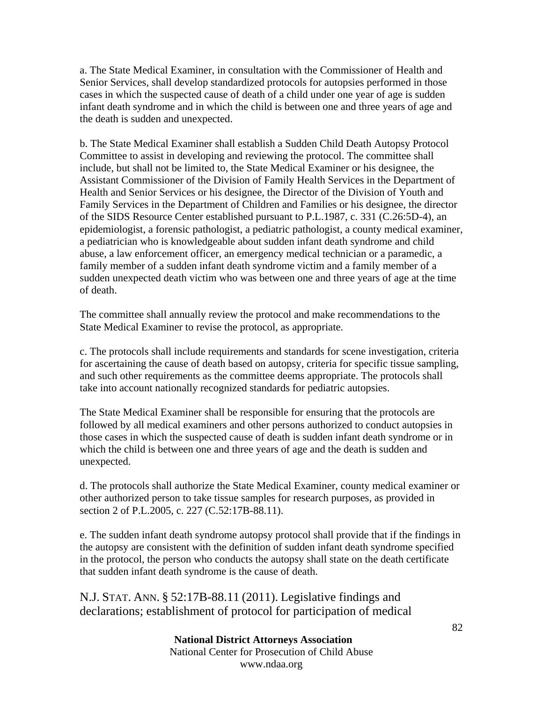a. The State Medical Examiner, in consultation with the Commissioner of Health and Senior Services, shall develop standardized protocols for autopsies performed in those cases in which the suspected cause of death of a child under one year of age is sudden infant death syndrome and in which the child is between one and three years of age and the death is sudden and unexpected.

b. The State Medical Examiner shall establish a Sudden Child Death Autopsy Protocol Committee to assist in developing and reviewing the protocol. The committee shall include, but shall not be limited to, the State Medical Examiner or his designee, the Assistant Commissioner of the Division of Family Health Services in the Department of Health and Senior Services or his designee, the Director of the Division of Youth and Family Services in the Department of Children and Families or his designee, the director of the SIDS Resource Center established pursuant to P.L.1987, c. 331 ([C.26:5D-4\)](https://web2.westlaw.com/find/default.wl?tc=-1&docname=NJST26%3a5D-4&rp=%2ffind%2fdefault.wl&sv=Split&utid=%7b2E0FDB42-5D41-4729-9719-90980A00D476%7d&rs=WLW11.07&db=1000045&tf=-1&findtype=L&fn=_top&mt=WestlawGC&vr=2.0&pbc=E68B0524&ordoc=10298860), an epidemiologist, a forensic pathologist, a pediatric pathologist, a county medical examiner, a pediatrician who is knowledgeable about sudden infant death syndrome and child abuse, a law enforcement officer, an emergency medical technician or a paramedic, a family member of a sudden infant death syndrome victim and a family member of a sudden unexpected death victim who was between one and three years of age at the time of death.

The committee shall annually review the protocol and make recommendations to the State Medical Examiner to revise the protocol, as appropriate.

c. The protocols shall include requirements and standards for scene investigation, criteria for ascertaining the cause of death based on autopsy, criteria for specific tissue sampling, and such other requirements as the committee deems appropriate. The protocols shall take into account nationally recognized standards for pediatric autopsies.

The State Medical Examiner shall be responsible for ensuring that the protocols are followed by all medical examiners and other persons authorized to conduct autopsies in those cases in which the suspected cause of death is sudden infant death syndrome or in which the child is between one and three years of age and the death is sudden and unexpected.

d. The protocols shall authorize the State Medical Examiner, county medical examiner or other authorized person to take tissue samples for research purposes, as provided in section 2 of [P.L.2005, c. 227](https://web2.westlaw.com/find/default.wl?tc=-1&docname=UUID(I2C0A704031-2A11DA87EE9-69F0C7E9E5A)&rp=%2ffind%2fdefault.wl&sv=Split&utid=%7b2E0FDB42-5D41-4729-9719-90980A00D476%7d&rs=WLW11.07&db=1077005&tf=-1&findtype=l&fn=_top&mt=WestlawGC&vr=2.0&pbc=E68B0524&ordoc=10298860) [\(C.52:17B-88.11\)](https://web2.westlaw.com/find/default.wl?tc=-1&docname=NJST52%3a17B-88.11&rp=%2ffind%2fdefault.wl&sv=Split&utid=%7b2E0FDB42-5D41-4729-9719-90980A00D476%7d&rs=WLW11.07&db=1000045&tf=-1&findtype=L&fn=_top&mt=WestlawGC&vr=2.0&pbc=E68B0524&ordoc=10298860).

e. The sudden infant death syndrome autopsy protocol shall provide that if the findings in the autopsy are consistent with the definition of sudden infant death syndrome specified in the protocol, the person who conducts the autopsy shall state on the death certificate that sudden infant death syndrome is the cause of death.

N.J. STAT. ANN. § 52:17B-88.11 (2011). Legislative findings and declarations; establishment of protocol for participation of medical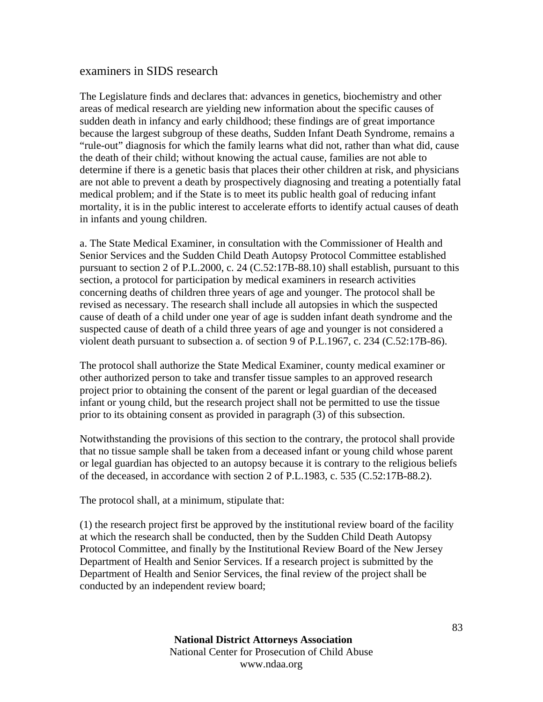#### examiners in SIDS research

The Legislature finds and declares that: advances in genetics, biochemistry and other areas of medical research are yielding new information about the specific causes of sudden death in infancy and early childhood; these findings are of great importance because the largest subgroup of these deaths, Sudden Infant Death Syndrome, remains a "rule-out" diagnosis for which the family learns what did not, rather than what did, cause the death of their child; without knowing the actual cause, families are not able to determine if there is a genetic basis that places their other children at risk, and physicians are not able to prevent a death by prospectively diagnosing and treating a potentially fatal medical problem; and if the State is to meet its public health goal of reducing infant mortality, it is in the public interest to accelerate efforts to identify actual causes of death in infants and young children.

a. The State Medical Examiner, in consultation with the Commissioner of Health and Senior Services and the Sudden Child Death Autopsy Protocol Committee established pursuant to section 2 of [P.L.2000, c. 24](https://web2.westlaw.com/find/default.wl?tc=-1&docname=UUID(IC03C8A9FFD-F34AC39F2F3-E12A34D0F28)&rp=%2ffind%2fdefault.wl&sv=Split&utid=%7b2E0FDB42-5D41-4729-9719-90980A00D476%7d&rs=WLW11.07&db=1077005&tf=-1&findtype=l&fn=_top&mt=WestlawGC&vr=2.0&pbc=3A7BE1DA&ordoc=16759717) ([C.52:17B-88.10](https://web2.westlaw.com/find/default.wl?tc=-1&docname=NJST52%3a17B-88.10&rp=%2ffind%2fdefault.wl&sv=Split&utid=%7b2E0FDB42-5D41-4729-9719-90980A00D476%7d&rs=WLW11.07&db=1000045&tf=-1&findtype=L&fn=_top&mt=WestlawGC&vr=2.0&pbc=3A7BE1DA&ordoc=16759717)) shall establish, pursuant to this section, a protocol for participation by medical examiners in research activities concerning deaths of children three years of age and younger. The protocol shall be revised as necessary. The research shall include all autopsies in which the suspected cause of death of a child under one year of age is sudden infant death syndrome and the suspected cause of death of a child three years of age and younger is not considered a violent death pursuant to subsection a. of section 9 of P.L.1967, c. 234 [\(C.52:17B-86\)](https://web2.westlaw.com/find/default.wl?tc=-1&docname=NJST52%3a17B-86&rp=%2ffind%2fdefault.wl&sv=Split&utid=%7b2E0FDB42-5D41-4729-9719-90980A00D476%7d&rs=WLW11.07&db=1000045&tf=-1&findtype=L&fn=_top&mt=WestlawGC&vr=2.0&pbc=3A7BE1DA&ordoc=16759717).

The protocol shall authorize the State Medical Examiner, county medical examiner or other authorized person to take and transfer tissue samples to an approved research project prior to obtaining the consent of the parent or legal guardian of the deceased infant or young child, but the research project shall not be permitted to use the tissue prior to its obtaining consent as provided in paragraph (3) of this subsection.

Notwithstanding the provisions of this section to the contrary, the protocol shall provide that no tissue sample shall be taken from a deceased infant or young child whose parent or legal guardian has objected to an autopsy because it is contrary to the religious beliefs of the deceased, in accordance with section 2 of P.L.1983, c. 535 ([C.52:17B-88.2](https://web2.westlaw.com/find/default.wl?tc=-1&docname=NJST52%3a17B-88.2&rp=%2ffind%2fdefault.wl&sv=Split&utid=%7b2E0FDB42-5D41-4729-9719-90980A00D476%7d&rs=WLW11.07&db=1000045&tf=-1&findtype=L&fn=_top&mt=WestlawGC&vr=2.0&pbc=3A7BE1DA&ordoc=16759717)).

The protocol shall, at a minimum, stipulate that:

(1) the research project first be approved by the institutional review board of the facility at which the research shall be conducted, then by the Sudden Child Death Autopsy Protocol Committee, and finally by the Institutional Review Board of the New Jersey Department of Health and Senior Services. If a research project is submitted by the Department of Health and Senior Services, the final review of the project shall be conducted by an independent review board;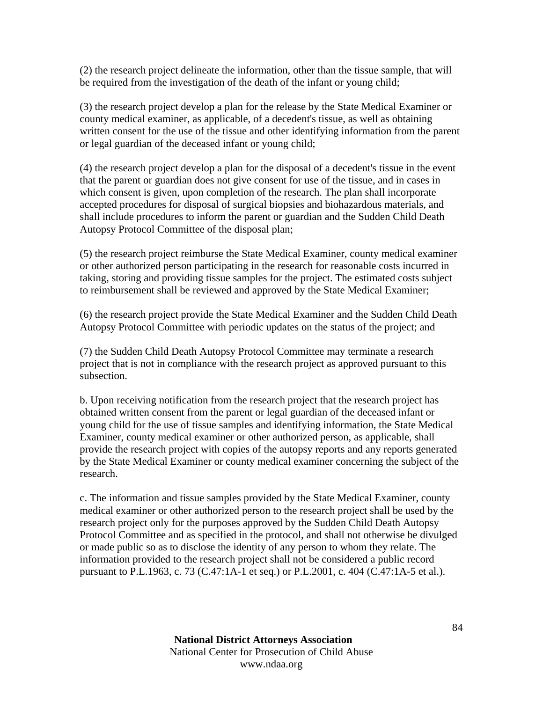(2) the research project delineate the information, other than the tissue sample, that will be required from the investigation of the death of the infant or young child;

(3) the research project develop a plan for the release by the State Medical Examiner or county medical examiner, as applicable, of a decedent's tissue, as well as obtaining written consent for the use of the tissue and other identifying information from the parent or legal guardian of the deceased infant or young child;

(4) the research project develop a plan for the disposal of a decedent's tissue in the event that the parent or guardian does not give consent for use of the tissue, and in cases in which consent is given, upon completion of the research. The plan shall incorporate accepted procedures for disposal of surgical biopsies and biohazardous materials, and shall include procedures to inform the parent or guardian and the Sudden Child Death Autopsy Protocol Committee of the disposal plan;

(5) the research project reimburse the State Medical Examiner, county medical examiner or other authorized person participating in the research for reasonable costs incurred in taking, storing and providing tissue samples for the project. The estimated costs subject to reimbursement shall be reviewed and approved by the State Medical Examiner;

(6) the research project provide the State Medical Examiner and the Sudden Child Death Autopsy Protocol Committee with periodic updates on the status of the project; and

(7) the Sudden Child Death Autopsy Protocol Committee may terminate a research project that is not in compliance with the research project as approved pursuant to this subsection.

b. Upon receiving notification from the research project that the research project has obtained written consent from the parent or legal guardian of the deceased infant or young child for the use of tissue samples and identifying information, the State Medical Examiner, county medical examiner or other authorized person, as applicable, shall provide the research project with copies of the autopsy reports and any reports generated by the State Medical Examiner or county medical examiner concerning the subject of the research.

c. The information and tissue samples provided by the State Medical Examiner, county medical examiner or other authorized person to the research project shall be used by the research project only for the purposes approved by the Sudden Child Death Autopsy Protocol Committee and as specified in the protocol, and shall not otherwise be divulged or made public so as to disclose the identity of any person to whom they relate. The information provided to the research project shall not be considered a public record pursuant to P.L.1963, c. 73 ([C.47:1A-1 et seq.\)](https://web2.westlaw.com/find/default.wl?tc=-1&docname=NJST47%3a1A-1&rp=%2ffind%2fdefault.wl&sv=Split&utid=%7b2E0FDB42-5D41-4729-9719-90980A00D476%7d&rs=WLW11.07&db=1000045&tf=-1&findtype=L&fn=_top&mt=WestlawGC&vr=2.0&pbc=3A7BE1DA&ordoc=16759717) or [P.L.2001, c. 404](https://web2.westlaw.com/find/default.wl?tc=-1&docname=UUID(I55B556DD58-5749A7BE1AA-C7408CE219A)&rp=%2ffind%2fdefault.wl&sv=Split&utid=%7b2E0FDB42-5D41-4729-9719-90980A00D476%7d&rs=WLW11.07&db=1077005&tf=-1&findtype=l&fn=_top&mt=WestlawGC&vr=2.0&pbc=3A7BE1DA&ordoc=16759717) ([C.47:1A-5](https://web2.westlaw.com/find/default.wl?tc=-1&docname=NJST47%3a1A-5&rp=%2ffind%2fdefault.wl&sv=Split&utid=%7b2E0FDB42-5D41-4729-9719-90980A00D476%7d&rs=WLW11.07&db=1000045&tf=-1&findtype=L&fn=_top&mt=WestlawGC&vr=2.0&pbc=3A7BE1DA&ordoc=16759717) et al.).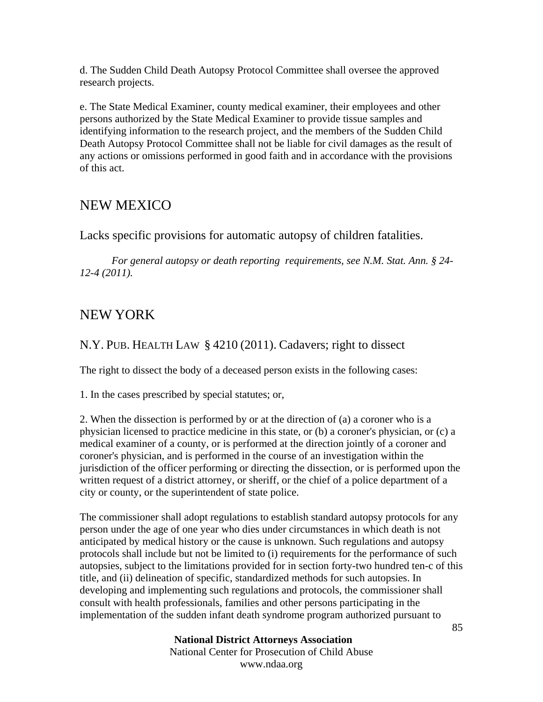d. The Sudden Child Death Autopsy Protocol Committee shall oversee the approved research projects.

e. The State Medical Examiner, county medical examiner, their employees and other persons authorized by the State Medical Examiner to provide tissue samples and identifying information to the research project, and the members of the Sudden Child Death Autopsy Protocol Committee shall not be liable for civil damages as the result of any actions or omissions performed in good faith and in accordance with the provisions of this act.

# NEW MEXICO

Lacks specific provisions for automatic autopsy of children fatalities.

*For general autopsy or death reporting requirements, see N.M. Stat. Ann. § 24- 12-4 (2011).* 

## NEW YORK

#### N.Y. PUB. HEALTH LAW § 4210 (2011). Cadavers; right to dissect

The right to dissect the body of a deceased person exists in the following cases:

1. In the cases prescribed by special statutes; or,

2. When the dissection is performed by or at the direction of (a) a coroner who is a physician licensed to practice medicine in this state, or (b) a coroner's physician, or (c) a medical examiner of a county, or is performed at the direction jointly of a coroner and coroner's physician, and is performed in the course of an investigation within the jurisdiction of the officer performing or directing the dissection, or is performed upon the written request of a district attorney, or sheriff, or the chief of a police department of a city or county, or the superintendent of state police.

The commissioner shall adopt regulations to establish standard autopsy protocols for any person under the age of one year who dies under circumstances in which death is not anticipated by medical history or the cause is unknown. Such regulations and autopsy protocols shall include but not be limited to (i) requirements for the performance of such autopsies, subject to the limitations provided for in [section forty-two hundred ten-c](https://web2.westlaw.com/find/default.wl?tc=-1&docname=NYPHS4210-C&rp=%2ffind%2fdefault.wl&sv=Split&utid=%7b2E0FDB42-5D41-4729-9719-90980A00D476%7d&rs=WLW11.07&db=1000121&tf=-1&findtype=L&fn=_top&mt=WestlawGC&vr=2.0&pbc=75490B11&ordoc=2696079) of this title, and (ii) delineation of specific, standardized methods for such autopsies. In developing and implementing such regulations and protocols, the commissioner shall consult with health professionals, families and other persons participating in the implementation of the sudden infant death syndrome program authorized pursuant to

#### **National District Attorneys Association**  National Center for Prosecution of Child Abuse www.ndaa.org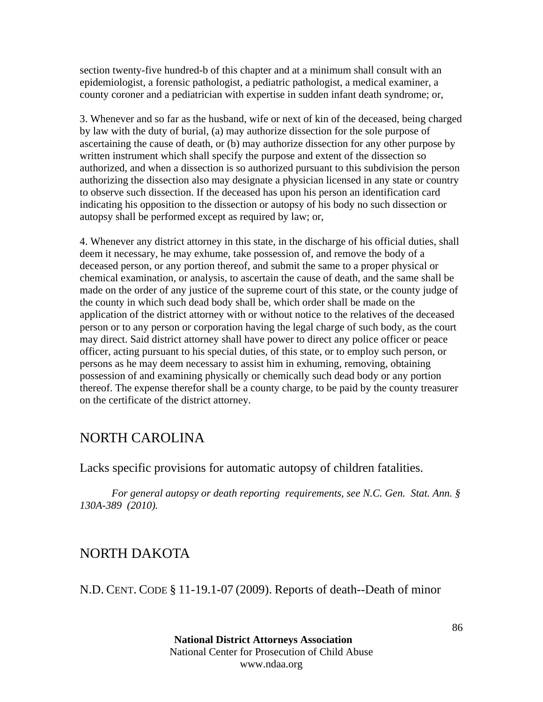[section twenty-five hundred-b](https://web2.westlaw.com/find/default.wl?tc=-1&docname=NYPHS2500-B&rp=%2ffind%2fdefault.wl&sv=Split&utid=%7b2E0FDB42-5D41-4729-9719-90980A00D476%7d&rs=WLW11.07&db=1000121&tf=-1&findtype=L&fn=_top&mt=WestlawGC&vr=2.0&pbc=75490B11&ordoc=2696079) of this chapter and at a minimum shall consult with an epidemiologist, a forensic pathologist, a pediatric pathologist, a medical examiner, a county coroner and a pediatrician with expertise in sudden infant death syndrome; or,

3. Whenever and so far as the husband, wife or next of kin of the deceased, being charged by law with the duty of burial, (a) may authorize dissection for the sole purpose of ascertaining the cause of death, or (b) may authorize dissection for any other purpose by written instrument which shall specify the purpose and extent of the dissection so authorized, and when a dissection is so authorized pursuant to this subdivision the person authorizing the dissection also may designate a physician licensed in any state or country to observe such dissection. If the deceased has upon his person an identification card indicating his opposition to the dissection or autopsy of his body no such dissection or autopsy shall be performed except as required by law; or,

4. Whenever any district attorney in this state, in the discharge of his official duties, shall deem it necessary, he may exhume, take possession of, and remove the body of a deceased person, or any portion thereof, and submit the same to a proper physical or chemical examination, or analysis, to ascertain the cause of death, and the same shall be made on the order of any justice of the supreme court of this state, or the county judge of the county in which such dead body shall be, which order shall be made on the application of the district attorney with or without notice to the relatives of the deceased person or to any person or corporation having the legal charge of such body, as the court may direct. Said district attorney shall have power to direct any police officer or peace officer, acting pursuant to his special duties, of this state, or to employ such person, or persons as he may deem necessary to assist him in exhuming, removing, obtaining possession of and examining physically or chemically such dead body or any portion thereof. The expense therefor shall be a county charge, to be paid by the county treasurer on the certificate of the district attorney.

# NORTH CAROLINA

Lacks specific provisions for automatic autopsy of children fatalities.

*For general autopsy or death reporting requirements, see N.C. Gen. Stat. Ann. § 130A-389 (2010).* 

# NORTH DAKOTA

N.D. CENT. CODE § 11-19.1-07 (2009). Reports of death--Death of minor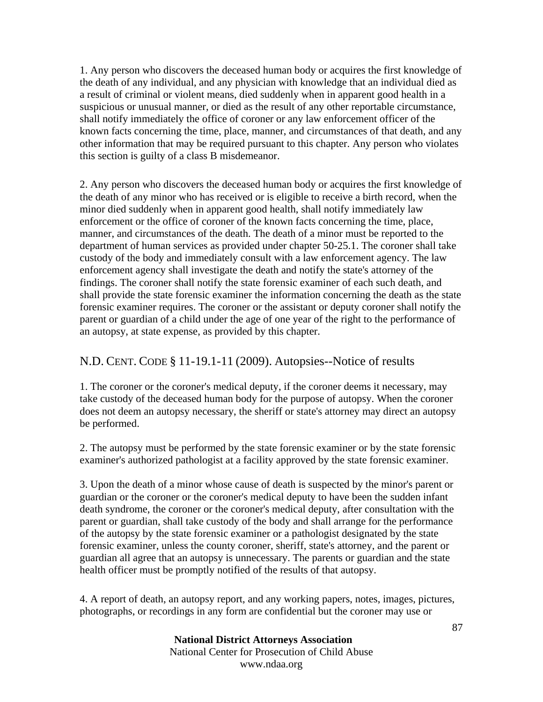1. Any person who discovers the deceased human body or acquires the first knowledge of the death of any individual, and any physician with knowledge that an individual died as a result of criminal or violent means, died suddenly when in apparent good health in a suspicious or unusual manner, or died as the result of any other reportable circumstance, shall notify immediately the office of coroner or any law enforcement officer of the known facts concerning the time, place, manner, and circumstances of that death, and any other information that may be required pursuant to this chapter. Any person who violates this section is guilty of a class B misdemeanor.

2. Any person who discovers the deceased human body or acquires the first knowledge of the death of any minor who has received or is eligible to receive a birth record, when the minor died suddenly when in apparent good health, shall notify immediately law enforcement or the office of coroner of the known facts concerning the time, place, manner, and circumstances of the death. The death of a minor must be reported to the department of human services as provided under chapter 50-25.1. The coroner shall take custody of the body and immediately consult with a law enforcement agency. The law enforcement agency shall investigate the death and notify the state's attorney of the findings. The coroner shall notify the state forensic examiner of each such death, and shall provide the state forensic examiner the information concerning the death as the state forensic examiner requires. The coroner or the assistant or deputy coroner shall notify the parent or guardian of a child under the age of one year of the right to the performance of an autopsy, at state expense, as provided by this chapter.

### N.D. CENT. CODE § 11-19.1-11 (2009). Autopsies--Notice of results

1. The coroner or the coroner's medical deputy, if the coroner deems it necessary, may take custody of the deceased human body for the purpose of autopsy. When the coroner does not deem an autopsy necessary, the sheriff or state's attorney may direct an autopsy be performed.

2. The autopsy must be performed by the state forensic examiner or by the state forensic examiner's authorized pathologist at a facility approved by the state forensic examiner.

3. Upon the death of a minor whose cause of death is suspected by the minor's parent or guardian or the coroner or the coroner's medical deputy to have been the sudden infant death syndrome, the coroner or the coroner's medical deputy, after consultation with the parent or guardian, shall take custody of the body and shall arrange for the performance of the autopsy by the state forensic examiner or a pathologist designated by the state forensic examiner, unless the county coroner, sheriff, state's attorney, and the parent or guardian all agree that an autopsy is unnecessary. The parents or guardian and the state health officer must be promptly notified of the results of that autopsy.

4. A report of death, an autopsy report, and any working papers, notes, images, pictures, photographs, or recordings in any form are confidential but the coroner may use or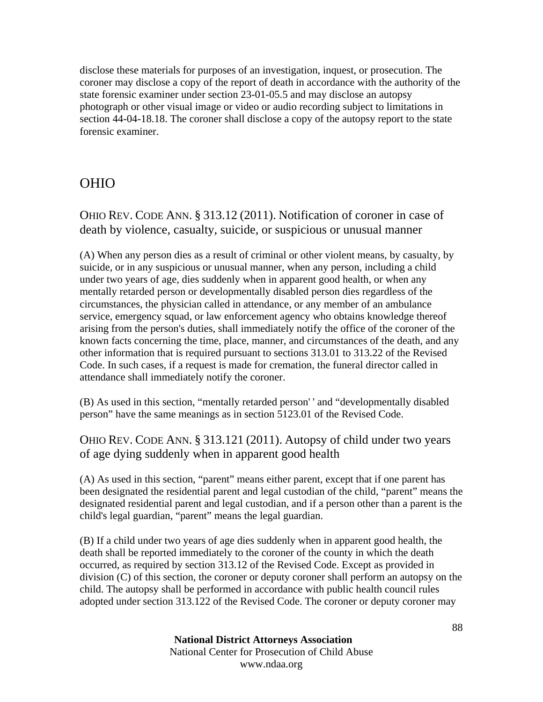disclose these materials for purposes of an investigation, inquest, or prosecution. The coroner may disclose a copy of the report of death in accordance with the authority of the state forensic examiner under [section 23-01-05.5](https://web2.westlaw.com/find/default.wl?tc=-1&docname=NDST23-01-05.5&rp=%2ffind%2fdefault.wl&sv=Split&utid=%7b2E0FDB42-5D41-4729-9719-90980A00D476%7d&rs=WLW11.07&db=1002016&tf=-1&findtype=L&fn=_top&mt=WestlawGC&vr=2.0&pbc=E57CED6A&ordoc=8991099) and may disclose an autopsy photograph or other visual image or video or audio recording subject to limitations in [section 44-04-18.18](https://web2.westlaw.com/find/default.wl?tc=-1&docname=NDST44-04-18.18&rp=%2ffind%2fdefault.wl&sv=Split&utid=%7b2E0FDB42-5D41-4729-9719-90980A00D476%7d&rs=WLW11.07&db=1002016&tf=-1&findtype=L&fn=_top&mt=WestlawGC&vr=2.0&pbc=E57CED6A&ordoc=8991099). The coroner shall disclose a copy of the autopsy report to the state forensic examiner.

## OHIO

OHIO REV. CODE ANN. § 313.12 (2011). Notification of coroner in case of death by violence, casualty, suicide, or suspicious or unusual manner

(A) When any person dies as a result of criminal or other violent means, by casualty, by suicide, or in any suspicious or unusual manner, when any person, including a child under two years of age, dies suddenly when in apparent good health, or when any mentally retarded person or developmentally disabled person dies regardless of the circumstances, the physician called in attendance, or any member of an ambulance service, emergency squad, or law enforcement agency who obtains knowledge thereof arising from the person's duties, shall immediately notify the office of the coroner of the known facts concerning the time, place, manner, and circumstances of the death, and any other information that is required pursuant to [sections 313.01](https://web2.westlaw.com/find/default.wl?tc=-1&docname=OHSTS313.01&rp=%2ffind%2fdefault.wl&sv=Split&utid=%7b2E0FDB42-5D41-4729-9719-90980A00D476%7d&rs=WLW11.07&db=1000279&tf=-1&findtype=L&fn=_top&mt=WestlawGC&vr=2.0&pbc=BEDF341E&ordoc=11321102) to [313.22 of the Revised](https://web2.westlaw.com/find/default.wl?tc=-1&docname=OHSTS313.22&rp=%2ffind%2fdefault.wl&sv=Split&utid=%7b2E0FDB42-5D41-4729-9719-90980A00D476%7d&rs=WLW11.07&db=1000279&tf=-1&findtype=L&fn=_top&mt=WestlawGC&vr=2.0&pbc=BEDF341E&ordoc=11321102)  [Code](https://web2.westlaw.com/find/default.wl?tc=-1&docname=OHSTS313.22&rp=%2ffind%2fdefault.wl&sv=Split&utid=%7b2E0FDB42-5D41-4729-9719-90980A00D476%7d&rs=WLW11.07&db=1000279&tf=-1&findtype=L&fn=_top&mt=WestlawGC&vr=2.0&pbc=BEDF341E&ordoc=11321102). In such cases, if a request is made for cremation, the funeral director called in attendance shall immediately notify the coroner.

(B) As used in this section, "mentally retarded person' ' and "developmentally disabled person" have the same meanings as in [section 5123.01 of the Revised Code](https://web2.westlaw.com/find/default.wl?tc=-1&docname=OHSTS5123.01&rp=%2ffind%2fdefault.wl&sv=Split&utid=%7b2E0FDB42-5D41-4729-9719-90980A00D476%7d&rs=WLW11.07&db=1000279&tf=-1&findtype=L&fn=_top&mt=WestlawGC&vr=2.0&pbc=BEDF341E&ordoc=11321102).

### OHIO REV. CODE ANN. § 313.121 (2011). Autopsy of child under two years of age dying suddenly when in apparent good health

(A) As used in this section, "parent" means either parent, except that if one parent has been designated the residential parent and legal custodian of the child, "parent" means the designated residential parent and legal custodian, and if a person other than a parent is the child's legal guardian, "parent" means the legal guardian.

(B) If a child under two years of age dies suddenly when in apparent good health, the death shall be reported immediately to the coroner of the county in which the death occurred, as required by [section 313.12 of the Revised Code.](https://web2.westlaw.com/find/default.wl?tc=-1&docname=OHSTS313.12&rp=%2ffind%2fdefault.wl&sv=Split&utid=%7b2E0FDB42-5D41-4729-9719-90980A00D476%7d&rs=WLW11.07&db=1000279&tf=-1&findtype=L&fn=_top&mt=WestlawGC&vr=2.0&pbc=52A4F546&ordoc=11321103) Except as provided in division (C) of this section, the coroner or deputy coroner shall perform an autopsy on the child. The autopsy shall be performed in accordance with public health council rules adopted under [section 313.122 of the Revised Code.](https://web2.westlaw.com/find/default.wl?tc=-1&docname=OHSTS313.122&rp=%2ffind%2fdefault.wl&sv=Split&utid=%7b2E0FDB42-5D41-4729-9719-90980A00D476%7d&rs=WLW11.07&db=1000279&tf=-1&findtype=L&fn=_top&mt=WestlawGC&vr=2.0&pbc=52A4F546&ordoc=11321103) The coroner or deputy coroner may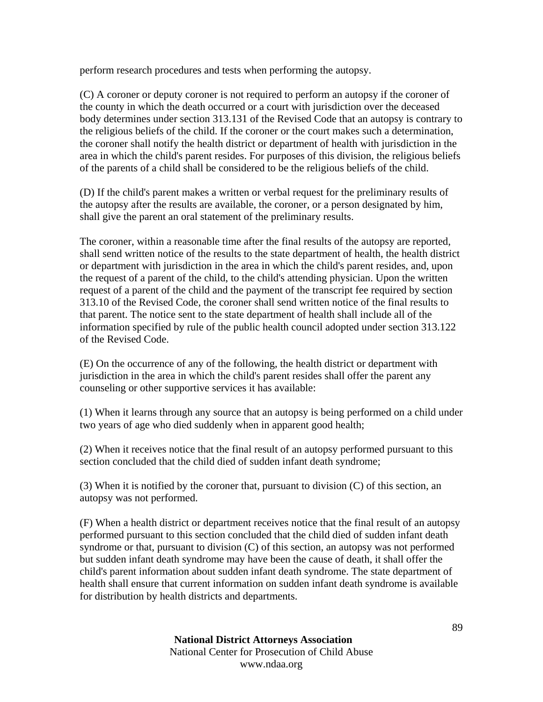perform research procedures and tests when performing the autopsy.

(C) A coroner or deputy coroner is not required to perform an autopsy if the coroner of the county in which the death occurred or a court with jurisdiction over the deceased body determines under [section 313.131 of the Revised Code](https://web2.westlaw.com/find/default.wl?tc=-1&docname=OHSTS313.131&rp=%2ffind%2fdefault.wl&sv=Split&utid=%7b2E0FDB42-5D41-4729-9719-90980A00D476%7d&rs=WLW11.07&db=1000279&tf=-1&findtype=L&fn=_top&mt=WestlawGC&vr=2.0&pbc=52A4F546&ordoc=11321103) that an autopsy is contrary to the religious beliefs of the child. If the coroner or the court makes such a determination, the coroner shall notify the health district or department of health with jurisdiction in the area in which the child's parent resides. For purposes of this division, the religious beliefs of the parents of a child shall be considered to be the religious beliefs of the child.

(D) If the child's parent makes a written or verbal request for the preliminary results of the autopsy after the results are available, the coroner, or a person designated by him, shall give the parent an oral statement of the preliminary results.

The coroner, within a reasonable time after the final results of the autopsy are reported, shall send written notice of the results to the state department of health, the health district or department with jurisdiction in the area in which the child's parent resides, and, upon the request of a parent of the child, to the child's attending physician. Upon the written request of a parent of the child and the payment of the transcript fee required by [section](https://web2.westlaw.com/find/default.wl?tc=-1&docname=OHSTS313.10&rp=%2ffind%2fdefault.wl&sv=Split&utid=%7b2E0FDB42-5D41-4729-9719-90980A00D476%7d&rs=WLW11.07&db=1000279&tf=-1&findtype=L&fn=_top&mt=WestlawGC&vr=2.0&pbc=52A4F546&ordoc=11321103)  [313.10 of the Revised Code,](https://web2.westlaw.com/find/default.wl?tc=-1&docname=OHSTS313.10&rp=%2ffind%2fdefault.wl&sv=Split&utid=%7b2E0FDB42-5D41-4729-9719-90980A00D476%7d&rs=WLW11.07&db=1000279&tf=-1&findtype=L&fn=_top&mt=WestlawGC&vr=2.0&pbc=52A4F546&ordoc=11321103) the coroner shall send written notice of the final results to that parent. The notice sent to the state department of health shall include all of the information specified by rule of the public health council adopted under [section 313.122](https://web2.westlaw.com/find/default.wl?tc=-1&docname=OHSTS313.122&rp=%2ffind%2fdefault.wl&sv=Split&utid=%7b2E0FDB42-5D41-4729-9719-90980A00D476%7d&rs=WLW11.07&db=1000279&tf=-1&findtype=L&fn=_top&mt=WestlawGC&vr=2.0&pbc=52A4F546&ordoc=11321103)  [of the Revised Code.](https://web2.westlaw.com/find/default.wl?tc=-1&docname=OHSTS313.122&rp=%2ffind%2fdefault.wl&sv=Split&utid=%7b2E0FDB42-5D41-4729-9719-90980A00D476%7d&rs=WLW11.07&db=1000279&tf=-1&findtype=L&fn=_top&mt=WestlawGC&vr=2.0&pbc=52A4F546&ordoc=11321103)

(E) On the occurrence of any of the following, the health district or department with jurisdiction in the area in which the child's parent resides shall offer the parent any counseling or other supportive services it has available:

(1) When it learns through any source that an autopsy is being performed on a child under two years of age who died suddenly when in apparent good health;

(2) When it receives notice that the final result of an autopsy performed pursuant to this section concluded that the child died of sudden infant death syndrome;

(3) When it is notified by the coroner that, pursuant to division (C) of this section, an autopsy was not performed.

(F) When a health district or department receives notice that the final result of an autopsy performed pursuant to this section concluded that the child died of sudden infant death syndrome or that, pursuant to division (C) of this section, an autopsy was not performed but sudden infant death syndrome may have been the cause of death, it shall offer the child's parent information about sudden infant death syndrome. The state department of health shall ensure that current information on sudden infant death syndrome is available for distribution by health districts and departments.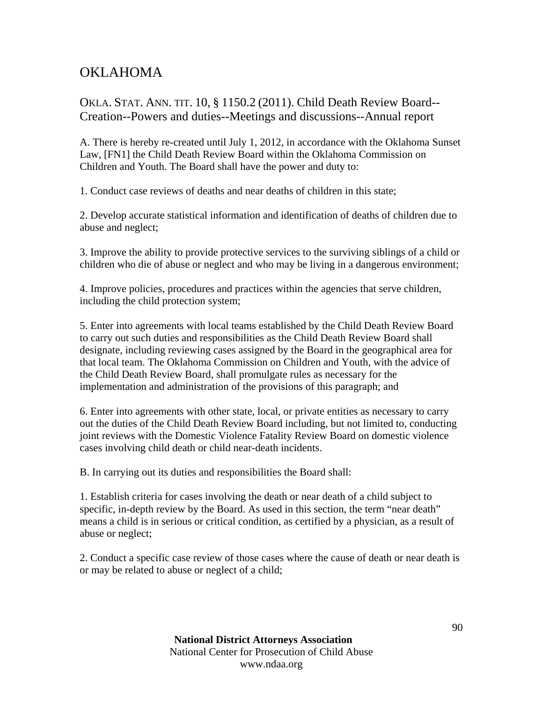# OKLAHOMA

OKLA. STAT. ANN. TIT. 10, § 1150.2 (2011). Child Death Review Board-- Creation--Powers and duties--Meetings and discussions--Annual report

A. There is hereby re-created until July 1, 2012, in accordance with the Oklahoma Sunset Law, [\[FN1\]](#page-0-0) the Child Death Review Board within the Oklahoma Commission on Children and Youth. The Board shall have the power and duty to:

1. Conduct case reviews of deaths and near deaths of children in this state;

2. Develop accurate statistical information and identification of deaths of children due to abuse and neglect;

3. Improve the ability to provide protective services to the surviving siblings of a child or children who die of abuse or neglect and who may be living in a dangerous environment;

4. Improve policies, procedures and practices within the agencies that serve children, including the child protection system;

5. Enter into agreements with local teams established by the Child Death Review Board to carry out such duties and responsibilities as the Child Death Review Board shall designate, including reviewing cases assigned by the Board in the geographical area for that local team. The Oklahoma Commission on Children and Youth, with the advice of the Child Death Review Board, shall promulgate rules as necessary for the implementation and administration of the provisions of this paragraph; and

6. Enter into agreements with other state, local, or private entities as necessary to carry out the duties of the Child Death Review Board including, but not limited to, conducting joint reviews with the Domestic Violence Fatality Review Board on domestic violence cases involving child death or child near-death incidents.

B. In carrying out its duties and responsibilities the Board shall:

1. Establish criteria for cases involving the death or near death of a child subject to specific, in-depth review by the Board. As used in this section, the term "near death" means a child is in serious or critical condition, as certified by a physician, as a result of abuse or neglect;

2. Conduct a specific case review of those cases where the cause of death or near death is or may be related to abuse or neglect of a child;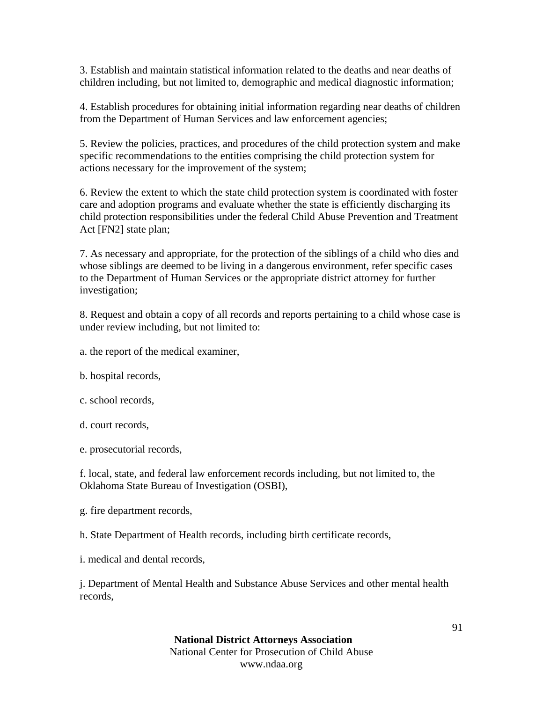3. Establish and maintain statistical information related to the deaths and near deaths of children including, but not limited to, demographic and medical diagnostic information;

4. Establish procedures for obtaining initial information regarding near deaths of children from the Department of Human Services and law enforcement agencies;

5. Review the policies, practices, and procedures of the child protection system and make specific recommendations to the entities comprising the child protection system for actions necessary for the improvement of the system;

6. Review the extent to which the state child protection system is coordinated with foster care and adoption programs and evaluate whether the state is efficiently discharging its child protection responsibilities under the federal Child Abuse Prevention and Treatment Act [\[FN2\]](#page-0-0) state plan;

7. As necessary and appropriate, for the protection of the siblings of a child who dies and whose siblings are deemed to be living in a dangerous environment, refer specific cases to the Department of Human Services or the appropriate district attorney for further investigation;

8. Request and obtain a copy of all records and reports pertaining to a child whose case is under review including, but not limited to:

- a. the report of the medical examiner,
- b. hospital records,
- c. school records,
- d. court records,
- e. prosecutorial records,

f. local, state, and federal law enforcement records including, but not limited to, the Oklahoma State Bureau of Investigation (OSBI),

- g. fire department records,
- h. State Department of Health records, including birth certificate records,
- i. medical and dental records,

j. Department of Mental Health and Substance Abuse Services and other mental health records,

> **National District Attorneys Association**  National Center for Prosecution of Child Abuse www.ndaa.org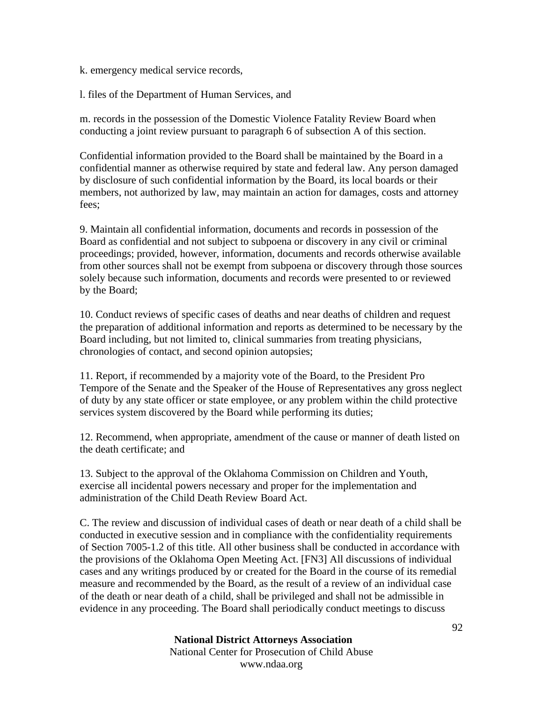k. emergency medical service records,

l. files of the Department of Human Services, and

m. records in the possession of the Domestic Violence Fatality Review Board when conducting a joint review pursuant to paragraph 6 of subsection A of this section.

Confidential information provided to the Board shall be maintained by the Board in a confidential manner as otherwise required by state and federal law. Any person damaged by disclosure of such confidential information by the Board, its local boards or their members, not authorized by law, may maintain an action for damages, costs and attorney fees;

9. Maintain all confidential information, documents and records in possession of the Board as confidential and not subject to subpoena or discovery in any civil or criminal proceedings; provided, however, information, documents and records otherwise available from other sources shall not be exempt from subpoena or discovery through those sources solely because such information, documents and records were presented to or reviewed by the Board;

10. Conduct reviews of specific cases of deaths and near deaths of children and request the preparation of additional information and reports as determined to be necessary by the Board including, but not limited to, clinical summaries from treating physicians, chronologies of contact, and second opinion autopsies;

11. Report, if recommended by a majority vote of the Board, to the President Pro Tempore of the Senate and the Speaker of the House of Representatives any gross neglect of duty by any state officer or state employee, or any problem within the child protective services system discovered by the Board while performing its duties;

12. Recommend, when appropriate, amendment of the cause or manner of death listed on the death certificate; and

13. Subject to the approval of the Oklahoma Commission on Children and Youth, exercise all incidental powers necessary and proper for the implementation and administration of the Child Death Review Board Act.

C. The review and discussion of individual cases of death or near death of a child shall be conducted in executive session and in compliance with the confidentiality requirements of [Section 7005-1.2](https://web2.westlaw.com/find/default.wl?tc=-1&docname=OKSTT10S7005-1.2&rp=%2ffind%2fdefault.wl&sv=Split&utid=%7b2E0FDB42-5D41-4729-9719-90980A00D476%7d&rs=WLW11.07&db=1000165&tf=-1&findtype=L&fn=_top&mt=WestlawGC&vr=2.0&pbc=5D51177F&ordoc=4110711) of this title. All other business shall be conducted in accordance with the provisions of the Oklahoma Open Meeting Act. [FN3] All discussions of individual cases and any writings produced by or created for the Board in the course of its remedial measure and recommended by the Board, as the result of a review of an individual case of the death or near death of a child, shall be privileged and shall not be admissible in evidence in any proceeding. The Board shall periodically conduct meetings to discuss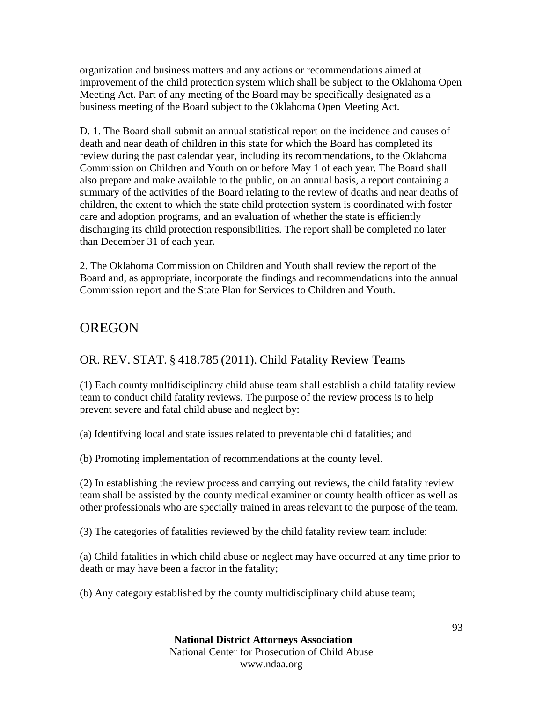organization and business matters and any actions or recommendations aimed at improvement of the child protection system which shall be subject to the Oklahoma Open Meeting Act. Part of any meeting of the Board may be specifically designated as a business meeting of the Board subject to the Oklahoma Open Meeting Act.

D. 1. The Board shall submit an annual statistical report on the incidence and causes of death and near death of children in this state for which the Board has completed its review during the past calendar year, including its recommendations, to the Oklahoma Commission on Children and Youth on or before May 1 of each year. The Board shall also prepare and make available to the public, on an annual basis, a report containing a summary of the activities of the Board relating to the review of deaths and near deaths of children, the extent to which the state child protection system is coordinated with foster care and adoption programs, and an evaluation of whether the state is efficiently discharging its child protection responsibilities. The report shall be completed no later than December 31 of each year.

2. The Oklahoma Commission on Children and Youth shall review the report of the Board and, as appropriate, incorporate the findings and recommendations into the annual Commission report and the State Plan for Services to Children and Youth.

## OREGON

### OR. REV. STAT. § 418.785 (2011). Child Fatality Review Teams

(1) Each county multidisciplinary child abuse team shall establish a child fatality review team to conduct child fatality reviews. The purpose of the review process is to help prevent severe and fatal child abuse and neglect by:

(a) Identifying local and state issues related to preventable child fatalities; and

(b) Promoting implementation of recommendations at the county level.

(2) In establishing the review process and carrying out reviews, the child fatality review team shall be assisted by the county medical examiner or county health officer as well as other professionals who are specially trained in areas relevant to the purpose of the team.

(3) The categories of fatalities reviewed by the child fatality review team include:

(a) Child fatalities in which child abuse or neglect may have occurred at any time prior to death or may have been a factor in the fatality;

(b) Any category established by the county multidisciplinary child abuse team;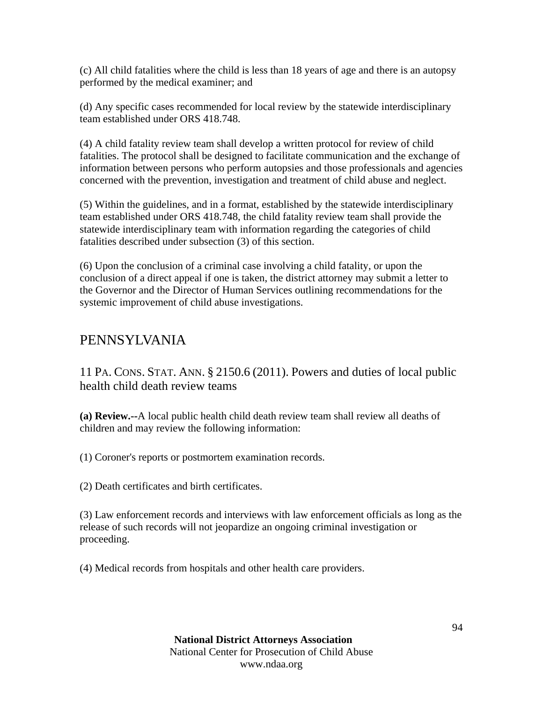(c) All child fatalities where the child is less than 18 years of age and there is an autopsy performed by the medical examiner; and

(d) Any specific cases recommended for local review by the statewide interdisciplinary team established under [ORS 418.748](http://web2.westlaw.com/find/default.wl?tc=-1&docname=ORSTS418.748&rp=%2ffind%2fdefault.wl&sv=Split&utid=1&rs=WLW11.07&db=1000534&tf=-1&findtype=L&fn=_top&mt=LawSchoolPractitioner&vr=2.0&pbc=2901B8D5&ordoc=16915461).

(4) A child fatality review team shall develop a written protocol for review of child fatalities. The protocol shall be designed to facilitate communication and the exchange of information between persons who perform autopsies and those professionals and agencies concerned with the prevention, investigation and treatment of child abuse and neglect.

(5) Within the guidelines, and in a format, established by the statewide interdisciplinary team established under [ORS 418.748](http://web2.westlaw.com/find/default.wl?tc=-1&docname=ORSTS418.748&rp=%2ffind%2fdefault.wl&sv=Split&utid=1&rs=WLW11.07&db=1000534&tf=-1&findtype=L&fn=_top&mt=LawSchoolPractitioner&vr=2.0&pbc=2901B8D5&ordoc=16915461), the child fatality review team shall provide the statewide interdisciplinary team with information regarding the categories of child fatalities described under subsection (3) of this section.

(6) Upon the conclusion of a criminal case involving a child fatality, or upon the conclusion of a direct appeal if one is taken, the district attorney may submit a letter to the Governor and the Director of Human Services outlining recommendations for the systemic improvement of child abuse investigations.

# PENNSYLVANIA

11 PA. CONS. STAT. ANN. § 2150.6 (2011). Powers and duties of local public health child death review teams

**(a) Review.--**A local public health child death review team shall review all deaths of children and may review the following information:

(1) Coroner's reports or postmortem examination records.

(2) Death certificates and birth certificates.

(3) Law enforcement records and interviews with law enforcement officials as long as the release of such records will not jeopardize an ongoing criminal investigation or proceeding.

(4) Medical records from hospitals and other health care providers.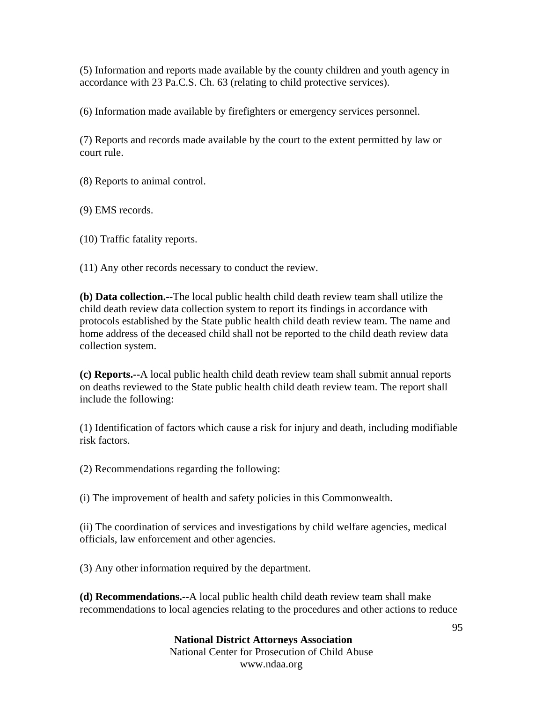(5) Information and reports made available by the county children and youth agency in accordance with 23 Pa.C.S. Ch. 63 (relating to child protective services).

(6) Information made available by firefighters or emergency services personnel.

(7) Reports and records made available by the court to the extent permitted by law or court rule.

(8) Reports to animal control.

(9) EMS records.

(10) Traffic fatality reports.

(11) Any other records necessary to conduct the review.

**(b) Data collection.--**The local public health child death review team shall utilize the child death review data collection system to report its findings in accordance with protocols established by the State public health child death review team. The name and home address of the deceased child shall not be reported to the child death review data collection system.

**(c) Reports.--**A local public health child death review team shall submit annual reports on deaths reviewed to the State public health child death review team. The report shall include the following:

(1) Identification of factors which cause a risk for injury and death, including modifiable risk factors.

(2) Recommendations regarding the following:

(i) The improvement of health and safety policies in this Commonwealth.

(ii) The coordination of services and investigations by child welfare agencies, medical officials, law enforcement and other agencies.

(3) Any other information required by the department.

**(d) Recommendations.--**A local public health child death review team shall make recommendations to local agencies relating to the procedures and other actions to reduce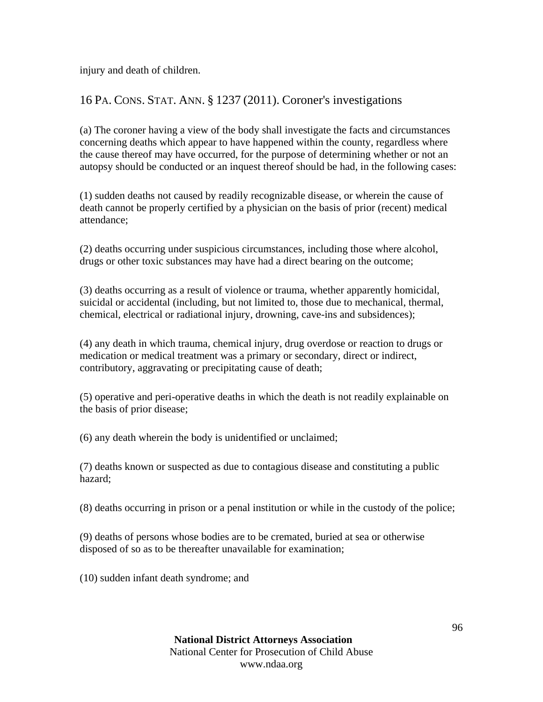injury and death of children.

#### 16 PA. CONS. STAT. ANN. § 1237 (2011). Coroner's investigations

(a) The coroner having a view of the body shall investigate the facts and circumstances concerning deaths which appear to have happened within the county, regardless where the cause thereof may have occurred, for the purpose of determining whether or not an autopsy should be conducted or an inquest thereof should be had, in the following cases:

(1) sudden deaths not caused by readily recognizable disease, or wherein the cause of death cannot be properly certified by a physician on the basis of prior (recent) medical attendance;

(2) deaths occurring under suspicious circumstances, including those where alcohol, drugs or other toxic substances may have had a direct bearing on the outcome;

(3) deaths occurring as a result of violence or trauma, whether apparently homicidal, suicidal or accidental (including, but not limited to, those due to mechanical, thermal, chemical, electrical or radiational injury, drowning, cave-ins and subsidences);

(4) any death in which trauma, chemical injury, drug overdose or reaction to drugs or medication or medical treatment was a primary or secondary, direct or indirect, contributory, aggravating or precipitating cause of death;

(5) operative and peri-operative deaths in which the death is not readily explainable on the basis of prior disease;

(6) any death wherein the body is unidentified or unclaimed;

(7) deaths known or suspected as due to contagious disease and constituting a public hazard;

(8) deaths occurring in prison or a penal institution or while in the custody of the police;

(9) deaths of persons whose bodies are to be cremated, buried at sea or otherwise disposed of so as to be thereafter unavailable for examination;

(10) sudden infant death syndrome; and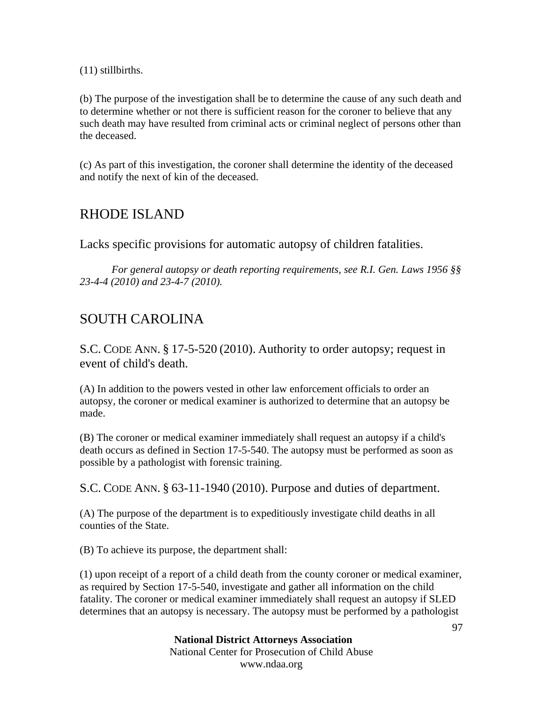(11) stillbirths.

(b) The purpose of the investigation shall be to determine the cause of any such death and to determine whether or not there is sufficient reason for the coroner to believe that any such death may have resulted from criminal acts or criminal neglect of persons other than the deceased.

(c) As part of this investigation, the coroner shall determine the identity of the deceased and notify the next of kin of the deceased.

### RHODE ISLAND

Lacks specific provisions for automatic autopsy of children fatalities.

*For general autopsy or death reporting requirements, see R.I. Gen. Laws 1956 §§ 23-4-4 (2010) and 23-4-7 (2010).* 

# SOUTH CAROLINA

S.C. CODE ANN. § 17-5-520 (2010). Authority to order autopsy; request in event of child's death.

(A) In addition to the powers vested in other law enforcement officials to order an autopsy, the coroner or medical examiner is authorized to determine that an autopsy be made.

(B) The coroner or medical examiner immediately shall request an autopsy if a child's death occurs as defined in [Section 17-5-540.](https://web2.westlaw.com/find/default.wl?tc=-1&docname=SCSTS17-5-540&rp=%2ffind%2fdefault.wl&sv=Split&utid=%7b2E0FDB42-5D41-4729-9719-90980A00D476%7d&rs=WLW11.07&db=1001530&tf=-1&findtype=L&fn=_top&mt=WestlawGC&vr=2.0&pbc=8EA6216F&ordoc=10703536) The autopsy must be performed as soon as possible by a pathologist with forensic training.

S.C. CODE ANN. § 63-11-1940 (2010). Purpose and duties of department.

(A) The purpose of the department is to expeditiously investigate child deaths in all counties of the State.

(B) To achieve its purpose, the department shall:

(1) upon receipt of a report of a child death from the county coroner or medical examiner, as required by [Section 17-5-540,](https://web2.westlaw.com/find/default.wl?tc=-1&docname=SCSTS17-5-540&rp=%2ffind%2fdefault.wl&sv=Split&utid=%7b2E0FDB42-5D41-4729-9719-90980A00D476%7d&rs=WLW11.07&db=1001530&tf=-1&findtype=L&fn=_top&mt=WestlawGC&vr=2.0&pbc=5784E79B&ordoc=19929005) investigate and gather all information on the child fatality. The coroner or medical examiner immediately shall request an autopsy if SLED determines that an autopsy is necessary. The autopsy must be performed by a pathologist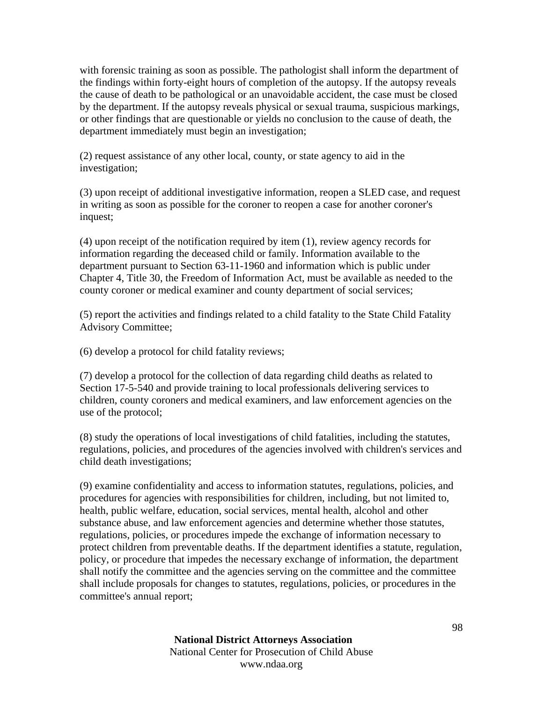with forensic training as soon as possible. The pathologist shall inform the department of the findings within forty-eight hours of completion of the autopsy. If the autopsy reveals the cause of death to be pathological or an unavoidable accident, the case must be closed by the department. If the autopsy reveals physical or sexual trauma, suspicious markings, or other findings that are questionable or yields no conclusion to the cause of death, the department immediately must begin an investigation;

(2) request assistance of any other local, county, or state agency to aid in the investigation;

(3) upon receipt of additional investigative information, reopen a SLED case, and request in writing as soon as possible for the coroner to reopen a case for another coroner's inquest;

(4) upon receipt of the notification required by item (1), review agency records for information regarding the deceased child or family. Information available to the department pursuant to [Section 63-11-1960](https://web2.westlaw.com/find/default.wl?tc=-1&docname=SCSTS63-11-1960&rp=%2ffind%2fdefault.wl&sv=Split&utid=%7b2E0FDB42-5D41-4729-9719-90980A00D476%7d&rs=WLW11.07&db=1001530&tf=-1&findtype=L&fn=_top&mt=WestlawGC&vr=2.0&pbc=5784E79B&ordoc=19929005) and information which is public under Chapter 4, Title 30, the Freedom of Information Act, must be available as needed to the county coroner or medical examiner and county department of social services;

(5) report the activities and findings related to a child fatality to the State Child Fatality Advisory Committee;

(6) develop a protocol for child fatality reviews;

(7) develop a protocol for the collection of data regarding child deaths as related to [Section 17-5-540](https://web2.westlaw.com/find/default.wl?tc=-1&docname=SCSTS17-5-540&rp=%2ffind%2fdefault.wl&sv=Split&utid=%7b2E0FDB42-5D41-4729-9719-90980A00D476%7d&rs=WLW11.07&db=1001530&tf=-1&findtype=L&fn=_top&mt=WestlawGC&vr=2.0&pbc=5784E79B&ordoc=19929005) and provide training to local professionals delivering services to children, county coroners and medical examiners, and law enforcement agencies on the use of the protocol;

(8) study the operations of local investigations of child fatalities, including the statutes, regulations, policies, and procedures of the agencies involved with children's services and child death investigations;

(9) examine confidentiality and access to information statutes, regulations, policies, and procedures for agencies with responsibilities for children, including, but not limited to, health, public welfare, education, social services, mental health, alcohol and other substance abuse, and law enforcement agencies and determine whether those statutes, regulations, policies, or procedures impede the exchange of information necessary to protect children from preventable deaths. If the department identifies a statute, regulation, policy, or procedure that impedes the necessary exchange of information, the department shall notify the committee and the agencies serving on the committee and the committee shall include proposals for changes to statutes, regulations, policies, or procedures in the committee's annual report;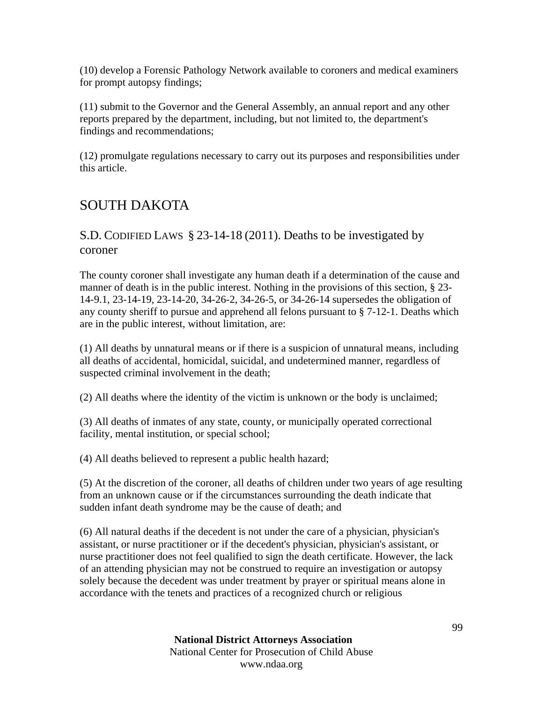(10) develop a Forensic Pathology Network available to coroners and medical examiners for prompt autopsy findings;

(11) submit to the Governor and the General Assembly, an annual report and any other reports prepared by the department, including, but not limited to, the department's findings and recommendations;

(12) promulgate regulations necessary to carry out its purposes and responsibilities under this article.

# SOUTH DAKOTA

### S.D. CODIFIED LAWS § 23-14-18 (2011). Deaths to be investigated by coroner

The county coroner shall investigate any human death if a determination of the cause and manner of death is in the public interest. Nothing in the provisions of this section, [§ 23-](https://web2.westlaw.com/find/default.wl?tc=-1&docname=SDSTS23-14-9.1&rp=%2ffind%2fdefault.wl&sv=Split&utid=%7b2E0FDB42-5D41-4729-9719-90980A00D476%7d&rs=WLW11.07&db=1000359&tf=-1&findtype=L&fn=_top&mt=WestlawGC&vr=2.0&pbc=D24B094C&ordoc=9103208) [14-9.1](https://web2.westlaw.com/find/default.wl?tc=-1&docname=SDSTS23-14-9.1&rp=%2ffind%2fdefault.wl&sv=Split&utid=%7b2E0FDB42-5D41-4729-9719-90980A00D476%7d&rs=WLW11.07&db=1000359&tf=-1&findtype=L&fn=_top&mt=WestlawGC&vr=2.0&pbc=D24B094C&ordoc=9103208), [23-14-19](https://web2.westlaw.com/find/default.wl?tc=-1&docname=SDSTS23-14-19&rp=%2ffind%2fdefault.wl&sv=Split&utid=%7b2E0FDB42-5D41-4729-9719-90980A00D476%7d&rs=WLW11.07&db=1000359&tf=-1&findtype=L&fn=_top&mt=WestlawGC&vr=2.0&pbc=D24B094C&ordoc=9103208), [23-14-20,](https://web2.westlaw.com/find/default.wl?tc=-1&docname=SDSTS23-14-20&rp=%2ffind%2fdefault.wl&sv=Split&utid=%7b2E0FDB42-5D41-4729-9719-90980A00D476%7d&rs=WLW11.07&db=1000359&tf=-1&findtype=L&fn=_top&mt=WestlawGC&vr=2.0&pbc=D24B094C&ordoc=9103208) [34-26-2,](https://web2.westlaw.com/find/default.wl?tc=-1&docname=SDSTS34-26-2&rp=%2ffind%2fdefault.wl&sv=Split&utid=%7b2E0FDB42-5D41-4729-9719-90980A00D476%7d&rs=WLW11.07&db=1000359&tf=-1&findtype=L&fn=_top&mt=WestlawGC&vr=2.0&pbc=D24B094C&ordoc=9103208) [34-26-5,](https://web2.westlaw.com/find/default.wl?tc=-1&docname=SDSTS34-26-5&rp=%2ffind%2fdefault.wl&sv=Split&utid=%7b2E0FDB42-5D41-4729-9719-90980A00D476%7d&rs=WLW11.07&db=1000359&tf=-1&findtype=L&fn=_top&mt=WestlawGC&vr=2.0&pbc=D24B094C&ordoc=9103208) or [34-26-14](https://web2.westlaw.com/find/default.wl?tc=-1&docname=SDSTS34-26-14&rp=%2ffind%2fdefault.wl&sv=Split&utid=%7b2E0FDB42-5D41-4729-9719-90980A00D476%7d&rs=WLW11.07&db=1000359&tf=-1&findtype=L&fn=_top&mt=WestlawGC&vr=2.0&pbc=D24B094C&ordoc=9103208) supersedes the obligation of any county sheriff to pursue and apprehend all felons pursuant to [§ 7-12-1.](https://web2.westlaw.com/find/default.wl?tc=-1&docname=SDSTS7-12-1&rp=%2ffind%2fdefault.wl&sv=Split&utid=%7b2E0FDB42-5D41-4729-9719-90980A00D476%7d&rs=WLW11.07&db=1000359&tf=-1&findtype=L&fn=_top&mt=WestlawGC&vr=2.0&pbc=D24B094C&ordoc=9103208) Deaths which are in the public interest, without limitation, are:

(1) All deaths by unnatural means or if there is a suspicion of unnatural means, including all deaths of accidental, homicidal, suicidal, and undetermined manner, regardless of suspected criminal involvement in the death;

(2) All deaths where the identity of the victim is unknown or the body is unclaimed;

(3) All deaths of inmates of any state, county, or municipally operated correctional facility, mental institution, or special school;

(4) All deaths believed to represent a public health hazard;

(5) At the discretion of the coroner, all deaths of children under two years of age resulting from an unknown cause or if the circumstances surrounding the death indicate that sudden infant death syndrome may be the cause of death; and

(6) All natural deaths if the decedent is not under the care of a physician, physician's assistant, or nurse practitioner or if the decedent's physician, physician's assistant, or nurse practitioner does not feel qualified to sign the death certificate. However, the lack of an attending physician may not be construed to require an investigation or autopsy solely because the decedent was under treatment by prayer or spiritual means alone in accordance with the tenets and practices of a recognized church or religious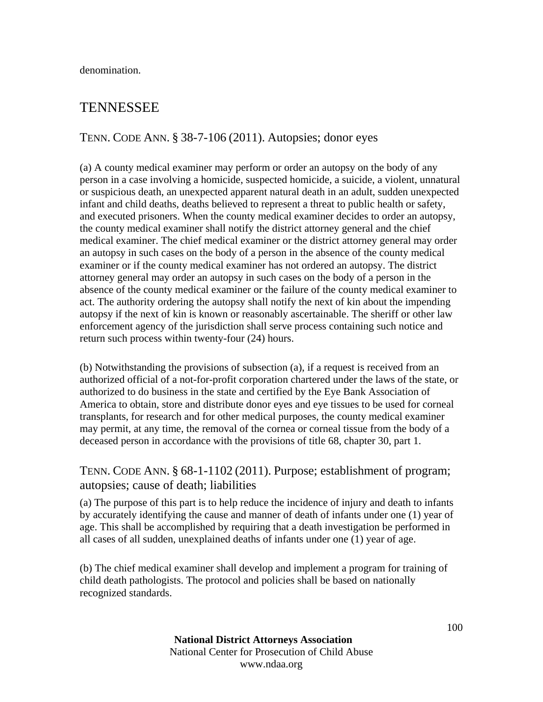denomination.

### TENNESSEE

#### TENN. CODE ANN. § 38-7-106 (2011). Autopsies; donor eyes

(a) A county medical examiner may perform or order an autopsy on the body of any person in a case involving a homicide, suspected homicide, a suicide, a violent, unnatural or suspicious death, an unexpected apparent natural death in an adult, sudden unexpected infant and child deaths, deaths believed to represent a threat to public health or safety, and executed prisoners. When the county medical examiner decides to order an autopsy, the county medical examiner shall notify the district attorney general and the chief medical examiner. The chief medical examiner or the district attorney general may order an autopsy in such cases on the body of a person in the absence of the county medical examiner or if the county medical examiner has not ordered an autopsy. The district attorney general may order an autopsy in such cases on the body of a person in the absence of the county medical examiner or the failure of the county medical examiner to act. The authority ordering the autopsy shall notify the next of kin about the impending autopsy if the next of kin is known or reasonably ascertainable. The sheriff or other law enforcement agency of the jurisdiction shall serve process containing such notice and return such process within twenty-four (24) hours.

(b) Notwithstanding the provisions of subsection (a), if a request is received from an authorized official of a not-for-profit corporation chartered under the laws of the state, or authorized to do business in the state and certified by the Eye Bank Association of America to obtain, store and distribute donor eyes and eye tissues to be used for corneal transplants, for research and for other medical purposes, the county medical examiner may permit, at any time, the removal of the cornea or corneal tissue from the body of a deceased person in accordance with the provisions of title 68, chapter 30, part 1.

#### TENN. CODE ANN. § 68-1-1102 (2011). Purpose; establishment of program; autopsies; cause of death; liabilities

(a) The purpose of this part is to help reduce the incidence of injury and death to infants by accurately identifying the cause and manner of death of infants under one (1) year of age. This shall be accomplished by requiring that a death investigation be performed in all cases of all sudden, unexplained deaths of infants under one (1) year of age.

(b) The chief medical examiner shall develop and implement a program for training of child death pathologists. The protocol and policies shall be based on nationally recognized standards.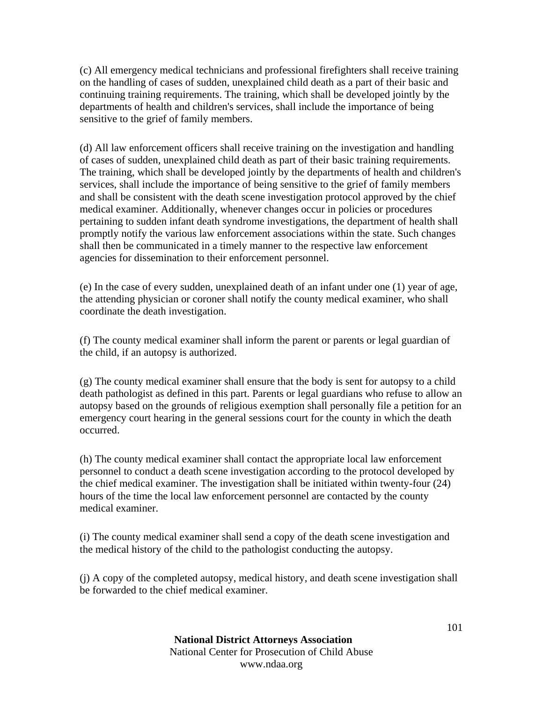(c) All emergency medical technicians and professional firefighters shall receive training on the handling of cases of sudden, unexplained child death as a part of their basic and continuing training requirements. The training, which shall be developed jointly by the departments of health and children's services, shall include the importance of being sensitive to the grief of family members.

(d) All law enforcement officers shall receive training on the investigation and handling of cases of sudden, unexplained child death as part of their basic training requirements. The training, which shall be developed jointly by the departments of health and children's services, shall include the importance of being sensitive to the grief of family members and shall be consistent with the death scene investigation protocol approved by the chief medical examiner. Additionally, whenever changes occur in policies or procedures pertaining to sudden infant death syndrome investigations, the department of health shall promptly notify the various law enforcement associations within the state. Such changes shall then be communicated in a timely manner to the respective law enforcement agencies for dissemination to their enforcement personnel.

(e) In the case of every sudden, unexplained death of an infant under one (1) year of age, the attending physician or coroner shall notify the county medical examiner, who shall coordinate the death investigation.

(f) The county medical examiner shall inform the parent or parents or legal guardian of the child, if an autopsy is authorized.

(g) The county medical examiner shall ensure that the body is sent for autopsy to a child death pathologist as defined in this part. Parents or legal guardians who refuse to allow an autopsy based on the grounds of religious exemption shall personally file a petition for an emergency court hearing in the general sessions court for the county in which the death occurred.

(h) The county medical examiner shall contact the appropriate local law enforcement personnel to conduct a death scene investigation according to the protocol developed by the chief medical examiner. The investigation shall be initiated within twenty-four (24) hours of the time the local law enforcement personnel are contacted by the county medical examiner.

(i) The county medical examiner shall send a copy of the death scene investigation and the medical history of the child to the pathologist conducting the autopsy.

(j) A copy of the completed autopsy, medical history, and death scene investigation shall be forwarded to the chief medical examiner.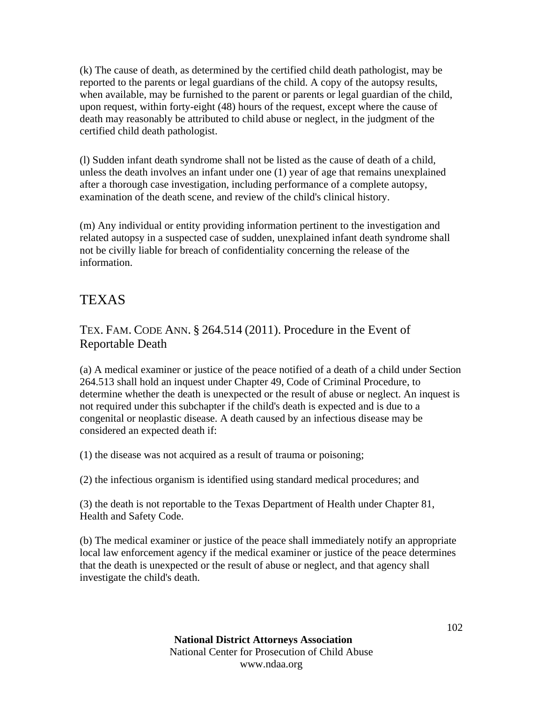(k) The cause of death, as determined by the certified child death pathologist, may be reported to the parents or legal guardians of the child. A copy of the autopsy results, when available, may be furnished to the parent or parents or legal guardian of the child, upon request, within forty-eight (48) hours of the request, except where the cause of death may reasonably be attributed to child abuse or neglect, in the judgment of the certified child death pathologist.

(l) Sudden infant death syndrome shall not be listed as the cause of death of a child, unless the death involves an infant under one (1) year of age that remains unexplained after a thorough case investigation, including performance of a complete autopsy, examination of the death scene, and review of the child's clinical history.

(m) Any individual or entity providing information pertinent to the investigation and related autopsy in a suspected case of sudden, unexplained infant death syndrome shall not be civilly liable for breach of confidentiality concerning the release of the information.

### TEXAS

### TEX. FAM. CODE ANN. § 264.514 (2011). Procedure in the Event of Reportable Death

(a) A medical examiner or justice of the peace notified of a death of a child under [Section](https://web2.westlaw.com/find/default.wl?tc=-1&docname=TXFAS264.513&rp=%2ffind%2fdefault.wl&sv=Split&utid=%7b2E0FDB42-5D41-4729-9719-90980A00D476%7d&rs=WLW11.07&db=1000175&tf=-1&findtype=L&fn=_top&mt=WestlawGC&vr=2.0&pbc=C2B6262D&ordoc=7458753)  [264.513](https://web2.westlaw.com/find/default.wl?tc=-1&docname=TXFAS264.513&rp=%2ffind%2fdefault.wl&sv=Split&utid=%7b2E0FDB42-5D41-4729-9719-90980A00D476%7d&rs=WLW11.07&db=1000175&tf=-1&findtype=L&fn=_top&mt=WestlawGC&vr=2.0&pbc=C2B6262D&ordoc=7458753) shall hold an inquest under Chapter 49, Code of Criminal Procedure, to determine whether the death is unexpected or the result of abuse or neglect. An inquest is not required under this subchapter if the child's death is expected and is due to a congenital or neoplastic disease. A death caused by an infectious disease may be considered an expected death if:

(1) the disease was not acquired as a result of trauma or poisoning;

(2) the infectious organism is identified using standard medical procedures; and

(3) the death is not reportable to the Texas Department of Health under Chapter 81, Health and Safety Code.

(b) The medical examiner or justice of the peace shall immediately notify an appropriate local law enforcement agency if the medical examiner or justice of the peace determines that the death is unexpected or the result of abuse or neglect, and that agency shall investigate the child's death.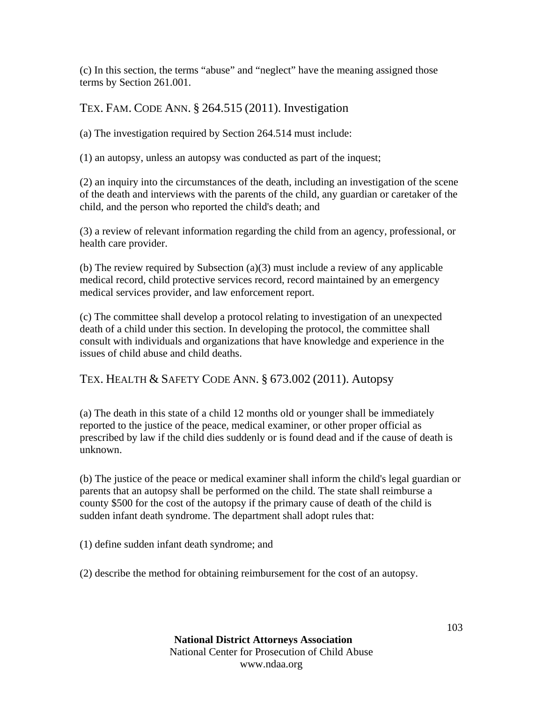(c) In this section, the terms "abuse" and "neglect" have the meaning assigned those terms by [Section 261.001.](https://web2.westlaw.com/find/default.wl?tc=-1&docname=TXFAS261.001&rp=%2ffind%2fdefault.wl&sv=Split&utid=%7b2E0FDB42-5D41-4729-9719-90980A00D476%7d&rs=WLW11.07&db=1000175&tf=-1&findtype=L&fn=_top&mt=WestlawGC&vr=2.0&pbc=C2B6262D&ordoc=7458753)

TEX. FAM. CODE ANN. § 264.515 (2011). Investigation

(a) The investigation required by [Section 264.514](https://web2.westlaw.com/find/default.wl?tc=-1&docname=TXFAS264.514&rp=%2ffind%2fdefault.wl&sv=Split&utid=%7b2E0FDB42-5D41-4729-9719-90980A00D476%7d&rs=WLW11.07&db=1000175&tf=-1&findtype=L&fn=_top&mt=WestlawGC&vr=2.0&pbc=F711EFE3&ordoc=7458756) must include:

(1) an autopsy, unless an autopsy was conducted as part of the inquest;

(2) an inquiry into the circumstances of the death, including an investigation of the scene of the death and interviews with the parents of the child, any guardian or caretaker of the child, and the person who reported the child's death; and

(3) a review of relevant information regarding the child from an agency, professional, or health care provider.

(b) The review required by Subsection (a)(3) must include a review of any applicable medical record, child protective services record, record maintained by an emergency medical services provider, and law enforcement report.

(c) The committee shall develop a protocol relating to investigation of an unexpected death of a child under this section. In developing the protocol, the committee shall consult with individuals and organizations that have knowledge and experience in the issues of child abuse and child deaths.

TEX. HEALTH & SAFETY CODE ANN. § 673.002 (2011). Autopsy

(a) The death in this state of a child 12 months old or younger shall be immediately reported to the justice of the peace, medical examiner, or other proper official as prescribed by law if the child dies suddenly or is found dead and if the cause of death is unknown.

(b) The justice of the peace or medical examiner shall inform the child's legal guardian or parents that an autopsy shall be performed on the child. The state shall reimburse a county \$500 for the cost of the autopsy if the primary cause of death of the child is sudden infant death syndrome. The department shall adopt rules that:

(1) define sudden infant death syndrome; and

(2) describe the method for obtaining reimbursement for the cost of an autopsy.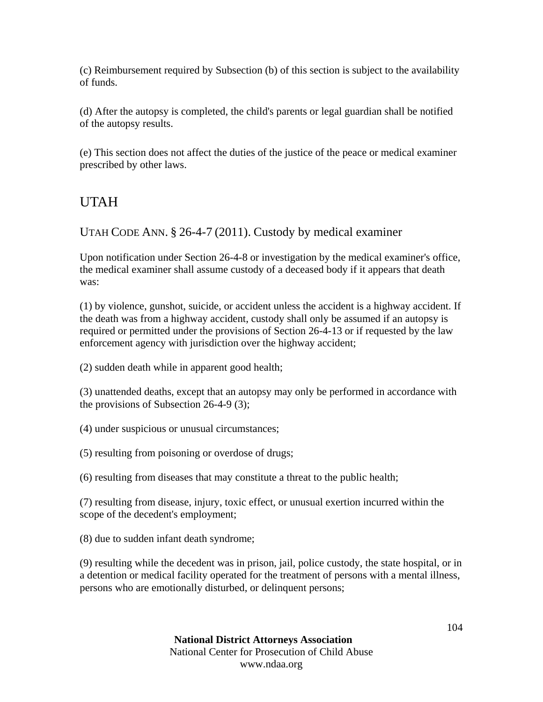(c) Reimbursement required by Subsection (b) of this section is subject to the availability of funds.

(d) After the autopsy is completed, the child's parents or legal guardian shall be notified of the autopsy results.

(e) This section does not affect the duties of the justice of the peace or medical examiner prescribed by other laws.

# UTAH

UTAH CODE ANN. § 26-4-7 (2011). Custody by medical examiner

Upon notification under [Section 26-4-8](https://web2.westlaw.com/find/default.wl?tc=-1&docname=UTSTS26-4-8&rp=%2ffind%2fdefault.wl&sv=Split&utid=%7b2E0FDB42-5D41-4729-9719-90980A00D476%7d&rs=WLW11.07&db=1000511&tf=-1&findtype=L&fn=_top&mt=WestlawGC&vr=2.0&pbc=BC4BC6EC&ordoc=9020853) or investigation by the medical examiner's office, the medical examiner shall assume custody of a deceased body if it appears that death was:

(1) by violence, gunshot, suicide, or accident unless the accident is a highway accident. If the death was from a highway accident, custody shall only be assumed if an autopsy is required or permitted under the provisions of [Section 26-4-13](https://web2.westlaw.com/find/default.wl?tc=-1&docname=UTSTS26-4-13&rp=%2ffind%2fdefault.wl&sv=Split&utid=%7b2E0FDB42-5D41-4729-9719-90980A00D476%7d&rs=WLW11.07&db=1000511&tf=-1&findtype=L&fn=_top&mt=WestlawGC&vr=2.0&pbc=BC4BC6EC&ordoc=9020853) or if requested by the law enforcement agency with jurisdiction over the highway accident;

(2) sudden death while in apparent good health;

(3) unattended deaths, except that an autopsy may only be performed in accordance with the provisions of Subsection 26-4-9 (3);

(4) under suspicious or unusual circumstances;

(5) resulting from poisoning or overdose of drugs;

(6) resulting from diseases that may constitute a threat to the public health;

(7) resulting from disease, injury, toxic effect, or unusual exertion incurred within the scope of the decedent's employment;

(8) due to sudden infant death syndrome;

(9) resulting while the decedent was in prison, jail, police custody, the state hospital, or in a detention or medical facility operated for the treatment of persons with a mental illness, persons who are emotionally disturbed, or delinquent persons;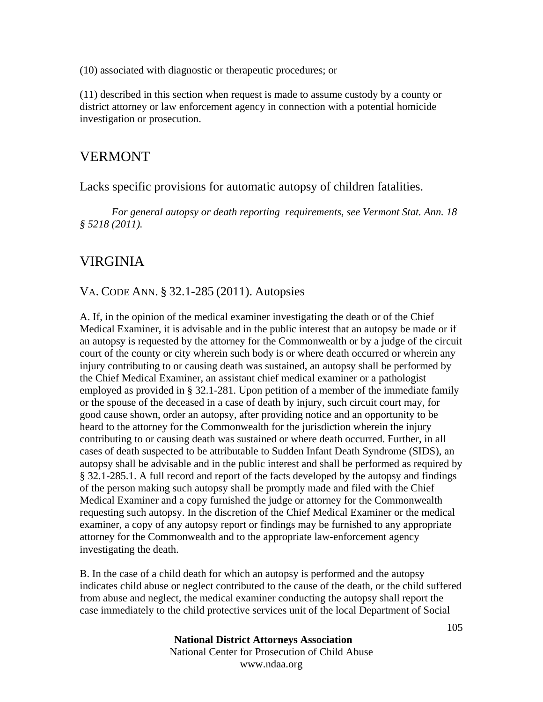(10) associated with diagnostic or therapeutic procedures; or

(11) described in this section when request is made to assume custody by a county or district attorney or law enforcement agency in connection with a potential homicide investigation or prosecution.

### VERMONT

Lacks specific provisions for automatic autopsy of children fatalities.

*For general autopsy or death reporting requirements, see Vermont Stat. Ann. 18 § 5218 (2011).* 

## VIRGINIA

#### VA. CODE ANN. § 32.1-285 (2011). Autopsies

A. If, in the opinion of the medical examiner investigating the death or of the Chief Medical Examiner, it is advisable and in the public interest that an autopsy be made or if an autopsy is requested by the attorney for the Commonwealth or by a judge of the circuit court of the county or city wherein such body is or where death occurred or wherein any injury contributing to or causing death was sustained, an autopsy shall be performed by the Chief Medical Examiner, an assistant chief medical examiner or a pathologist employed as provided in [§ 32.1-281](https://web2.westlaw.com/find/default.wl?tc=-1&docname=VASTS32.1-281&rp=%2ffind%2fdefault.wl&sv=Split&utid=%7b2E0FDB42-5D41-4729-9719-90980A00D476%7d&rs=WLW11.07&db=1000040&tf=-1&findtype=L&fn=_top&mt=WestlawGC&vr=2.0&pbc=79A52588&ordoc=9158527). Upon petition of a member of the immediate family or the spouse of the deceased in a case of death by injury, such circuit court may, for good cause shown, order an autopsy, after providing notice and an opportunity to be heard to the attorney for the Commonwealth for the jurisdiction wherein the injury contributing to or causing death was sustained or where death occurred. Further, in all cases of death suspected to be attributable to Sudden Infant Death Syndrome (SIDS), an autopsy shall be advisable and in the public interest and shall be performed as required by [§ 32.1-285.1](https://web2.westlaw.com/find/default.wl?tc=-1&docname=VASTS32.1-285.1&rp=%2ffind%2fdefault.wl&sv=Split&utid=%7b2E0FDB42-5D41-4729-9719-90980A00D476%7d&rs=WLW11.07&db=1000040&tf=-1&findtype=L&fn=_top&mt=WestlawGC&vr=2.0&pbc=79A52588&ordoc=9158527). A full record and report of the facts developed by the autopsy and findings of the person making such autopsy shall be promptly made and filed with the Chief Medical Examiner and a copy furnished the judge or attorney for the Commonwealth requesting such autopsy. In the discretion of the Chief Medical Examiner or the medical examiner, a copy of any autopsy report or findings may be furnished to any appropriate attorney for the Commonwealth and to the appropriate law-enforcement agency investigating the death.

B. In the case of a child death for which an autopsy is performed and the autopsy indicates child abuse or neglect contributed to the cause of the death, or the child suffered from abuse and neglect, the medical examiner conducting the autopsy shall report the case immediately to the child protective services unit of the local Department of Social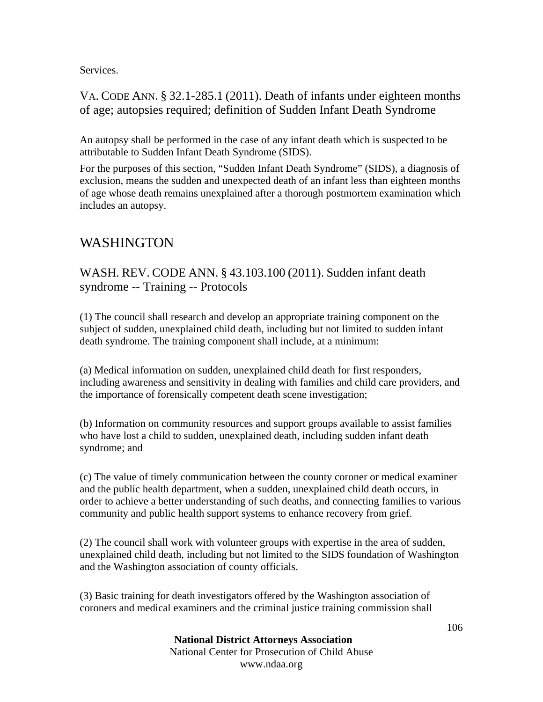Services.

### VA. CODE ANN. § 32.1-285.1 (2011). Death of infants under eighteen months of age; autopsies required; definition of Sudden Infant Death Syndrome

An autopsy shall be performed in the case of any infant death which is suspected to be attributable to Sudden Infant Death Syndrome (SIDS).

For the purposes of this section, "Sudden Infant Death Syndrome" (SIDS), a diagnosis of exclusion, means the sudden and unexpected death of an infant less than eighteen months of age whose death remains unexplained after a thorough postmortem examination which includes an autopsy.

## WASHINGTON

### WASH. REV. CODE ANN. § 43.103.100 (2011). Sudden infant death syndrome -- Training -- Protocols

(1) The council shall research and develop an appropriate training component on the subject of sudden, unexplained child death, including but not limited to sudden infant death syndrome. The training component shall include, at a minimum:

(a) Medical information on sudden, unexplained child death for first responders, including awareness and sensitivity in dealing with families and child care providers, and the importance of forensically competent death scene investigation;

(b) Information on community resources and support groups available to assist families who have lost a child to sudden, unexplained death, including sudden infant death syndrome; and

(c) The value of timely communication between the county coroner or medical examiner and the public health department, when a sudden, unexplained child death occurs, in order to achieve a better understanding of such deaths, and connecting families to various community and public health support systems to enhance recovery from grief.

(2) The council shall work with volunteer groups with expertise in the area of sudden, unexplained child death, including but not limited to the SIDS foundation of Washington and the Washington association of county officials.

(3) Basic training for death investigators offered by the Washington association of coroners and medical examiners and the criminal justice training commission shall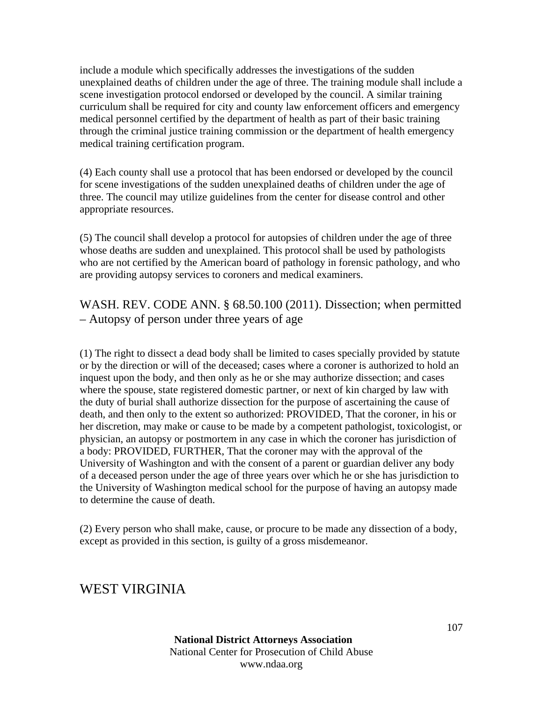include a module which specifically addresses the investigations of the sudden unexplained deaths of children under the age of three. The training module shall include a scene investigation protocol endorsed or developed by the council. A similar training curriculum shall be required for city and county law enforcement officers and emergency medical personnel certified by the department of health as part of their basic training through the criminal justice training commission or the department of health emergency medical training certification program.

(4) Each county shall use a protocol that has been endorsed or developed by the council for scene investigations of the sudden unexplained deaths of children under the age of three. The council may utilize guidelines from the center for disease control and other appropriate resources.

(5) The council shall develop a protocol for autopsies of children under the age of three whose deaths are sudden and unexplained. This protocol shall be used by pathologists who are not certified by the American board of pathology in forensic pathology, and who are providing autopsy services to coroners and medical examiners.

#### WASH. REV. CODE ANN. § 68.50.100 (2011). Dissection; when permitted – Autopsy of person under three years of age

(1) The right to dissect a dead body shall be limited to cases specially provided by statute or by the direction or will of the deceased; cases where a coroner is authorized to hold an inquest upon the body, and then only as he or she may authorize dissection; and cases where the spouse, state registered domestic partner, or next of kin charged by law with the duty of burial shall authorize dissection for the purpose of ascertaining the cause of death, and then only to the extent so authorized: PROVIDED, That the coroner, in his or her discretion, may make or cause to be made by a competent pathologist, toxicologist, or physician, an autopsy or postmortem in any case in which the coroner has jurisdiction of a body: PROVIDED, FURTHER, That the coroner may with the approval of the University of Washington and with the consent of a parent or guardian deliver any body of a deceased person under the age of three years over which he or she has jurisdiction to the University of Washington medical school for the purpose of having an autopsy made to determine the cause of death.

(2) Every person who shall make, cause, or procure to be made any dissection of a body, except as provided in this section, is guilty of a gross misdemeanor.

### WEST VIRGINIA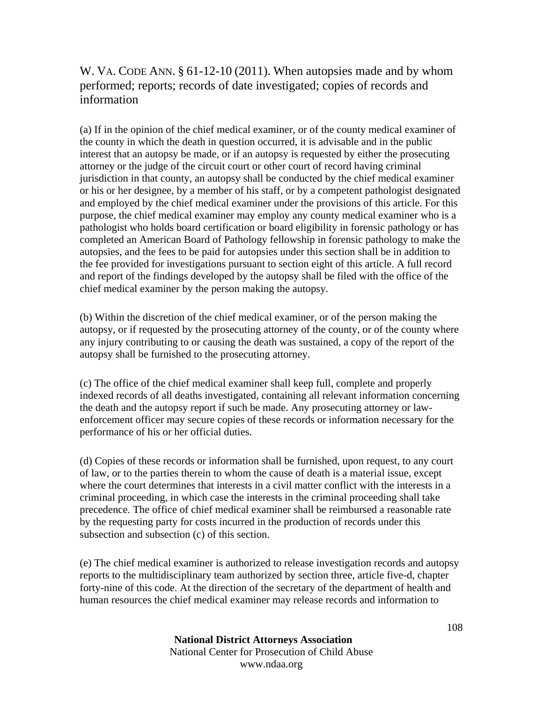### W. VA. CODE ANN. § 61-12-10 (2011). When autopsies made and by whom performed; reports; records of date investigated; copies of records and information

(a) If in the opinion of the chief medical examiner, or of the county medical examiner of the county in which the death in question occurred, it is advisable and in the public interest that an autopsy be made, or if an autopsy is requested by either the prosecuting attorney or the judge of the circuit court or other court of record having criminal jurisdiction in that county, an autopsy shall be conducted by the chief medical examiner or his or her designee, by a member of his staff, or by a competent pathologist designated and employed by the chief medical examiner under the provisions of this article. For this purpose, the chief medical examiner may employ any county medical examiner who is a pathologist who holds board certification or board eligibility in forensic pathology or has completed an American Board of Pathology fellowship in forensic pathology to make the autopsies, and the fees to be paid for autopsies under this section shall be in addition to the fee provided for investigations pursuant to section eight of this article. A full record and report of the findings developed by the autopsy shall be filed with the office of the chief medical examiner by the person making the autopsy.

(b) Within the discretion of the chief medical examiner, or of the person making the autopsy, or if requested by the prosecuting attorney of the county, or of the county where any injury contributing to or causing the death was sustained, a copy of the report of the autopsy shall be furnished to the prosecuting attorney.

(c) The office of the chief medical examiner shall keep full, complete and properly indexed records of all deaths investigated, containing all relevant information concerning the death and the autopsy report if such be made. Any prosecuting attorney or lawenforcement officer may secure copies of these records or information necessary for the performance of his or her official duties.

(d) Copies of these records or information shall be furnished, upon request, to any court of law, or to the parties therein to whom the cause of death is a material issue, except where the court determines that interests in a civil matter conflict with the interests in a criminal proceeding, in which case the interests in the criminal proceeding shall take precedence. The office of chief medical examiner shall be reimbursed a reasonable rate by the requesting party for costs incurred in the production of records under this subsection and subsection (c) of this section.

(e) The chief medical examiner is authorized to release investigation records and autopsy reports to the multidisciplinary team authorized by section three, article five-d, chapter forty-nine of this code. At the direction of the secretary of the department of health and human resources the chief medical examiner may release records and information to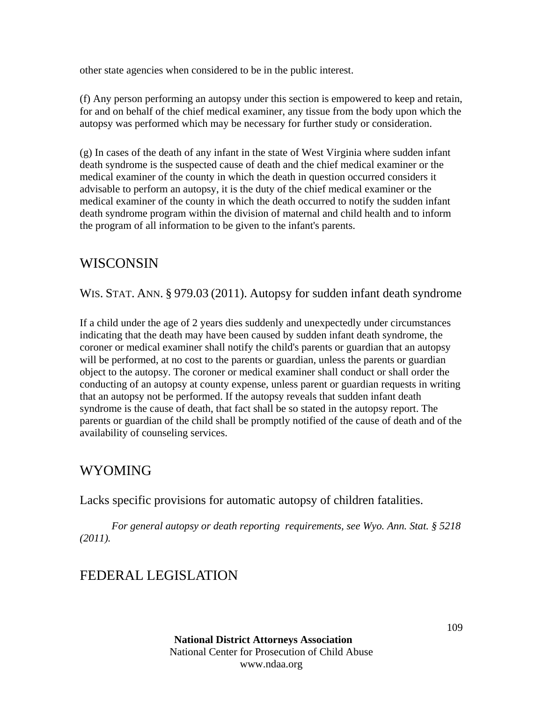other state agencies when considered to be in the public interest.

(f) Any person performing an autopsy under this section is empowered to keep and retain, for and on behalf of the chief medical examiner, any tissue from the body upon which the autopsy was performed which may be necessary for further study or consideration.

(g) In cases of the death of any infant in the state of West Virginia where sudden infant death syndrome is the suspected cause of death and the chief medical examiner or the medical examiner of the county in which the death in question occurred considers it advisable to perform an autopsy, it is the duty of the chief medical examiner or the medical examiner of the county in which the death occurred to notify the sudden infant death syndrome program within the division of maternal and child health and to inform the program of all information to be given to the infant's parents.

### WISCONSIN

WIS. STAT. ANN. § 979.03 (2011). Autopsy for sudden infant death syndrome

If a child under the age of 2 years dies suddenly and unexpectedly under circumstances indicating that the death may have been caused by sudden infant death syndrome, the coroner or medical examiner shall notify the child's parents or guardian that an autopsy will be performed, at no cost to the parents or guardian, unless the parents or guardian object to the autopsy. The coroner or medical examiner shall conduct or shall order the conducting of an autopsy at county expense, unless parent or guardian requests in writing that an autopsy not be performed. If the autopsy reveals that sudden infant death syndrome is the cause of death, that fact shall be so stated in the autopsy report. The parents or guardian of the child shall be promptly notified of the cause of death and of the availability of counseling services.

#### WYOMING

Lacks specific provisions for automatic autopsy of children fatalities.

*For general autopsy or death reporting requirements, see Wyo. Ann. Stat. § 5218 (2011).* 

#### FEDERAL LEGISLATION